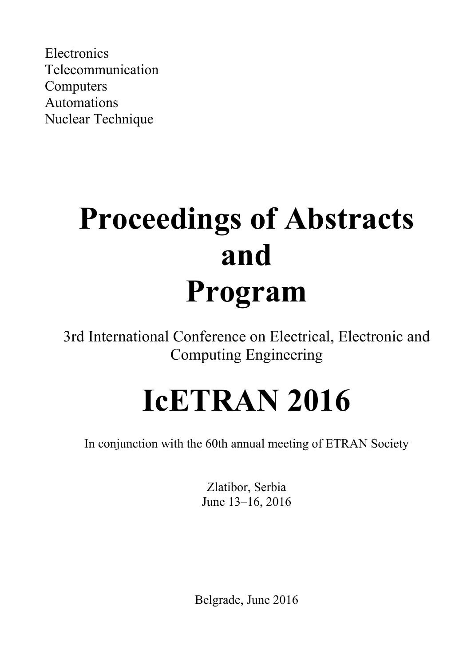Electronics Telecommunication Computers Automations Nuclear Technique

# **Proceedings of Abstracts and Program**

3rd International Conference on Electrical, Electronic and Computing Engineering

# **IcETRAN 2016**

In conjunction with the 60th annual meeting of ETRAN Society

Zlatibor, Serbia June 13–16, 2016

Belgrade, June 2016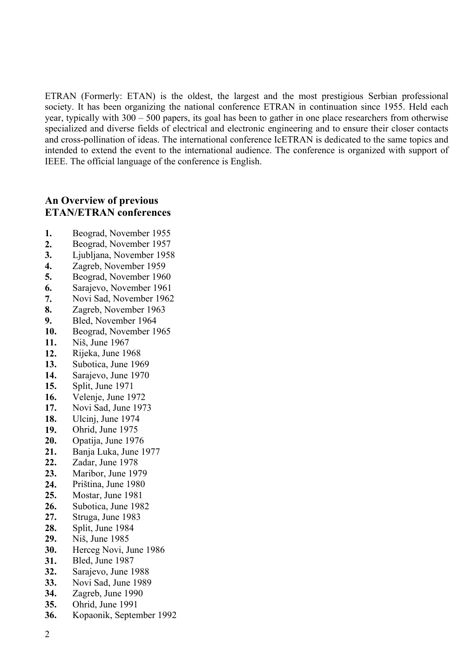ETRAN (Formerly: ETAN) is the oldest, the largest and the most prestigious Serbian professional society. It has been organizing the national conference ETRAN in continuation since 1955. Held each year, typically with 300 – 500 papers, its goal has been to gather in one place researchers from otherwise specialized and diverse fields of electrical and electronic engineering and to ensure their closer contacts and cross-pollination of ideas. The international conference IcETRAN is dedicated to the same topics and intended to extend the event to the international audience. The conference is organized with support of IEEE. The official language of the conference is English.

# **An Overview of previous ETAN/ETRAN conferences**

- **1.** Beograd, November 1955
- **2.** Beograd, November 1957
- **3.** Ljubljana, November 1958
- **4.** Zagreb, November 1959
- **5.** Beograd, November 1960
- **6.** Sarajevo, November 1961
- **7.** Novi Sad, November 1962
- **8.** Zagreb, November 1963
- **9.** Bled, November 1964
- **10.** Beograd, November 1965
- **11.** Niš, June 1967
- **12.** Rijeka, June 1968
- **13.** Subotica, June 1969
- **14.** Sarajevo, June 1970
- **15.** Split, June 1971
- **16.** Velenje, June 1972
- **17.** Novi Sad, June 1973
- **18.** Ulcinj, June 1974
- **19.** Ohrid, June 1975
- **20.** Opatija, June 1976
- **21.** Banja Luka, June 1977
- **22.** Zadar, June 1978
- **23.** Maribor, June 1979
- **24.** Priština, June 1980
- **25.** Mostar, June 1981
- **26.** Subotica, June 1982
- **27.** Struga, June 1983
- **28.** Split, June 1984
- **29.** Niš, June 1985
- **30.** Herceg Novi, June 1986
- **31.** Bled, June 1987
- **32.** Sarajevo, June 1988
- **33.** Novi Sad, June 1989
- **34.** Zagreb, June 1990
- **35.** Ohrid, June 1991
- **36.** Kopaonik, September 1992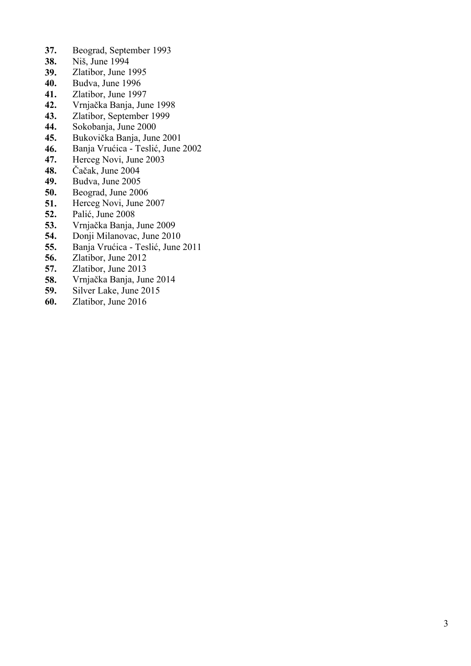- **37.** Beograd, September 1993
- **38.** Niš, June 1994
- **39.** Zlatibor, June 1995
- **40.** Budva, June 1996
- **41.** Zlatibor, June 1997
- **42.** Vrnja čka Banja, June 1998
- **43.** Zlatibor, September 1999
- **44.** Sokobanja, June 2000
- **45.** Bukovi čka Banja, June 2001
- **46.** Banja Vru ćica Tesli ć, June 2002
- **47.** Herceg Novi, June 2003
- **48.** Č a čak, June 2004
- **49.** Budva, June 2005
- **50.** Beograd, June 2006
- **51.** Herceg Novi, June 2007
- **52.** Pali ć, June 2008
- **53.** Vrnja čka Banja, June 2009
- **54.** Donji Milanovac, June 2010
- **55.** Banja Vru ćica Tesli ć, June 2011
- **56.** Zlatibor, June 2012
- **57.** Zlatibor, June 2013
- **58.** Vrnja čka Banja, June 2014
- **59.** Silver Lake, June 2015
- **60.** Zlatibor, June 2016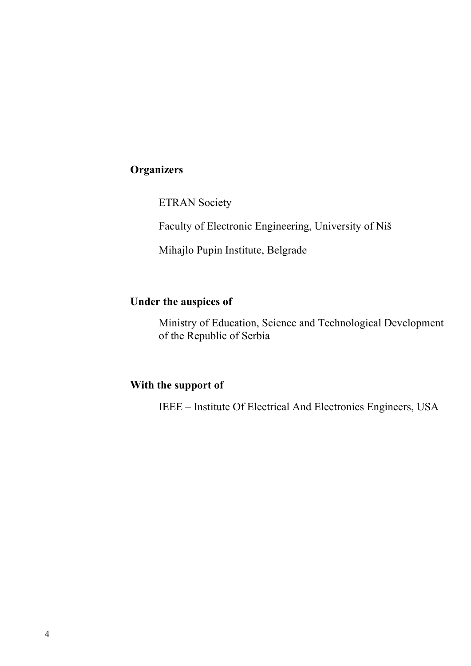# **Organizers**

ETRAN Society

Faculty of Electronic Engineering, University of Niš

Mihajlo Pupin Institute, Belgrade

# **Under the auspices of**

Ministry of Education, Science and Technological Development of the Republic of Serbia

# **With the support of**

IEEE – Institute Of Electrical And Electronics Engineers, USA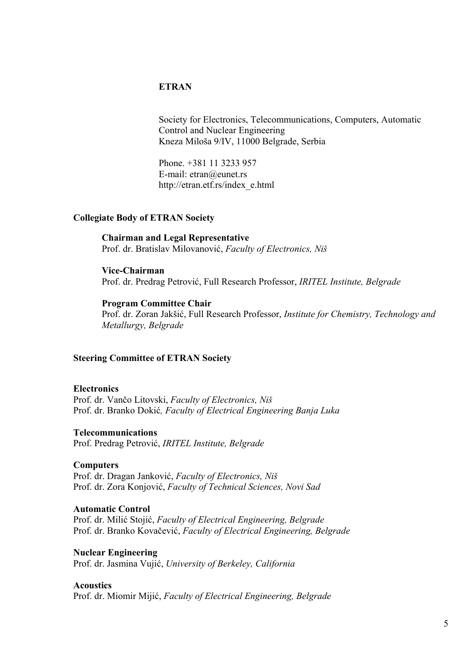# **ETRAN**

Society for Electronics, Telecommunications, Computers, Automatic Control and Nuclear Engineering Kneza Miloša 9/IV, 11000 Belgrade, Serbia

Phone. +381 11 3233 957 E-mail: etran@eunet.rs http://etran.etf.rs/index\_e.html

## **Collegiate Body of ETRAN Society**

**Chairman and Legal Representative** Prof. dr. Bratislav Milovanović, *Faculty of Electronics, Niš*

## **Vice-Chairman**

Prof. dr. Predrag Petrović, Full Research Professor, *IRITEL Institute, Belgrade*

## **Program Committee Chair**

Prof. dr. Zoran Jakšić, Full Research Professor, *Institute for Chemistry, Technology and Metallurgy, Belgrade*

## **Steering Committee of ETRAN Society**

## **Electronics**

Prof. dr. Vančo Litovski, *Faculty of Electronics, Niš*  Prof. dr. Branko Dokić*, Faculty of Electrical Engineering Banja Luka* 

## **Telecommunications**

Prof. Predrag Petrović, *IRITEL Institute, Belgrade* 

## **Computers**

Prof. dr. Dragan Janković, *Faculty of Electronics, Niš* Prof. dr. Zora Konjović, *Faculty of Technical Sciences, Novi Sad* 

## **Automatic Control**

Prof. dr. Milić Stojić, *Faculty of Electrical Engineering, Belgrade* Prof. dr. Branko Kovačević, *Faculty of Electrical Engineering, Belgrade* 

**Nuclear Engineering**  Prof. dr. Jasmina Vujić, *University of Berkeley, California* 

## **Acoustics**

Prof. dr. Miomir Mijić, *Faculty of Electrical Engineering, Belgrade*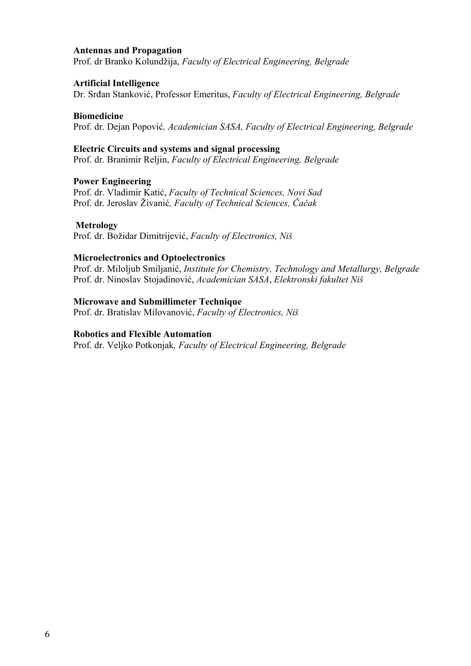## **Antennas and Propagation**

Prof. dr Branko Kolundžija, *Faculty of Electrical Engineering, Belgrade* 

## **Artificial Intelligence**

Dr. Srđan Stanković, Professor Emeritus, *Faculty of Electrical Engineering, Belgrade* 

# **Biomedicine**

Prof. dr. Dejan Popović*, Academician SASA, Faculty of Electrical Engineering, Belgrade* 

# **Electric Circuits and systems and signal processing**

Prof. dr. Branimir Reljin, *Faculty of Electrical Engineering, Belgrade* 

# **Power Engineering**

Prof. dr. Vladimir Katić, *Faculty of Technical Sciences, Novi Sad*  Prof. dr. Jeroslav Živanić*, Faculty of Technical Sciences, Čačak* 

# **Metrology**

Prof. dr. Božidar Dimitrijević, *Faculty of Electronics, Niš* 

# **Microelectronics and Optoelectronics**

Prof. dr. Miloljub Smiljanić, *Institute for Chemistry, Technology and Metallurgy, Belgrade*  Prof. dr. Ninoslav Stojadinović, *Academician SASA*, *Elektronski fakultet Niš* 

# **Microwave and Submillimeter Technique**

Prof. dr. Bratislav Milovanović, *Faculty of Electronics, Niš* 

# **Robotics and Flexible Automation**

Prof. dr. Veljko Potkonjak*, Faculty of Electrical Engineering, Belgrade*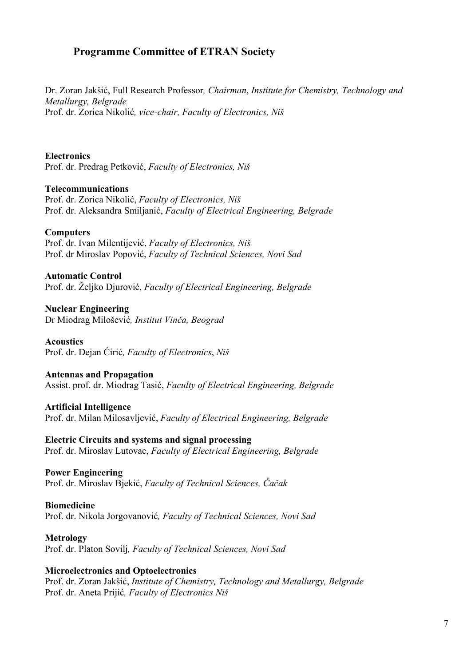# **Programme Committee of ETRAN Society**

Dr. Zoran Jakšić, Full Research Professor*, Chairman*, *Institute for Chemistry, Technology and Metallurgy, Belgrade*  Prof. dr. Zorica Nikolić*, vice-chair, Faculty of Electronics, Niš* 

# **Electronics**

Prof. dr. Predrag Petković, *Faculty of Electronics, Niš* 

# **Telecommunications**

Prof. dr. Zorica Nikolić, *Faculty of Electronics, Niš*  Prof. dr. Aleksandra Smiljanić, *Faculty of Electrical Engineering, Belgrade*

# **Computers**

Prof. dr. Ivan Milentijević, *Faculty of Electronics, Niš*  Prof. dr Miroslav Popović, *Faculty of Technical Sciences, Novi Sad* 

# **Automatic Control**

Prof. dr. Željko Djurović, *Faculty of Electrical Engineering, Belgrade* 

**Nuclear Engineering**  Dr Miodrag Milošević*, Institut Vinča, Beograd* 

# **Acoustics**

Prof. dr. Dejan Ćirić*, Faculty of Electronics*, *Niš* 

# **Antennas and Propagation**

Assist. prof. dr. Miodrag Tasić, *Faculty of Electrical Engineering, Belgrade* 

**Artificial Intelligence**  Prof. dr. Milan Milosavljević, *Faculty of Electrical Engineering, Belgrade* 

**Electric Circuits and systems and signal processing**  Prof. dr. Miroslav Lutovac, *Faculty of Electrical Engineering, Belgrade* 

**Power Engineering**  Prof. dr. Miroslav Bjekić, *Faculty of Technical Sciences, Čačak* 

**Biomedicine**  Prof. dr. Nikola Jorgovanović*, Faculty of Technical Sciences, Novi Sad* 

**Metrology**  Prof. dr. Platon Sovilj*, Faculty of Technical Sciences, Novi Sad* 

# **Microelectronics and Optoelectronics**

Prof. dr. Zoran Jakšić, *Institute of Chemistry, Technology and Metallurgy, Belgrade* Prof. dr. Aneta Prijić*, Faculty of Electronics Niš*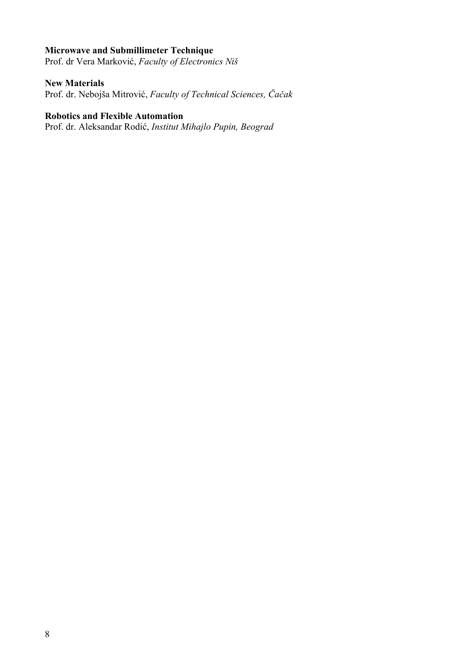# **Microwave and Submillimeter Technique**

Prof. dr Vera Marković, *Faculty of Electronics Niš* 

# **New Materials**

Prof. dr. Nebojša Mitrović, *Faculty of Technical Sciences, Čačak* 

# **Robotics and Flexible Automation**

Prof. dr. Aleksandar Rodić, *Institut Mihajlo Pupin, Beograd*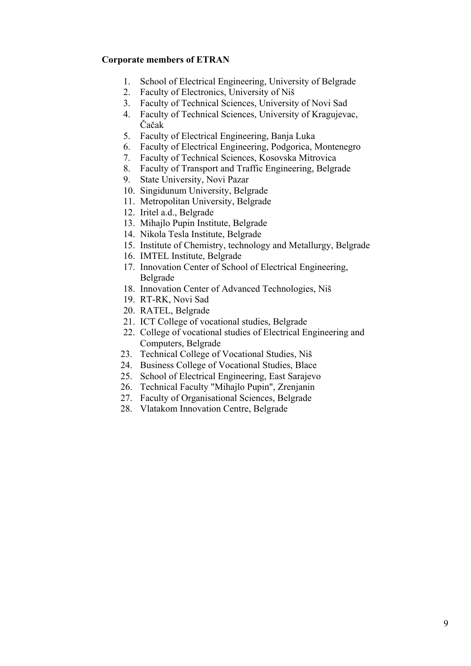# **Corporate members of ETRAN**

- 1. School of Electrical Engineering, University of Belgrade
- 2. Faculty of Electronics, University of Niš
- 3. Faculty of Technical Sciences, University of Novi Sad
- 4. Faculty of Technical Sciences, University of Kragujevac, Čačak
- 5. Faculty of Electrical Engineering, Banja Luka
- 6. Faculty of Electrical Engineering, Podgorica, Montenegro
- 7. Faculty of Technical Sciences, Kosovska Mitrovica
- 8. Faculty of Transport and Traffic Engineering, Belgrade
- 9. State University, Novi Pazar
- 10. Singidunum University, Belgrade
- 11. Metropolitan University, Belgrade
- 12. Iritel a.d., Belgrade
- 13. Mihajlo Pupin Institute, Belgrade
- 14. Nikola Tesla Institute, Belgrade
- 15. Institute of Chemistry, technology and Metallurgy, Belgrade
- 16. IMTEL Institute, Belgrade
- 17. Innovation Center of School of Electrical Engineering, Belgrade
- 18. Innovation Center of Advanced Technologies, Niš
- 19. RT-RK, Novi Sad
- 20. RATEL, Belgrade
- 21. ICT College of vocational studies, Belgrade
- 22. College of vocational studies of Electrical Engineering and Computers, Belgrade
- 23. Technical College of Vocational Studies, Niš
- 24. Business College of Vocational Studies, Blace
- 25. School of Electrical Engineering, East Sarajevo
- 26. Technical Faculty "Mihajlo Pupin", Zrenjanin
- 27. Faculty of Organisational Sciences, Belgrade
- 28. Vlatakom Innovation Centre, Belgrade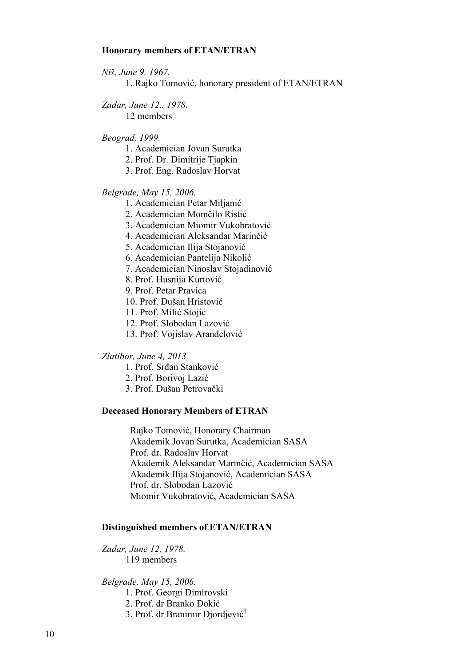## **Honorary members of ETAN/ETRAN**

*Niš, June 9, 1967.*

1. Rajko Tomović, honorary president of ETAN/ETRAN

*Zadar, June 12,. 1978.*

12 members

# *Beograd, 1999.*

- 1. Academician Jovan Surutka
- 2. Prof. Dr. Dimitrije Tjapkin
- 3. Prof. Eng. Radoslav Horvat

## *Belgrade, May 15, 2006.*

- 1. Academician Petar Miljanić
- 2. Academician Momčilo Ristić
- 3. Academician Miomir Vukobratović
- 4. Academician Aleksandar Marinčić
- 5. Academician Ilija Stojanović
- 6. Academician Pantelija Nikolić
- 7. Academician Ninoslav Stojadinović
- 8. Prof. Husnija Kurtović
- 9. Prof. Petar Pravica
- 10. Prof. Dušan Hristović
- 11. Prof. Milić Stojić
- 12. Prof. Slobodan Lazović
- 13. Prof. Vojislav Aranđelović

#### *Zlatibor, June 4, 2013.*

- 1. Prof. Srđan Stanković
- 2. Prof. Borivoj Lazić
- 3. Prof. Dušan Petrovački

## **Deceased Honorary Members of ETRAN**

Rajko Tomović, Honorary Chairman Akademik Jovan Surutka, Academician SASA Prof. dr. Radoslav Horvat Akademik Aleksandar Marinčić, Academician SASA Akademik Ilija Stojanović, Academician SASA Prof. dr. Slobodan Lazović Miomir Vukobratović, Academician SASA

## **Distinguished members of ETAN/ETRAN**

*Zadar, June 12, 1978.* 119 members

*Belgrade, May 15, 2006.*

- 1. Prof. Georgi Dimirovski
- 2. Prof. dr Branko Dokić
- 3. Prof. dr Branimir Djordjević †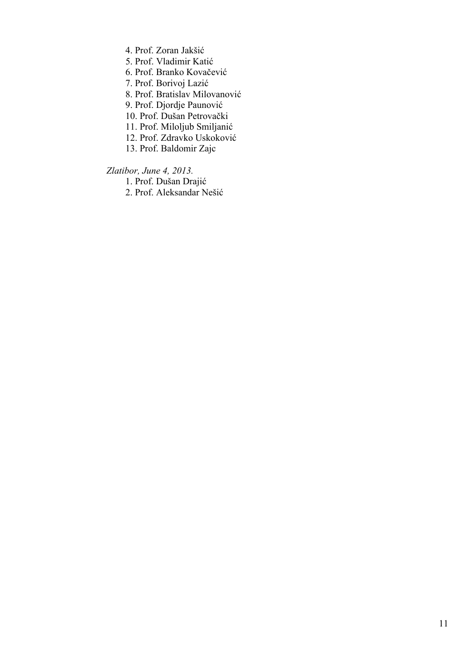- 4. Prof. Zoran Jakšić
- 5. Prof. Vladimir Katić
- 6. Prof. Branko Kovačević

7. Prof. Borivoj Lazić

- 8. Prof. Bratislav Milovanović
- 9. Prof. Djordje Paunović
- 10. Prof. Dušan Petrovački
- 11. Prof. Miloljub Smiljanić
- 12. Prof. Zdravko Uskoković
- 13. Prof. Baldomir Zajc

 *Zlatibor, June 4, 2013.*

1. Prof. Dušan Drajić

2. Prof. Aleksandar Nešić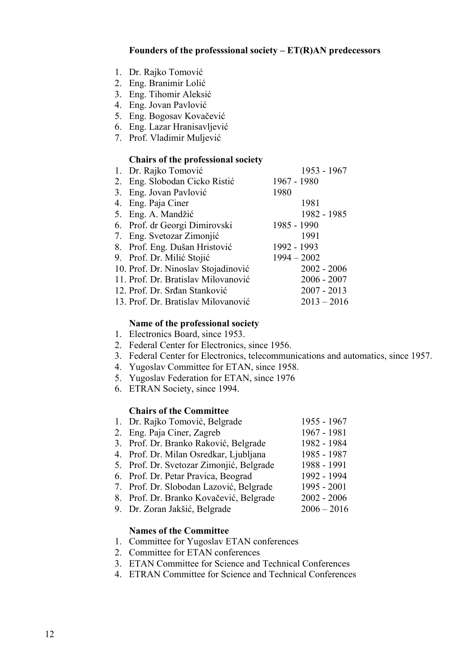- 1. Dr. Rajko Tomović
- 2. Eng. Branimir Lolić
- 3. Eng. Tihomir Aleksić
- 4. Eng. Jovan Pavlović
- 5. Eng. Bogosav Kovačević
- 6. Eng. Lazar Hranisavljević
- 7. Prof. Vladimir Muljević

# **Chairs of the professional society**

| 1. Dr. Rajko Tomović                | 1953 - 1967   |
|-------------------------------------|---------------|
| 2. Eng. Slobodan Cicko Ristić       | 1967 - 1980   |
| 3. Eng. Jovan Pavlović              | 1980          |
| 4. Eng. Paja Ciner                  | 1981          |
| 5. Eng. A. Mandžić                  | 1982 - 1985   |
| 6. Prof. dr Georgi Dimirovski       | 1985 - 1990   |
| 7. Eng. Svetozar Zimonjić           | 1991          |
| 8. Prof. Eng. Dušan Hristović       | 1992 - 1993   |
| 9. Prof. Dr. Milić Stojić           | $1994 - 2002$ |
| 10. Prof. Dr. Ninoslav Stojadinović | $2002 - 2006$ |
| 11. Prof. Dr. Bratislav Milovanović | $2006 - 2007$ |
| 12. Prof. Dr. Srđan Stanković       | $2007 - 2013$ |
| 13. Prof. Dr. Bratislav Milovanović | $2013 - 2016$ |

# **Name of the professional society**

- 1. Electronics Board, since 1953.
- 2. Federal Center for Electronics, since 1956.
- 3. Federal Center for Electronics, telecommunications and automatics, since 1957.
- 4. Yugoslav Committee for ETAN, since 1958.
- 5. Yugoslav Federation for ETAN, since 1976
- 6. ETRAN Society, since 1994.

# **Chairs of the Committee**

| 1. Dr. Rajko Tomović, Belgrade           | 1955 - 1967   |
|------------------------------------------|---------------|
| 2. Eng. Paja Ciner, Zagreb               | 1967 - 1981   |
| 3. Prof. Dr. Branko Raković, Belgrade    | 1982 - 1984   |
| 4. Prof. Dr. Milan Osredkar, Ljubljana   | 1985 - 1987   |
| 5. Prof. Dr. Svetozar Zimonjić, Belgrade | 1988 - 1991   |
| 6. Prof. Dr. Petar Pravica, Beograd      | 1992 - 1994   |
| 7. Prof. Dr. Slobodan Lazović, Belgrade  | 1995 - 2001   |
| 8. Prof. Dr. Branko Kovačević, Belgrade  | $2002 - 2006$ |
| 9. Dr. Zoran Jakšić, Belgrade            | $2006 - 2016$ |
|                                          |               |

# **Names of the Committee**

- 1. Committee for Yugoslav ETAN conferences
- 2. Committee for ETAN conferences
- 3. ETAN Committee for Science and Technical Conferences
- 4. ETRAN Committee for Science and Technical Conferences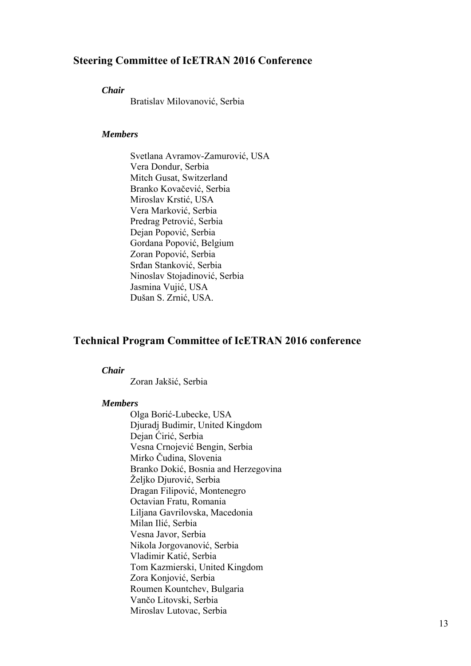# **Steering Committee of IcETRAN 2016 Conference**

## *Chair*

Bratislav Milovanović, Serbia

# *Members*

Svetlana Avramov-Zamurović, USA Vera Dondur, Serbia Mitch Gusat, Switzerland Branko Kovačević, Serbia Miroslav Krstić, USA Vera Marković, Serbia Predrag Petrović, Serbia Dejan Popović, Serbia Gordana Popović, Belgium Zoran Popović, Serbia Srđan Stanković, Serbia Ninoslav Stojadinović, Serbia Jasmina Vujić, USA Dušan S. Zrnić, USA.

# **Technical Program Committee of IcETRAN 2016 conference**

#### *Chair*

Zoran Jakšić, Serbia

# *Members*

Olga Borić-Lubecke, USA Djuradj Budimir, United Kingdom Dejan Ćirić, Serbia Vesna Crnojević Bengin, Serbia Mirko Čudina, Slovenia Branko Dokić, Bosnia and Herzegovina Željko Djurović, Serbia Dragan Filipović, Montenegro Octavian Fratu, Romania Liljana Gavrilovska, Macedonia Milan Ilić, Serbia Vesna Javor, Serbia Nikola Jorgovanović, Serbia Vladimir Katić, Serbia Tom Kazmierski, United Kingdom Zora Konjović, Serbia Roumen Kountchev, Bulgaria Vančo Litovski, Serbia Miroslav Lutovac, Serbia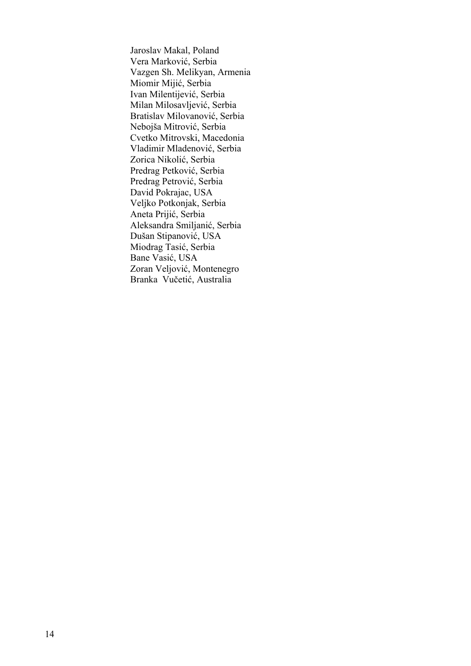Jaroslav Makal, Poland Vera Marković, Serbia Vazgen Sh. Melikyan, Armenia Miomir Mijić, Serbia Ivan Milentijević, Serbia Milan Milosavljević, Serbia Bratislav Milovanović, Serbia Nebojša Mitrović, Serbia Cvetko Mitrovski, Macedonia Vladimir Mladenović, Serbia Zorica Nikolić, Serbia Predrag Petković, Serbia Predrag Petrović, Serbia David Pokrajac, USA Veljko Potkonjak, Serbia Aneta Prijić, Serbia Aleksandra Smiljanić, Serbia Dušan Stipanović, USA Miodrag Tasić, Serbia Bane Vasić, USA Zoran Veljović, Montenegro Branka Vučetić, Australia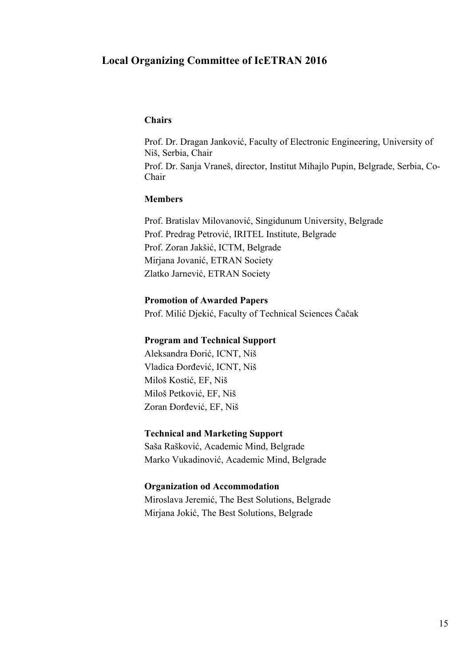# **Local Organizing Committee of IcETRAN 2016**

## **Chairs**

Prof. Dr. Dragan Janković, Faculty of Electronic Engineering, University of Niš, Serbia, Chair Prof. Dr. Sanja Vraneš, director, Institut Mihajlo Pupin, Belgrade, Serbia, Co-Chair

## **Members**

Prof. Bratislav Milovanović, Singidunum University, Belgrade Prof. Predrag Petrović, IRITEL Institute, Belgrade Prof. Zoran Jakšić, ICTM, Belgrade Mirjana Jovanić, ETRAN Society Zlatko Jarnević, ETRAN Society

# **Promotion of Awarded Papers**

Prof. Milić Djekić, Faculty of Technical Sciences Čačak

# **Program and Technical Support**

Aleksandra Đorić, ICNT, Niš Vladica Đorđević, ICNT, Niš Miloš Kostić, EF, Niš Miloš Petković, EF, Niš Zoran Đorđević, EF, Niš

# **Technical and Marketing Support**

Saša Rašković, Academic Mind, Belgrade Marko Vukadinović, Academic Mind, Belgrade

#### **Organization od Accommodation**

Miroslava Jeremić, The Best Solutions, Belgrade Mirjana Jokić, The Best Solutions, Belgrade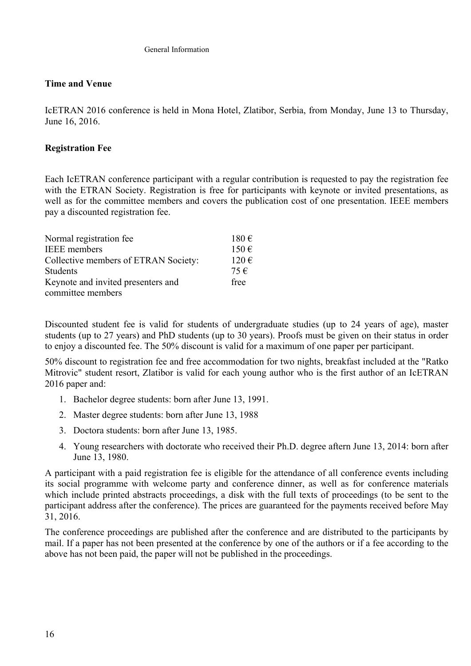# **Time and Venue**

IcETRAN 2016 conference is held in Mona Hotel, Zlatibor, Serbia, from Monday, June 13 to Thursday, June 16, 2016.

# **Registration Fee**

Each IcETRAN conference participant with a regular contribution is requested to pay the registration fee with the ETRAN Society. Registration is free for participants with keynote or invited presentations, as well as for the committee members and covers the publication cost of one presentation. IEEE members pay a discounted registration fee.

| Normal registration fee              | $180 \text{ } \in$ |
|--------------------------------------|--------------------|
| <b>IEEE</b> members                  | $150 \in$          |
| Collective members of ETRAN Society: | $120 \in$          |
| Students                             | 75 €               |
| Keynote and invited presenters and   | free               |
| committee members                    |                    |

Discounted student fee is valid for students of undergraduate studies (up to 24 years of age), master students (up to 27 years) and PhD students (up to 30 years). Proofs must be given on their status in order to enjoy a discounted fee. The 50% discount is valid for a maximum of one paper per participant.

50% discount to registration fee and free accommodation for two nights, breakfast included at the "Ratko Mitrovic" student resort, Zlatibor is valid for each young author who is the first author of an IcETRAN 2016 paper and:

- 1. Bachelor degree students: born after June 13, 1991.
- 2. Master degree students: born after June 13, 1988
- 3. Doctora students: born after June 13, 1985.
- 4. Young researchers with doctorate who received their Ph.D. degree aftern June 13, 2014: born after June 13, 1980.

A participant with a paid registration fee is eligible for the attendance of all conference events including its social programme with welcome party and conference dinner, as well as for conference materials which include printed abstracts proceedings, a disk with the full texts of proceedings (to be sent to the participant address after the conference). The prices are guaranteed for the payments received before May 31, 2016.

The conference proceedings are published after the conference and are distributed to the participants by mail. If a paper has not been presented at the conference by one of the authors or if a fee according to the above has not been paid, the paper will not be published in the proceedings.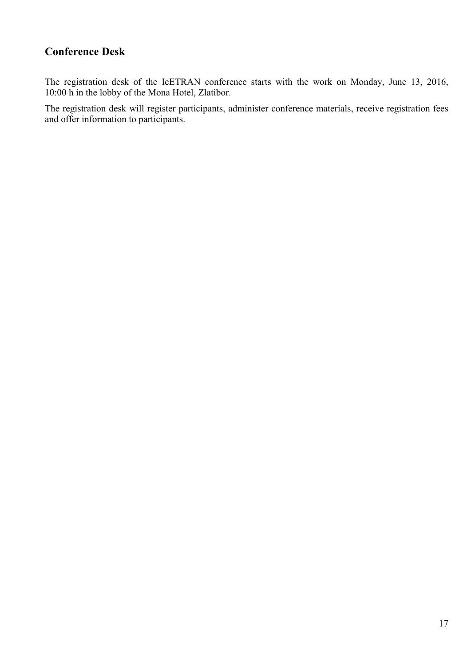# **Conference Desk**

The registration desk of the IcETRAN conference starts with the work on Monday, June 13, 2016, 10:00 h in the lobby of the Mona Hotel, Zlatibor.

The registration desk will register participants, administer conference materials, receive registration fees and offer information to participants.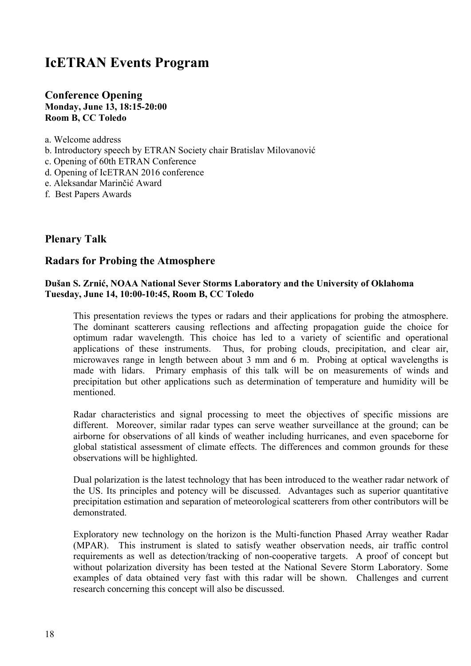# **IcETRAN Events Program**

# **Conference Opening Monday, June 13, 18:15-20:00 Room B, CC Toledo**

- a. Welcome address
- b. Introductory speech by ETRAN Society chair Bratislav Milovanović
- c. Opening of 60th ETRAN Conference
- d. Opening of IcETRAN 2016 conference
- e. Aleksandar Marinčić Award
- f. Best Papers Awards

# **Plenary Talk**

# **Radars for Probing the Atmosphere**

# **Dušan S. Zrnić, NOAA National Sever Storms Laboratory and the University of Oklahoma Tuesday, June 14, 10:00-10:45, Room B, CC Toledo**

This presentation reviews the types or radars and their applications for probing the atmosphere. The dominant scatterers causing reflections and affecting propagation guide the choice for optimum radar wavelength. This choice has led to a variety of scientific and operational applications of these instruments. Thus, for probing clouds, precipitation, and clear air, microwaves range in length between about 3 mm and 6 m. Probing at optical wavelengths is made with lidars. Primary emphasis of this talk will be on measurements of winds and precipitation but other applications such as determination of temperature and humidity will be mentioned.

Radar characteristics and signal processing to meet the objectives of specific missions are different. Moreover, similar radar types can serve weather surveillance at the ground; can be airborne for observations of all kinds of weather including hurricanes, and even spaceborne for global statistical assessment of climate effects. The differences and common grounds for these observations will be highlighted.

Dual polarization is the latest technology that has been introduced to the weather radar network of the US. Its principles and potency will be discussed. Advantages such as superior quantitative precipitation estimation and separation of meteorological scatterers from other contributors will be demonstrated.

Exploratory new technology on the horizon is the Multi-function Phased Array weather Radar (MPAR). This instrument is slated to satisfy weather observation needs, air traffic control requirements as well as detection/tracking of non-cooperative targets. A proof of concept but without polarization diversity has been tested at the National Severe Storm Laboratory. Some examples of data obtained very fast with this radar will be shown. Challenges and current research concerning this concept will also be discussed.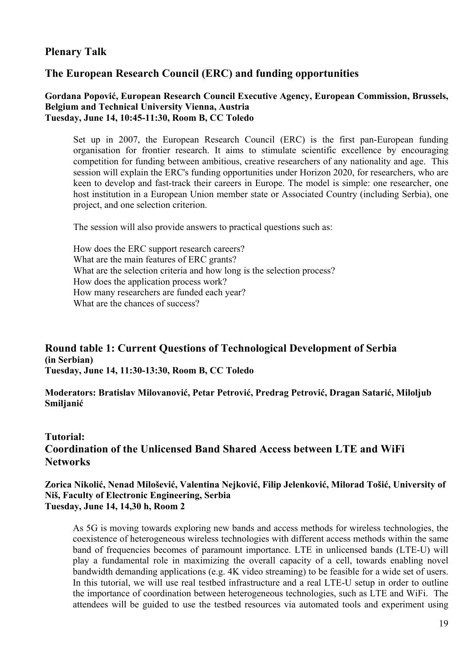# **Plenary Talk**

# **The European Research Council (ERC) and funding opportunities**

# **Gordana Popović, European Research Council Executive Agency, European Commission, Brussels, Belgium and Technical University Vienna, Austria Tuesday, June 14, 10:45-11:30, Room B, CC Toledo**

Set up in 2007, the European Research Council (ERC) is the first pan-European funding organisation for frontier research. It aims to stimulate scientific excellence by encouraging competition for funding between ambitious, creative researchers of any nationality and age. This session will explain the ERC's funding opportunities under Horizon 2020, for researchers, who are keen to develop and fast-track their careers in Europe. The model is simple: one researcher, one host institution in a European Union member state or Associated Country (including Serbia), one project, and one selection criterion.

The session will also provide answers to practical questions such as:

How does the ERC support research careers? What are the main features of ERC grants? What are the selection criteria and how long is the selection process? How does the application process work? How many researchers are funded each year? What are the chances of success?

# **Round table 1: Current Questions of Technological Development of Serbia (in Serbian) Tuesday, June 14, 11:30-13:30, Room B, CC Toledo**

**Moderators: Bratislav Milovanović, Petar Petrović, Predrag Petrović, Dragan Satarić, Milolјub Smilјanić**

# **Tutorial: Coordination of the Unlicensed Band Shared Access between LTE and WiFi Networks**

# **Zorica Nikolić, Nenad Milošević, Valentina Nejković, Filip Jelenković, Milorad Tošić, University of Niš, Faculty of Electronic Engineering, Serbia Tuesday, June 14, 14,30 h, Room 2**

As 5G is moving towards exploring new bands and access methods for wireless technologies, the coexistence of heterogeneous wireless technologies with different access methods within the same band of frequencies becomes of paramount importance. LTE in unlicensed bands (LTE-U) will play a fundamental role in maximizing the overall capacity of a cell, towards enabling novel bandwidth demanding applications (e.g. 4K video streaming) to be feasible for a wide set of users. In this tutorial, we will use real testbed infrastructure and a real LTE-U setup in order to outline the importance of coordination between heterogeneous technologies, such as LTE and WiFi. The attendees will be guided to use the testbed resources via automated tools and experiment using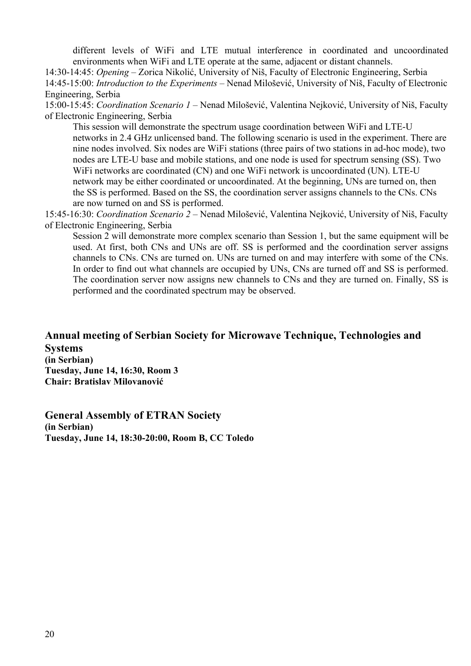different levels of WiFi and LTE mutual interference in coordinated and uncoordinated environments when WiFi and LTE operate at the same, adjacent or distant channels.

14:30-14:45: *Opening* – Zorica Nikolić, University of Niš, Faculty of Electronic Engineering, Serbia 14:45-15:00: *Introduction to the Experiments –* Nenad Milošević, University of Niš, Faculty of Electronic Engineering, Serbia

15:00-15:45: *Coordination Scenario 1 –* Nenad Milošević, Valentina Nejković, University of Niš, Faculty of Electronic Engineering, Serbia

This session will demonstrate the spectrum usage coordination between WiFi and LTE-U networks in 2.4 GHz unlicensed band. The following scenario is used in the experiment. There are nine nodes involved. Six nodes are WiFi stations (three pairs of two stations in ad-hoc mode), two nodes are LTE-U base and mobile stations, and one node is used for spectrum sensing (SS). Two WiFi networks are coordinated (CN) and one WiFi network is uncoordinated (UN). LTE-U network may be either coordinated or uncoordinated. At the beginning, UNs are turned on, then the SS is performed. Based on the SS, the coordination server assigns channels to the CNs. CNs are now turned on and SS is performed.

15:45-16:30: *Coordination Scenario 2 –* Nenad Milošević, Valentina Nejković, University of Niš, Faculty of Electronic Engineering, Serbia

Session 2 will demonstrate more complex scenario than Session 1, but the same equipment will be used. At first, both CNs and UNs are off. SS is performed and the coordination server assigns channels to CNs. CNs are turned on. UNs are turned on and may interfere with some of the CNs. In order to find out what channels are occupied by UNs, CNs are turned off and SS is performed. The coordination server now assigns new channels to CNs and they are turned on. Finally, SS is performed and the coordinated spectrum may be observed.

**Annual meeting of Serbian Society for Microwave Technique, Technologies and Systems (in Serbian) Tuesday, June 14, 16:30, Room 3 Chair: Bratislav Milovanović**

**General Assembly of ETRAN Society (in Serbian) Tuesday, June 14, 18:30-20:00, Room B, CC Toledo**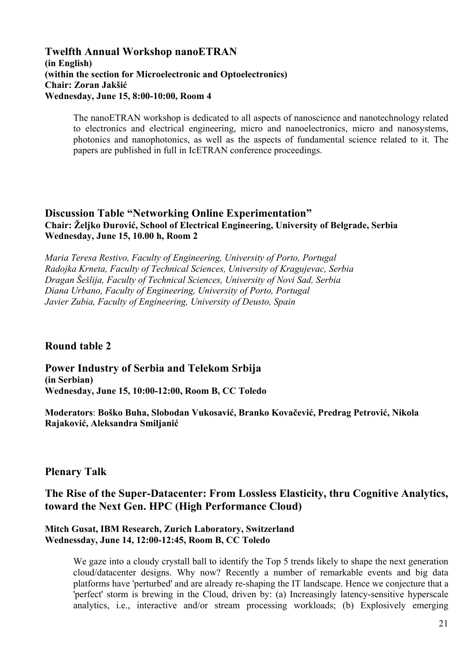# **Twelfth Annual Workshop nanoETRAN (in English) (within the section for Microelectronic and Optoelectronics) Chair: Zoran Jakšić Wednesday, June 15, 8:00-10:00, Room 4**

The nanoETRAN workshop is dedicated to all aspects of nanoscience and nanotechnology related to electronics and electrical engineering, micro and nanoelectronics, micro and nanosystems, photonics and nanophotonics, as well as the aspects of fundamental science related to it. The papers are published in full in IcETRAN conference proceedings.

# **Discussion Table "Networking Online Experimentation" Chair: Željko Đurović, School of Electrical Engineering, University of Belgrade, Serbia Wednesday, June 15, 10.00 h, Room 2**

*Maria Teresa Restivo, Faculty of Engineering, University of Porto, Portugal Radojka Krneta, Faculty of Technical Sciences, University of Kragujevac, Serbia Dragan Šešlija, Faculty of Technical Sciences, University of Novi Sad, Serbia Diana Urbano, Faculty of Engineering, University of Porto, Portugal Javier Zubia, Faculty of Engineering, University of Deusto, Spain* 

# **Round table 2**

**Power Industry of Serbia and Telekom Srbija (in Serbian) Wednesday, June 15, 10:00-12:00, Room B, CC Toledo**

**Moderators**: **Boško Buha, Slobodan Vukosavić, Branko Kovačević, Predrag Petrović, Nikola Rajaković, Aleksandra Smilјanić**

# **Plenary Talk**

# **The Rise of the Super-Datacenter: From Lossless Elasticity, thru Cognitive Analytics, toward the Next Gen. HPC (High Performance Cloud)**

# **Mitch Gusat, IBM Research, Zurich Laboratory, Switzerland Wednessday, June 14, 12:00-12:45, Room B, CC Toledo**

We gaze into a cloudy crystall ball to identify the Top 5 trends likely to shape the next generation cloud/datacenter designs. Why now? Recently a number of remarkable events and big data platforms have 'perturbed' and are already re-shaping the IT landscape. Hence we conjecture that a 'perfect' storm is brewing in the Cloud, driven by: (a) Increasingly latency-sensitive hyperscale analytics, i.e., interactive and/or stream processing workloads; (b) Explosively emerging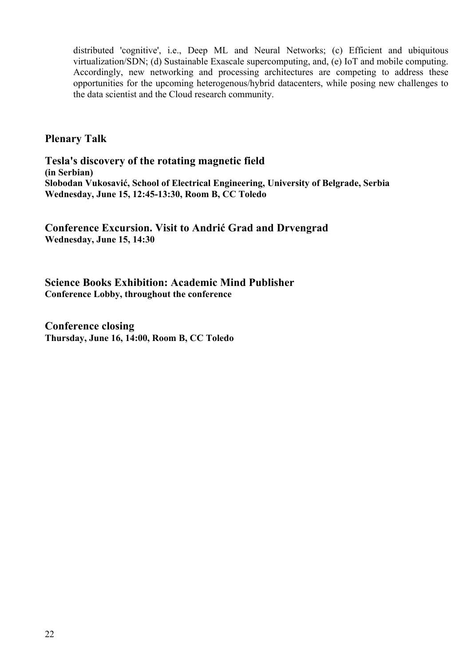distributed 'cognitive', i.e., Deep ML and Neural Networks; (c) Efficient and ubiquitous virtualization/SDN; (d) Sustainable Exascale supercomputing, and, (e) IoT and mobile computing. Accordingly, new networking and processing architectures are competing to address these opportunities for the upcoming heterogenous/hybrid datacenters, while posing new challenges to the data scientist and the Cloud research community.

# **Plenary Talk**

**Tesla's discovery of the rotating magnetic field (in Serbian) Slobodan Vukosavić, School of Electrical Engineering, University of Belgrade, Serbia Wednesday, June 15, 12:45-13:30, Room B, CC Toledo**

**Conference Excursion. Visit to Andrić Grad and Drvengrad Wednesday, June 15, 14:30**

**Science Books Exhibition: Academic Mind Publisher Conference Lobby, throughout the conference** 

**Conference closing Thursday, June 16, 14:00, Room B, CC Toledo**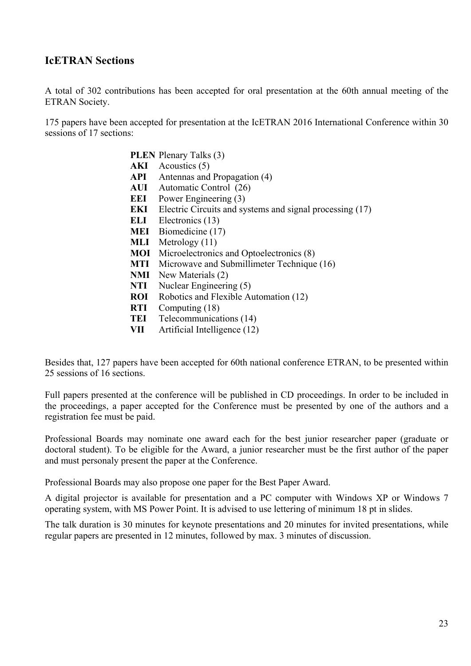# **IcETRAN Sections**

A total of 302 contributions has been accepted for oral presentation at the 60th annual meeting of the ETRAN Society.

175 papers have been accepted for presentation at the IcETRAN 2016 International Conference within 30 sessions of 17 sections:

- **PLEN** Plenary Talks (3) **AKI** Acoustics (5) **API** Antennas and Propagation (4) **AUI** Automatic Control (26) **EEI** Power Engineering (3) **EKI** Electric Circuits and systems and signal processing (17) **ELI** Electronics (13) **MEI** Biomedicine (17) **MLI** Metrology (11) **MOI** Microelectronics and Optoelectronics (8) **MTI** Microwave and Submillimeter Technique (16) **NMI** New Materials (2) **NTI** Nuclear Engineering (5) **ROI** Robotics and Flexible Automation (12) **RTI** Computing (18)
- 
- **TEI** Telecommunications (14)
- **VII** Artificial Intelligence (12)

Besides that, 127 papers have been accepted for 60th national conference ETRAN, to be presented within 25 sessions of 16 sections.

Full papers presented at the conference will be published in CD proceedings. In order to be included in the proceedings, a paper accepted for the Conference must be presented by one of the authors and a registration fee must be paid.

Professional Boards may nominate one award each for the best junior researcher paper (graduate or doctoral student). To be eligible for the Award, a junior researcher must be the first author of the paper and must personaly present the paper at the Conference.

Professional Boards may also propose one paper for the Best Paper Award.

A digital projector is available for presentation and a PC computer with Windows XP or Windows 7 operating system, with MS Power Point. It is advised to use lettering of minimum 18 pt in slides.

The talk duration is 30 minutes for keynote presentations and 20 minutes for invited presentations, while regular papers are presented in 12 minutes, followed by max. 3 minutes of discussion.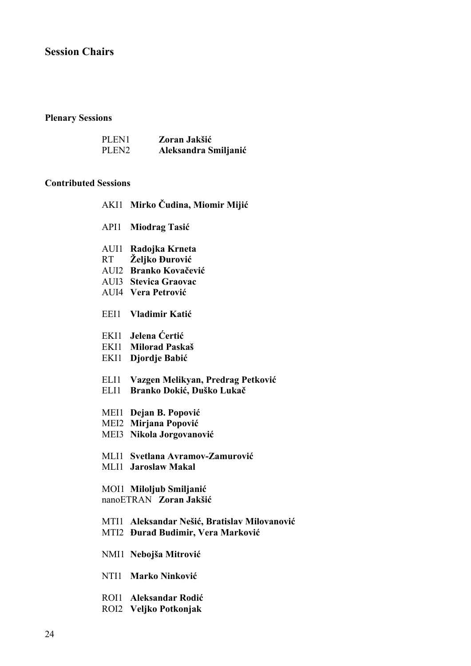# **Session Chairs**

# **Plenary Sessions**

| PLEN1             | Zoran Jakšić         |
|-------------------|----------------------|
| PLEN <sub>2</sub> | Aleksandra Smiljanić |

# **Contributed Sessions**

|              | AKI1 Mirko Čudina, Miomir Mijić                                                                                |
|--------------|----------------------------------------------------------------------------------------------------------------|
| API1         | <b>Miodrag Tasić</b>                                                                                           |
| AUI1<br>RT   | Radojka Krneta<br>Željko Đurović<br>AUI2 Branko Kovačević<br>AUI3 Stevica Graovac<br><b>AUI4 Vera Petrović</b> |
| EEI1         | Vladimir Katić                                                                                                 |
| EKI1<br>EKI1 | Jelena Ćertić<br>EKI1 Milorad Paskaš<br>Djordje Babić                                                          |
| ELI1<br>ELI1 | Vazgen Melikyan, Predrag Petković<br>Branko Dokić, Duško Lukač                                                 |
| MEI3         | MEI1 Dejan B. Popović<br>MEI2 Mirjana Popović<br>Nikola Jorgovanović                                           |
| MLI1         | MLI1 Svetlana Avramov-Zamurović<br><b>Jaroslaw Makal</b>                                                       |
|              | MOI1 Miloljub Smiljanić<br>nanoETRAN Zoran Jakšić                                                              |
| MTI1<br>MTI2 | Aleksandar Nešić, Bratislav Milovanović<br><b>Đurađ Budimir, Vera Marković</b>                                 |
|              | NMI1 Nebojša Mitrović                                                                                          |
| NTI1         | <b>Marko Ninković</b>                                                                                          |
| ROI1         | <b>Aleksandar Rodić</b><br>ROI2 Veljko Potkonjak                                                               |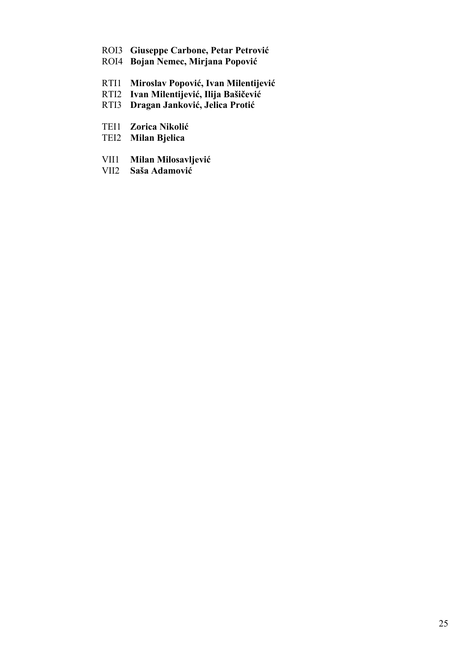- ROI3 **Giuseppe Carbone, Petar Petrović**
- ROI4 **Bojan Nemec, Mirjana Popović**
- RTI1 **Miroslav Popović, Ivan Milentijević**
- RTI2 **Ivan Milentijević, Ilija Bašičević**
- RTI3 **Dragan Janković, Jelica Protić**
- TEI1 **Zorica Nikolić**
- TEI2 **Milan Bjelica**
- VII1 **Milan Milosavljević**
- VII2 **Saša Adamović**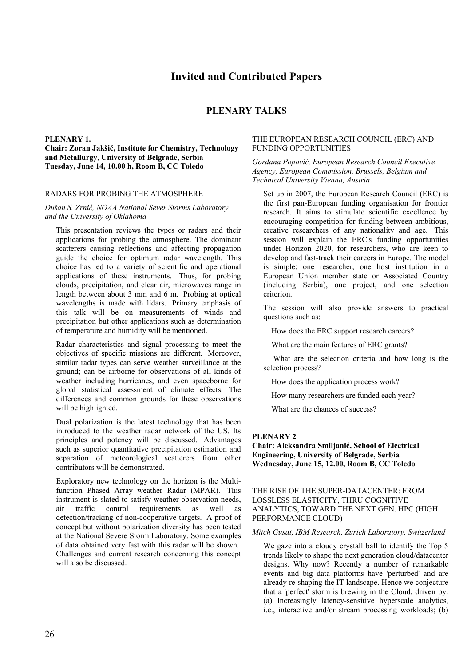# **Invited and Contributed Papers**

# **PLENARY TALKS**

#### **PLENARY 1.**

#### **Chair: Zoran Jakšić, Institute for Chemistry, Technology and Metallurgy, University of Belgrade, Serbia Tuesday, June 14, 10.00 h, Room B, CC Toledo**

#### RADARS FOR PROBING THE ATMOSPHERE

#### *Dušan S. Zrnić, NOAA National Sever Storms Laboratory and the University of Oklahoma*

This presentation reviews the types or radars and their applications for probing the atmosphere. The dominant scatterers causing reflections and affecting propagation guide the choice for optimum radar wavelength. This choice has led to a variety of scientific and operational applications of these instruments. Thus, for probing clouds, precipitation, and clear air, microwaves range in length between about 3 mm and 6 m. Probing at optical wavelengths is made with lidars. Primary emphasis of this talk will be on measurements of winds and precipitation but other applications such as determination of temperature and humidity will be mentioned.

Radar characteristics and signal processing to meet the objectives of specific missions are different. Moreover, similar radar types can serve weather surveillance at the ground; can be airborne for observations of all kinds of weather including hurricanes, and even spaceborne for global statistical assessment of climate effects. The differences and common grounds for these observations will be highlighted.

Dual polarization is the latest technology that has been introduced to the weather radar network of the US. Its principles and potency will be discussed. Advantages such as superior quantitative precipitation estimation and separation of meteorological scatterers from other contributors will be demonstrated.

Exploratory new technology on the horizon is the Multifunction Phased Array weather Radar (MPAR). This instrument is slated to satisfy weather observation needs, air traffic control requirements as well as detection/tracking of non-cooperative targets. A proof of concept but without polarization diversity has been tested at the National Severe Storm Laboratory. Some examples of data obtained very fast with this radar will be shown. Challenges and current research concerning this concept will also be discussed.

#### THE EUROPEAN RESEARCH COUNCIL (ERC) AND FUNDING OPPORTUNITIES

#### *Gordana Popović, European Research Council Executive Agency, European Commission, Brussels, Belgium and Technical University Vienna, Austria*

Set up in 2007, the European Research Council (ERC) is the first pan-European funding organisation for frontier research. It aims to stimulate scientific excellence by encouraging competition for funding between ambitious, creative researchers of any nationality and age. This session will explain the ERC's funding opportunities under Horizon 2020, for researchers, who are keen to develop and fast-track their careers in Europe. The model is simple: one researcher, one host institution in a European Union member state or Associated Country (including Serbia), one project, and one selection criterion.

The session will also provide answers to practical questions such as:

How does the ERC support research careers?

What are the main features of ERC grants?

 What are the selection criteria and how long is the selection process?

How does the application process work?

How many researchers are funded each year?

What are the chances of success?

#### **PLENARY 2**

**Chair: Aleksandra Smiljanić, School of Electrical Engineering, University of Belgrade, Serbia Wednesday, June 15, 12.00, Room B, CC Toledo**

#### THE RISE OF THE SUPER-DATACENTER: FROM LOSSLESS ELASTICITY, THRU COGNITIVE ANALYTICS, TOWARD THE NEXT GEN. HPC (HIGH PERFORMANCE CLOUD)

#### *Mitch Gusat, IBM Research, Zurich Laboratory, Switzerland*

We gaze into a cloudy crystall ball to identify the Top 5 trends likely to shape the next generation cloud/datacenter designs. Why now? Recently a number of remarkable events and big data platforms have 'perturbed' and are already re-shaping the IT landscape. Hence we conjecture that a 'perfect' storm is brewing in the Cloud, driven by: (a) Increasingly latency-sensitive hyperscale analytics, i.e., interactive and/or stream processing workloads; (b)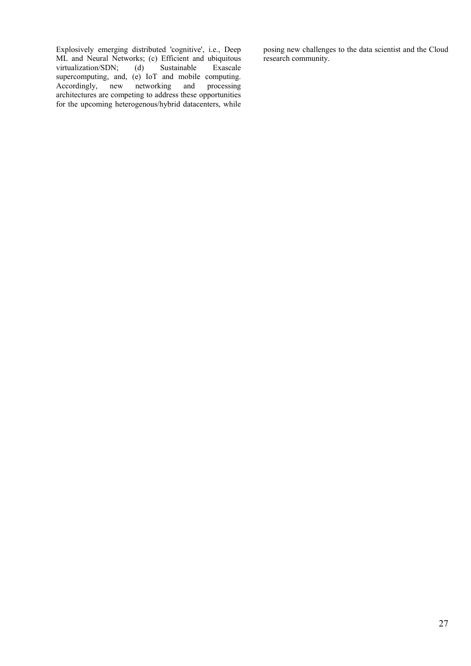Explosively emerging distributed 'cognitive', i.e., Deep ML and Neural Networks; (c) Efficient and ubiquitous<br>virtualization/SDN; (d) Sustainable Exascale virtualization/SDN; (d) Sustainable Exascale supercomputing, and, (e) IoT and mobile computing.<br>Accordingly, new networking and processing  $Accordingly,$ architectures are competing to address these opportunities for the upcoming heterogenous/hybrid datacenters, while posing new challenges to the data scientist and the Cloud research community.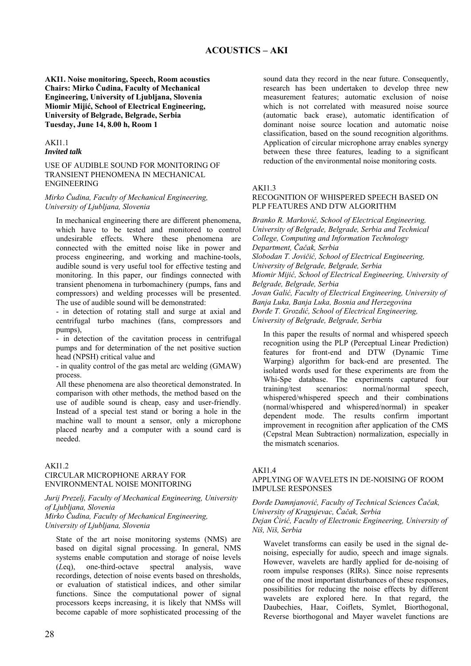#### **AKI1. Noise monitoring, Speech, Room acoustics Chairs: Mirko Čudina, Faculty of Mechanical Engineering, University of Ljubljana, Slovenia Miomir Mijić, School of Electrical Engineering, University of Belgrade, Belgrade, Serbia Tuesday, June 14, 8.00 h, Room 1**

#### AKI1.1 *Invited talk*

#### USE OF AUDIBLE SOUND FOR MONITORING OF TRANSIENT PHENOMENA IN MECHANICAL ENGINEERING

#### *Mirko Čudina, Faculty of Mechanical Engineering, University of Ljubljana, Slovenia*

In mechanical engineering there are different phenomena, which have to be tested and monitored to control undesirable effects. Where these phenomena are connected with the emitted noise like in power and process engineering, and working and machine-tools, audible sound is very useful tool for effective testing and monitoring. In this paper, our findings connected with transient phenomena in turbomachinery (pumps, fans and compressors) and welding processes will be presented. The use of audible sound will be demonstrated:

- in detection of rotating stall and surge at axial and centrifugal turbo machines (fans, compressors and pumps),

- in detection of the cavitation process in centrifugal pumps and for determination of the net positive suction head (NPSH) critical value and

- in quality control of the gas metal arc welding (GMAW) process.

All these phenomena are also theoretical demonstrated. In comparison with other methods, the method based on the use of audible sound is cheap, easy and user-friendly. Instead of a special test stand or boring a hole in the machine wall to mount a sensor, only a microphone placed nearby and a computer with a sound card is needed.

#### **AKI12**

#### CIRCULAR MICROPHONE ARRAY FOR ENVIRONMENTAL NOISE MONITORING

*Jurij Prezelj, Faculty of Mechanical Engineering, University of Ljubljana, Slovenia* 

*Mirko Čudina, Faculty of Mechanical Engineering, University of Ljubljana, Slovenia* 

State of the art noise monitoring systems (NMS) are based on digital signal processing. In general, NMS systems enable computation and storage of noise levels (*L*eq), one-third-octave spectral analysis, wave recordings, detection of noise events based on thresholds, or evaluation of statistical indices, and other similar functions. Since the computational power of signal processors keeps increasing, it is likely that NMSs will become capable of more sophisticated processing of the sound data they record in the near future. Consequently, research has been undertaken to develop three new measurement features; automatic exclusion of noise which is not correlated with measured noise source (automatic back erase), automatic identification of dominant noise source location and automatic noise classification, based on the sound recognition algorithms. Application of circular microphone array enables synergy between these three features, leading to a significant reduction of the environmental noise monitoring costs.

#### AKI1.3

#### RECOGNITION OF WHISPERED SPEECH BASED ON PLP FEATURES AND DTW ALGORITHM

*Branko R. Marković, School of Electrical Engineering, University of Belgrade, Belgrade, Serbia and Technical College, Computing and Information Technology Department, Čačak, Serbia Slobodan T. Jovičić, School of Electrical Engineering, University of Belgrade, Belgrade, Serbia Miomir Mijić, School of Electrical Engineering, University of Belgrade, Belgrade, Serbia Jovan Galić, Faculty of Electrical Engineering, University of Banja Luka, Banja Luka, Bosnia and Herzegovina Đorđe T. Grozdić, School of Electrical Engineering, University of Belgrade, Belgrade, Serbia* 

In this paper the results of normal and whispered speech recognition using the PLP (Perceptual Linear Prediction) features for front-end and DTW (Dynamic Time Warping) algorithm for back-end are presented. The isolated words used for these experiments are from the Whi-Spe database. The experiments captured four training/test scenarios: normal/normal speech, whispered/whispered speech and their combinations (normal/whispered and whispered/normal) in speaker dependent mode. The results confirm important improvement in recognition after application of the CMS (Cepstral Mean Subtraction) normalization, especially in the mismatch scenarios.

#### AKI1.4

#### APPLYING OF WAVELETS IN DE-NOISING OF ROOM IMPULSE RESPONSES

*Đorđe Damnjanović, Faculty of Technical Sciences Čačak, University of Kragujevac, Čačak, Serbia* 

#### *Dejan Ćirić, Faculty of Electronic Engineering, University of Niš, Niš, Serbia*

Wavelet transforms can easily be used in the signal denoising, especially for audio, speech and image signals. However, wavelets are hardly applied for de-noising of room impulse responses (RIRs). Since noise represents one of the most important disturbances of these responses, possibilities for reducing the noise effects by different wavelets are explored here. In that regard, the Daubechies, Haar, Coiflets, Symlet, Biorthogonal, Reverse biorthogonal and Mayer wavelet functions are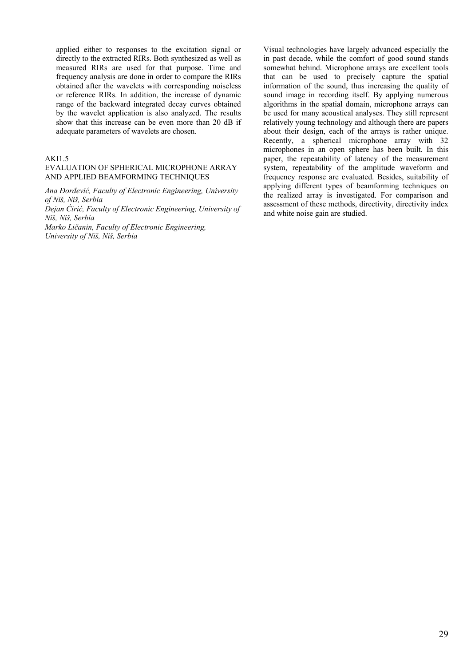applied either to responses to the excitation signal or directly to the extracted RIRs. Both synthesized as well as measured RIRs are used for that purpose. Time and frequency analysis are done in order to compare the RIRs obtained after the wavelets with corresponding noiseless or reference RIRs. In addition, the increase of dynamic range of the backward integrated decay curves obtained by the wavelet application is also analyzed. The results show that this increase can be even more than 20 dB if adequate parameters of wavelets are chosen.

#### AKI1.5

#### EVALUATION OF SPHERICAL MICROPHONE ARRAY AND APPLIED BEAMFORMING TECHNIQUES

*Ana Đorđević, Faculty of Electronic Engineering, University of Niš, Niš, Serbia* 

*Dejan Ćirić, Faculty of Electronic Engineering, University of Niš, Niš, Serbia* 

*Marko Ličanin, Faculty of Electronic Engineering, University of Niš, Niš, Serbia* 

Visual technologies have largely advanced especially the in past decade, while the comfort of good sound stands somewhat behind. Microphone arrays are excellent tools that can be used to precisely capture the spatial information of the sound, thus increasing the quality of sound image in recording itself. By applying numerous algorithms in the spatial domain, microphone arrays can be used for many acoustical analyses. They still represent relatively young technology and although there are papers about their design, each of the arrays is rather unique. Recently, a spherical microphone array with 32 microphones in an open sphere has been built. In this paper, the repeatability of latency of the measurement system, repeatability of the amplitude waveform and frequency response are evaluated. Besides, suitability of applying different types of beamforming techniques on the realized array is investigated. For comparison and assessment of these methods, directivity, directivity index and white noise gain are studied.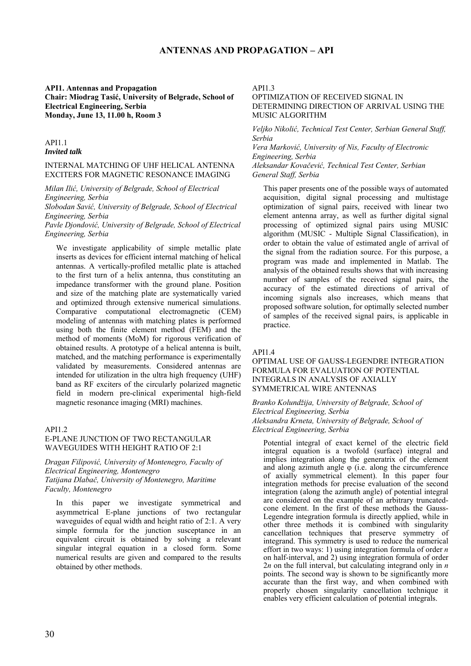### **ANTENNAS AND PROPAGATION – API**

#### **API1. Antennas and Propagation Chair: Miodrag Tasić, University of Belgrade, School of Electrical Engineering, Serbia Monday, June 13, 11.00 h, Room 3**

#### API1.1 *Invited talk*

#### INTERNAL MATCHING OF UHF HELICAL ANTENNA EXCITERS FOR MAGNETIC RESONANCE IMAGING

*Milan Ilić, University of Belgrade, School of Electrical Engineering, Serbia*

*Slobodan Savić, University of Belgrade, School of Electrical Engineering, Serbia*

*Pavle Djondović, University of Belgrade, School of Electrical Engineering, Serbia* 

We investigate applicability of simple metallic plate inserts as devices for efficient internal matching of helical antennas. A vertically-profiled metallic plate is attached to the first turn of a helix antenna, thus constituting an impedance transformer with the ground plane. Position and size of the matching plate are systematically varied and optimized through extensive numerical simulations. Comparative computational electromagnetic (CEM) modeling of antennas with matching plates is performed using both the finite element method (FEM) and the method of moments (MoM) for rigorous verification of obtained results. A prototype of a helical antenna is built, matched, and the matching performance is experimentally validated by measurements. Considered antennas are intended for utilization in the ultra high frequency (UHF) band as RF exciters of the circularly polarized magnetic field in modern pre-clinical experimental high-field magnetic resonance imaging (MRI) machines.

#### API1.2

#### E-PLANE JUNCTION OF TWO RECTANGULAR WAVEGUIDES WITH HEIGHT RATIO OF 2:1

*Dragan Filipović, University of Montenegro, Faculty of Electrical Engineering, Montenegro Tatijana Dlabač, University of Montenegro, Maritime Faculty, Montenegro* 

In this paper we investigate symmetrical and asymmetrical E-plane junctions of two rectangular waveguides of equal width and height ratio of 2:1. A very simple formula for the junction susceptance in an equivalent circuit is obtained by solving a relevant singular integral equation in a closed form. Some numerical results are given and compared to the results obtained by other methods.

API1.3

#### OPTIMIZATION OF RECEIVED SIGNAL IN DETERMINING DIRECTION OF ARRIVAL USING THE MUSIC ALGORITHM

*Veljko Nikolić, Technical Test Center, Serbian General Staff, Serbia* 

*Vera Marković, University of Nis, Faculty of Electronic Engineering, Serbia* 

*Aleksandar Kovačević, Technical Test Center, Serbian General Staff, Serbia* 

This paper presents one of the possible ways of automated acquisition, digital signal processing and multistage optimization of signal pairs, received with linear two element antenna array, as well as further digital signal processing of optimized signal pairs using MUSIC algorithm (MUSIC - Multiple Signal Classification), in order to obtain the value of estimated angle of arrival of the signal from the radiation source. For this purpose, a program was made and implemented in Matlab. The analysis of the obtained results shows that with increasing number of samples of the received signal pairs, the accuracy of the estimated directions of arrival of incoming signals also increases, which means that proposed software solution, for optimally selected number of samples of the received signal pairs, is applicable in practice.

#### API1.4

OPTIMAL USE OF GAUSS-LEGENDRE INTEGRATION FORMULA FOR EVALUATION OF POTENTIAL INTEGRALS IN ANALYSIS OF AXIALLY SYMMETRICAL WIRE ANTENNAS

#### *Branko Kolundžija, University of Belgrade, School of Electrical Engineering, Serbia Aleksandra Krneta, University of Belgrade, School of Electrical Engineering, Serbia*

Potential integral of exact kernel of the electric field integral equation is a twofold (surface) integral and implies integration along the generatrix of the element and along azimuth angle  $\varphi$  (i.e. along the circumference of axially symmetrical element). In this paper four integration methods for precise evaluation of the second integration (along the azimuth angle) of potential integral are considered on the example of an arbitrary truncatedcone element. In the first of these methods the Gauss-Legendre integration formula is directly applied, while in other three methods it is combined with singularity cancellation techniques that preserve symmetry of integrand. This symmetry is used to reduce the numerical effort in two ways: 1) using integration formula of order *n* on half-interval, and 2) using integration formula of order 2*n* on the full interval, but calculating integrand only in *n* points. The second way is shown to be significantly more accurate than the first way, and when combined with properly chosen singularity cancellation technique it enables very efficient calculation of potential integrals.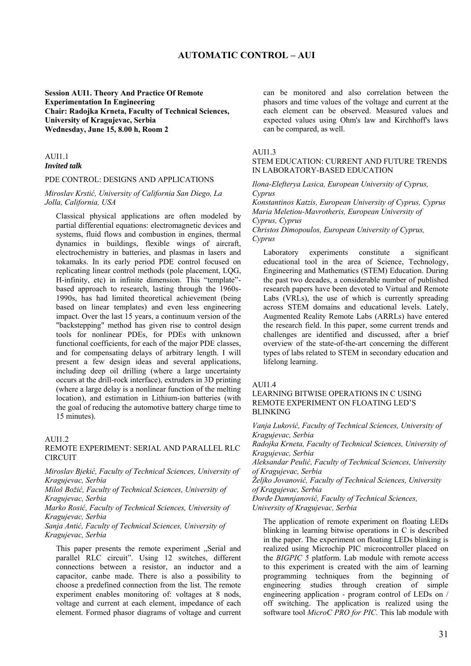## **AUTOMATIC CONTROL – AUI**

#### **Session AUI1. Theory And Practice Of Remote Experimentation In Engineering Chair: Radojka Krneta, Faculty of Technical Sciences, University of Kragujevac, Serbia Wednesday, June 15, 8.00 h, Room 2**

A<sub>II1</sub>1

#### *Invited talk*

#### PDE CONTROL: DESIGNS AND APPLICATIONS

*Miroslav Krstić, University of California San Diego, La Jolla, California, USA* 

Classical physical applications are often modeled by partial differential equations: electromagnetic devices and systems, fluid flows and combustion in engines, thermal dynamics in buildings, flexible wings of aircraft, electrochemistry in batteries, and plasmas in lasers and tokamaks. In its early period PDE control focused on replicating linear control methods (pole placement, LQG, H-infinity, etc) in infinite dimension. This "template" based approach to research, lasting through the 1960s-1990s, has had limited theoretical achievement (being based on linear templates) and even less engineering impact. Over the last 15 years, a continuum version of the "backstepping" method has given rise to control design tools for nonlinear PDEs, for PDEs with unknown functional coefficients, for each of the major PDE classes, and for compensating delays of arbitrary length. I will present a few design ideas and several applications, including deep oil drilling (where a large uncertainty occurs at the drill-rock interface), extruders in 3D printing (where a large delay is a nonlinear function of the melting location), and estimation in Lithium-ion batteries (with the goal of reducing the automotive battery charge time to 15 minutes).

#### AUI1.2

#### REMOTE EXPERIMENT: SERIAL AND PARALLEL RLC CIRCUIT

*Miroslav Bjekić, Faculty of Technical Sciences, University of Kragujevac, Serbia* 

*Miloš Božić, Faculty of Technical Sciences, University of Kragujevac, Serbia* 

*Marko Rosić, Faculty of Technical Sciences, University of Kragujevac, Serbia* 

*Sanja Antić, Faculty of Technical Sciences, University of Kragujevac, Serbia* 

This paper presents the remote experiment "Serial and parallel RLC circuit". Using 12 switches, different connections between a resistor, an inductor and a capacitor, canbe made. There is also a possibility to choose a predefined connection from the list. The remote experiment enables monitoring of: voltages at 8 nods, voltage and current at each element, impedance of each element. Formed phasor diagrams of voltage and current can be monitored and also correlation between the phasors and time values of the voltage and current at the each element can be observed. Measured values and expected values using Ohm's law and Kirchhoff's laws can be compared, as well.

#### AUI1.3

#### STEM EDUCATION: CURRENT AND FUTURE TRENDS IN LABORATORY-BASED EDUCATION

*Ilona-Elefterya Lasica, European University of Cyprus, Cyprus Konstantinos Katzis, European University of Cyprus, Cyprus Maria Meletiou-Mavrotheris, European University of Cyprus, Cyprus Christos Dimopoulos, European University of Cyprus, Cyprus* 

Laboratory experiments constitute a significant educational tool in the area of Science, Technology, Engineering and Mathematics (STEM) Education. During the past two decades, a considerable number of published research papers have been devoted to Virtual and Remote Labs (VRLs), the use of which is currently spreading across STEM domains and educational levels. Lately, Augmented Reality Remote Labs (ARRLs) have entered the research field. In this paper, some current trends and challenges are identified and discussed, after a brief overview of the state-of-the-art concerning the different types of labs related to STEM in secondary education and lifelong learning.

#### AUI1.4

LEARNING BITWISE OPERATIONS IN C USING REMOTE EXPERIMENT ON FLOATING LED'S BLINKING

*Vanja Luković, Faculty of Technical Sciences, University of Kragujevac, Serbia* 

*Radojka Krneta, Faculty of Technical Sciences, University of Kragujevac, Serbia* 

*Aleksandar Peulić, Faculty of Technical Sciences, University of Kragujevac, Serbia* 

*Željko Jovanović, Faculty of Technical Sciences, University of Kragujevac, Serbia* 

*Đorđe Damnjanović, Faculty of Technical Sciences, University of Kragujevac, Serbia* 

The application of remote experiment on floating LEDs blinking in learning bitwise operations in C is described in the paper. The experiment on floating LEDs blinking is realized using Microchip PIC microcontroller placed on the *BIGPIC 5* platform. Lab module with remote access to this experiment is created with the aim of learning programming techniques from the beginning of engineering studies through creation of simple engineering application - program control of LEDs on / off switching. The application is realized using the software tool *MicroC PRO for PIC*. This lab module with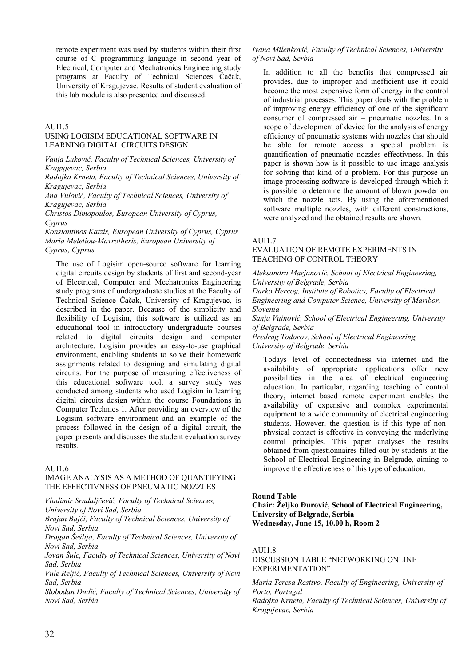remote experiment was used by students within their first course of C programming language in second year of Electrical, Computer and Mechatronics Engineering study programs at Faculty of Technical Sciences Čačak, University of Kragujevac. Results of student evaluation of this lab module is also presented and discussed.

#### AUI1.5

#### USING LOGISIM EDUCATIONAL SOFTWARE IN LEARNING DIGITAL CIRCUITS DESIGN

*Vanja Luković, Faculty of Technical Sciences, University of Kragujevac, Serbia* 

*Radojka Krneta, Faculty of Technical Sciences, University of Kragujevac, Serbia* 

*Ana Vulović, Faculty of Technical Sciences, University of Kragujevac, Serbia* 

*Christos Dimopoulos, European University of Cyprus, Cyprus* 

*Konstantinos Katzis, European University of Cyprus, Cyprus Maria Meletiou-Mavrotheris, European University of Cyprus, Cyprus* 

The use of Logisim open-source software for learning digital circuits design by students of first and second-year of Electrical, Computer and Mechatronics Engineering study programs of undergraduate studies at the Faculty of Technical Science Čačak, University of Kragujevac, is described in the paper. Because of the simplicity and flexibility of Logisim, this software is utilized as an educational tool in introductory undergraduate courses related to digital circuits design and computer architecture. Logisim provides an easy-to-use graphical environment, enabling students to solve their homework assignments related to designing and simulating digital circuits. For the purpose of measuring effectiveness of this educational software tool, a survey study was conducted among students who used Logisim in learning digital circuits design within the course Foundations in Computer Technics 1. After providing an overview of the Logisim software environment and an example of the process followed in the design of a digital circuit, the paper presents and discusses the student evaluation survey results.

#### AUI1.6

#### IMAGE ANALYSIS AS A METHOD OF QUANTIFYING THE EFFECTIVNESS OF PNEUMATIC NOZZLES

*Vladimir Srndaljčević, Faculty of Technical Sciences, University of Novi Sad, Serbia* 

*Brajan Bajči, Faculty of Technical Sciences, University of Novi Sad, Serbia* 

*Dragan Šešlija, Faculty of Technical Sciences, University of Novi Sad, Serbia* 

*Jovan Šulc, Faculty of Technical Sciences, University of Novi Sad, Serbia* 

*Vule Reljić, Faculty of Technical Sciences, University of Novi Sad, Serbia* 

*Slobodan Dudić, Faculty of Technical Sciences, University of Novi Sad, Serbia* 

#### *Ivana Milenković, Faculty of Technical Sciences, University of Novi Sad, Serbia*

In addition to all the benefits that compressed air provides, due to improper and inefficient use it could become the most expensive form of energy in the control of industrial processes. This paper deals with the problem of improving energy efficiency of one of the significant consumer of compressed air – pneumatic nozzles. In a scope of development of device for the analysis of energy efficiency of pneumatic systems with nozzles that should be able for remote access a special problem is quantification of pneumatic nozzles effectivness. In this paper is shown how is it possible to use image analysis for solving that kind of a problem. For this purpose an image processing software is developed through which it is possible to determine the amount of blown powder on which the nozzle acts. By using the aforementioned software multiple nozzles, with different constructions, were analyzed and the obtained results are shown.

#### AUI1.7

### EVALUATION OF REMOTE EXPERIMENTS IN TEACHING OF CONTROL THEORY

*Aleksandra Marjanović, School of Electrical Engineering, University of Belgrade, Serbia* 

*Darko Hercog, Institute of Robotics, Faculty of Electrical Engineering and Computer Science, University of Maribor, Slovenia* 

*Sanja Vujnović, School of Electrical Engineering, University of Belgrade, Serbia* 

*Predrag Todorov, School of Electrical Engineering, University of Belgrade, Serbia* 

Todays level of connectedness via internet and the availability of appropriate applications offer new possibilities in the area of electrical engineering education. In particular, regarding teaching of control theory, internet based remote experiment enables the availability of expensive and complex experimental equipment to a wide community of electrical engineering students. However, the question is if this type of nonphysical contact is effective in conveying the underlying control principles. This paper analyses the results obtained from questionnaires filled out by students at the School of Electrical Engineering in Belgrade, aiming to improve the effectiveness of this type of education.

#### **Round Table**

**Chair: Željko Đurović, School of Electrical Engineering, University of Belgrade, Serbia Wednesday, June 15, 10.00 h, Room 2**

#### AUI1.8

DISCUSSION TABLE "NETWORKING ONLINE EXPERIMENTATION"

*Maria Teresa Restivo, Faculty of Engineering, University of Porto, Portugal Radojka Krneta, Faculty of Technical Sciences, University of Kragujevac, Serbia*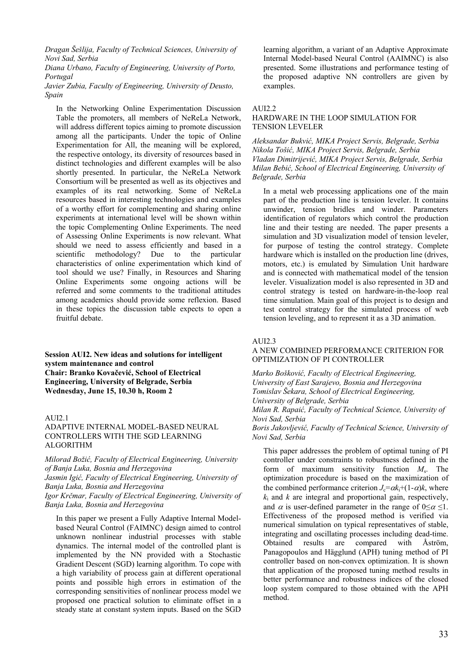*Dragan Šešlija, Faculty of Technical Sciences, University of Novi Sad, Serbia* 

*Diana Urbano, Faculty of Engineering, University of Porto, Portugal* 

*Javier Zubia, Faculty of Engineering, University of Deusto, Spain* 

In the Networking Online Experimentation Discussion Table the promoters, all members of NeReLa Network, will address different topics aiming to promote discussion among all the participants. Under the topic of Online Experimentation for All, the meaning will be explored, the respective ontology, its diversity of resources based in distinct technologies and different examples will be also shortly presented. In particular, the NeReLa Network Consortium will be presented as well as its objectives and examples of its real networking. Some of NeReLa resources based in interesting technologies and examples of a worthy effort for complementing and sharing online experiments at international level will be shown within the topic Complementing Online Experiments. The need of Assessing Online Experiments is now relevant. What should we need to assess efficiently and based in a scientific methodology? Due to the particular characteristics of online experimentation which kind of tool should we use? Finally, in Resources and Sharing Online Experiments some ongoing actions will be referred and some comments to the traditional attitudes among academics should provide some reflexion. Based in these topics the discussion table expects to open a fruitful debate.

**Session AUI2. New ideas and solutions for intelligent system maintenance and control Chair: Branko Kovačević, School of Electrical Engineering, University of Belgrade, Serbia Wednesday, June 15, 10.30 h, Room 2**

#### AUI2.1

#### ADAPTIVE INTERNAL MODEL-BASED NEURAL CONTROLLERS WITH THE SGD LEARNING ALGORITHM

*Milorad Božić, Faculty of Electrical Engineering, University of Banja Luka, Bosnia and Herzegovina* 

*Jasmin Igić, Faculty of Electrical Engineering, University of Banja Luka, Bosnia and Herzegovina* 

*Igor Krčmar, Faculty of Electrical Engineering, University of Banja Luka, Bosnia and Herzegovina* 

In this paper we present a Fully Adaptive Internal Modelbased Neural Control (FAIMNC) design aimed to control unknown nonlinear industrial processes with stable dynamics. The internal model of the controlled plant is implemented by the NN provided with a Stochastic Gradient Descent (SGD) learning algorithm. To cope with a high variability of process gain at different operational points and possible high errors in estimation of the corresponding sensitivities of nonlinear process model we proposed one practical solution to eliminate offset in a steady state at constant system inputs. Based on the SGD learning algorithm, a variant of an Adaptive Approximate Internal Model-based Neural Control (AAIMNC) is also presented. Some illustrations and performance testing of the proposed adaptive NN controllers are given by examples.

#### $ATII2.2$

#### HARDWARE IN THE LOOP SIMULATION FOR TENSION LEVELER

*Aleksandar Bukvić, MIKA Project Servis, Belgrade, Serbia Nikola Tošić, MIKA Project Servis, Belgrade, Serbia Vladan Dimitrijević, MIKA Project Servis, Belgrade, Serbia Milan Bebić, School of Electrical Engineering, University of Belgrade, Serbia* 

In a metal web processing applications one of the main part of the production line is tension leveler. It contains unwinder, tension bridles and winder. Parameters identification of regulators which control the production line and their testing are needed. The paper presents a simulation and 3D visualization model of tension leveler, for purpose of testing the control strategy. Complete hardware which is installed on the production line (drives, motors, etc.) is emulated by Simulation Unit hardware and is connected with mathematical model of the tension leveler. Visualization model is also represented in 3D and control strategy is tested on hardware-in-the-loop real time simulation. Main goal of this project is to design and test control strategy for the simulated process of web tension leveling, and to represent it as a 3D animation.

#### AUI2.3

#### A NEW COMBINED PERFORMANCE CRITERION FOR OPTIMIZATION OF PI CONTROLLER

*Marko Bošković, Faculty of Electrical Engineering, University of East Sarajevo, Bosnia and Herzegovina Tomislav Šekara, School of Electrical Engineering, University of Belgrade, Serbia Milan R. Rapaić, Faculty of Technical Science, University of Novi Sad, Serbia Boris Jakovljević, Faculty of Technical Science, University of Novi Sad, Serbia* 

This paper addresses the problem of optimal tuning of PI controller under constraints to robustness defined in the form of maximum sensitivity function *M*s. The optimization procedure is based on the maximization of the combined performance criterion  $J_c = \alpha k_i + (1 - \alpha)k$ , where  $k_i$  and  $k$  are integral and proportional gain, respectively, and  $\alpha$  is user-defined parameter in the range of 0≤ $\alpha$  ≤1. Effectiveness of the proposed method is verified via numerical simulation on typical representatives of stable, integrating and oscillating processes including dead-time. Obtained results are compared with Åström, Panagopoulos and Hägglund (APH) tuning method of PI controller based on non-convex optimization. It is shown that application of the proposed tuning method results in better performance and robustness indices of the closed loop system compared to those obtained with the APH method.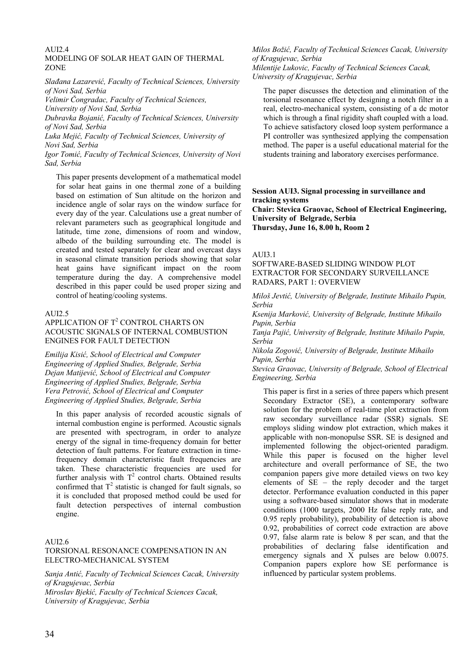## $AIII2.4$

#### MODELING OF SOLAR HEAT GAIN OF THERMAL ZONE

*Slađana Lazarević, Faculty of Technical Sciences, University of Novi Sad, Serbia* 

*Velimir Čongradac, Faculty of Technical Sciences,* 

*University of Novi Sad, Serbia* 

*Dubravka Bojanić, Faculty of Technical Sciences, University of Novi Sad, Serbia* 

*Luka Mejić, Faculty of Technical Sciences, University of Novi Sad, Serbia* 

*Igor Tomić, Faculty of Technical Sciences, University of Novi Sad, Serbia* 

This paper presents development of a mathematical model for solar heat gains in one thermal zone of a building based on estimation of Sun altitude on the horizon and incidence angle of solar rays on the window surface for every day of the year. Calculations use a great number of relevant parameters such as geographical longitude and latitude, time zone, dimensions of room and window, albedo of the building surrounding etc. The model is created and tested separately for clear and overcast days in seasonal climate transition periods showing that solar heat gains have significant impact on the room temperature during the day. A comprehensive model described in this paper could be used proper sizing and control of heating/cooling systems.

#### $ATII2.5$

#### APPLICATION OF  $T^2$  CONTROL CHARTS ON ACOUSTIC SIGNALS OF INTERNAL COMBUSTION ENGINES FOR FAULT DETECTION

*Emilija Kisić, School of Electrical and Computer Engineering of Applied Studies, Belgrade, Serbia Dejan Matijević, School of Electrical and Computer Engineering of Applied Studies, Belgrade, Serbia Vera Petrović, School of Electrical and Computer Engineering of Applied Studies, Belgrade, Serbia* 

In this paper analysis of recorded acoustic signals of internal combustion engine is performed. Acoustic signals are presented with spectrogram, in order to analyze energy of the signal in time-frequency domain for better detection of fault patterns. For feature extraction in timefrequency domain characteristic fault frequencies are taken. These characteristic frequencies are used for further analysis with  $T^2$  control charts. Obtained results confirmed that  $T^2$  statistic is changed for fault signals, so it is concluded that proposed method could be used for fault detection perspectives of internal combustion engine.

#### $AIII2.6$

#### TORSIONAL RESONANCE COMPENSATION IN AN ELECTRO-MECHANICAL SYSTEM

*Sanja Antić, Faculty of Technical Sciences Cacak, University of Kragujevac, Serbia Miroslav Bjekić, Faculty of Technical Sciences Cacak, University of Kragujevac, Serbia* 

#### *Milos Božić, Faculty of Technical Sciences Cacak, University of Kragujevac, Serbia Milentije Lukovic, Faculty of Technical Sciences Cacak, University of Kragujevac, Serbia*

The paper discusses the detection and elimination of the torsional resonance effect by designing a notch filter in a real, electro-mechanical system, consisting of a dc motor which is through a final rigidity shaft coupled with a load. To achieve satisfactory closed loop system performance a PI controller was synthesized applying the compensation method. The paper is a useful educational material for the students training and laboratory exercises performance.

#### **Session AUI3. Signal processing in surveillance and tracking systems Chair: Stevica Graovac, School of Electrical Engineering, University of Belgrade, Serbia Thursday, June 16, 8.00 h, Room 2**

#### AUI3.1

SOFTWARE-BASED SLIDING WINDOW PLOT EXTRACTOR FOR SECONDARY SURVEILLANCE RADARS, PART 1: OVERVIEW

*Miloš Jevtić, University of Belgrade, Institute Mihailo Pupin, Serbia* 

*Ksenija Marković, University of Belgrade, Institute Mihailo Pupin, Serbia* 

*Tanja Pajić, University of Belgrade, Institute Mihailo Pupin, Serbia* 

*Nikola Zogović, University of Belgrade, Institute Mihailo Pupin, Serbia* 

*Stevica Graovac, University of Belgrade, School of Electrical Engineering, Serbia* 

This paper is first in a series of three papers which present Secondary Extractor (SE), a contemporary software solution for the problem of real-time plot extraction from raw secondary surveillance radar (SSR) signals. SE employs sliding window plot extraction, which makes it applicable with non-monopulse SSR. SE is designed and implemented following the object-oriented paradigm. While this paper is focused on the higher level architecture and overall performance of SE, the two companion papers give more detailed views on two key elements of SE – the reply decoder and the target detector. Performance evaluation conducted in this paper using a software-based simulator shows that in moderate conditions (1000 targets, 2000 Hz false reply rate, and 0.95 reply probability), probability of detection is above 0.92, probabilities of correct code extraction are above 0.97, false alarm rate is below 8 per scan, and that the probabilities of declaring false identification and emergency signals and X pulses are below 0.0075. Companion papers explore how SE performance is influenced by particular system problems.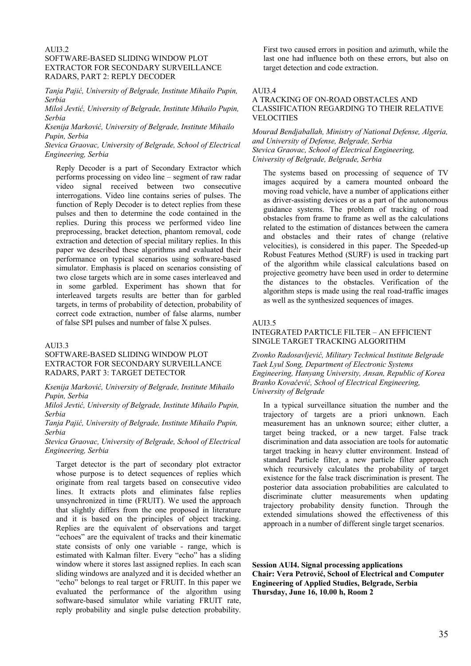#### AUI3.2

#### SOFTWARE-BASED SLIDING WINDOW PLOT EXTRACTOR FOR SECONDARY SURVEILLANCE RADARS, PART 2: REPLY DECODER

*Tanja Pajić, University of Belgrade, Institute Mihailo Pupin, Serbia* 

*Miloš Jevtić, University of Belgrade, Institute Mihailo Pupin, Serbia* 

*Ksenija Marković, University of Belgrade, Institute Mihailo Pupin, Serbia* 

*Stevica Graovac, University of Belgrade, School of Electrical Engineering, Serbia* 

Reply Decoder is a part of Secondary Extractor which performs processing on video line – segment of raw radar video signal received between two consecutive interrogations. Video line contains series of pulses. The function of Reply Decoder is to detect replies from these pulses and then to determine the code contained in the replies. During this process we performed video line preprocessing, bracket detection, phantom removal, code extraction and detection of special military replies. In this paper we described these algorithms and evaluated their performance on typical scenarios using software-based simulator. Emphasis is placed on scenarios consisting of two close targets which are in some cases interleaved and in some garbled. Experiment has shown that for interleaved targets results are better than for garbled targets, in terms of probability of detection, probability of correct code extraction, number of false alarms, number of false SPI pulses and number of false X pulses.

#### AUI3.3

#### SOFTWARE-BASED SLIDING WINDOW PLOT EXTRACTOR FOR SECONDARY SURVEILLANCE RADARS, PART 3: TARGET DETECTOR

*Ksenija Marković, University of Belgrade, Institute Mihailo Pupin, Serbia* 

*Miloš Jevtić, University of Belgrade, Institute Mihailo Pupin, Serbia* 

*Tanja Pajić, University of Belgrade, Institute Mihailo Pupin, Serbia* 

*Stevica Graovac, University of Belgrade, School of Electrical Engineering, Serbia* 

Target detector is the part of secondary plot extractor whose purpose is to detect sequences of replies which originate from real targets based on consecutive video lines. It extracts plots and eliminates false replies unsynchronized in time (FRUIT). We used the approach that slightly differs from the one proposed in literature and it is based on the principles of object tracking. Replies are the equivalent of observations and target "echoes" are the equivalent of tracks and their kinematic state consists of only one variable - range, which is estimated with Kalman filter. Every "echo" has a sliding window where it stores last assigned replies. In each scan sliding windows are analyzed and it is decided whether an "echo" belongs to real target or FRUIT. In this paper we evaluated the performance of the algorithm using software-based simulator while variating FRUIT rate, reply probability and single pulse detection probability.

First two caused errors in position and azimuth, while the last one had influence both on these errors, but also on target detection and code extraction.

#### AUI3.4

#### A TRACKING OF ON-ROAD OBSTACLES AND CLASSIFICATION REGARDING TO THEIR RELATIVE **VELOCITIES**

*Mourad Bendjaballah, Ministry of National Defense, Algeria, and University of Defense, Belgrade, Serbia Stevica Graovac, School of Electrical Engineering, University of Belgrade, Belgrade, Serbia* 

The systems based on processing of sequence of TV images acquired by a camera mounted onboard the moving road vehicle, have a number of applications either as driver-assisting devices or as a part of the autonomous guidance systems. The problem of tracking of road obstacles from frame to frame as well as the calculations related to the estimation of distances between the camera and obstacles and their rates of change (relative velocities), is considered in this paper. The Speeded-up Robust Features Method (SURF) is used in tracking part of the algorithm while classical calculations based on projective geometry have been used in order to determine the distances to the obstacles. Verification of the algorithm steps is made using the real road-traffic images as well as the synthesized sequences of images.

#### AUI3.5

#### INTEGRATED PARTICLE FILTER – AN EFFICIENT SINGLE TARGET TRACKING ALGORITHM

*Zvonko Radosavljević, Military Technical Institute Belgrade Taek Lyul Song, Department of Electronic Systems Engineering, Hanyang University, Ansan, Republic of Korea Branko Kovačević, School of Electrical Engineering, University of Belgrade* 

In a typical surveillance situation the number and the trajectory of targets are a priori unknown. Each measurement has an unknown source; either clutter, a target being tracked, or a new target. False track discrimination and data association are tools for automatic target tracking in heavy clutter environment. Instead of standard Particle filter, a new particle filter approach which recursively calculates the probability of target existence for the false track discrimination is present. The posterior data association probabilities are calculated to discriminate clutter measurements when updating trajectory probability density function. Through the extended simulations showed the effectiveness of this approach in a number of different single target scenarios.

**Session AUI4. Signal processing applications Chair: Vera Petrović, School of Electrical and Computer Engineering of Applied Studies, Belgrade, Serbia Thursday, June 16, 10.00 h, Room 2**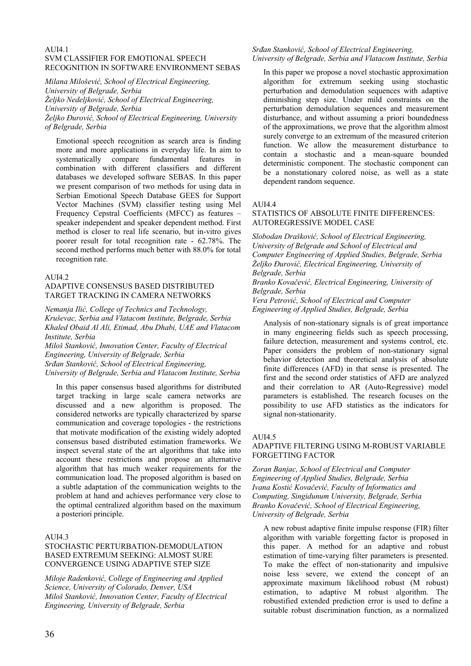#### **AUI4.1** SVM CLASSIFIER FOR EMOTIONAL SPEECH RECOGNITION IN SOFTWARE ENVIRONMENT SEBAS

*Milana Milošević, School of Electrical Engineering,* 

*University of Belgrade, Serbia* 

*Željko Nedeljković, School of Electrical Engineering,* 

*University of Belgrade, Serbia* 

*Željko Đurović, School of Electrical Engineering, University of Belgrade, Serbia* 

Emotional speech recognition as search area is finding more and more applications in everyday life. In aim to systematically compare fundamental features in combination with different classifiers and different databases we developed software SEBAS. In this paper we present comparison of two methods for using data in Serbian Emotional Speech Database GEES for Support Vector Machines (SVM) classifier testing using Mel Frequency Cepstral Coefficients (MFCC) as features – speaker independent and speaker dependent method. First method is closer to real life scenario, but in-vitro gives poorer result for total recognition rate - 62.78%. The second method performs much better with 88.0% for total recognition rate.

#### AUI4.2

#### ADAPTIVE CONSENSUS BASED DISTRIBUTED TARGET TRACKING IN CAMERA NETWORKS

*Nemanja Ilić, College of Technics and Technology, Kruševac, Serbia and Vlatacom Institute, Belgrade, Serbia Khaled Obaid Al Ali, Etimad, Abu Dhabi, UAE and Vlatacom Institute, Serbia* 

*Miloš Stanković, Innovation Center, Faculty of Electrical Engineering, University of Belgrade, Serbia Srđan Stanković, School of Electrical Engineering, University of Belgrade, Serbia and Vlatacom Institute, Serbia* 

In this paper consensus based algorithms for distributed target tracking in large scale camera networks are discussed and a new algorithm is proposed. The considered networks are typically characterized by sparse communication and coverage topologies - the restrictions that motivate modification of the existing widely adopted consensus based distributed estimation frameworks. We inspect several state of the art algorithms that take into account these restrictions and propose an alternative algorithm that has much weaker requirements for the communication load. The proposed algorithm is based on a subtle adaptation of the communication weights to the problem at hand and achieves performance very close to the optimal centralized algorithm based on the maximum a posteriori principle.

## AUI4.3

#### STOCHASTIC PERTURBATION-DEMODULATION BASED EXTREMUM SEEKING: ALMOST SURE CONVERGENCE USING ADAPTIVE STEP SIZE

*Miloje Radenković, College of Engineering and Applied Science, University of Colorado, Denver, USA Miloš Stanković, Innovation Center, Faculty of Electrical Engineering, University of Belgrade, Serbia* 

### *Srđan Stanković, School of Electrical Engineering, University of Belgrade, Serbia and Vlatacom Institute, Serbia*

In this paper we propose a novel stochastic approximation algorithm for extremum seeking using stochastic perturbation and demodulation sequences with adaptive diminishing step size. Under mild constraints on the perturbation demodulation sequences and measurement disturbance, and without assuming a priori boundedness of the approximations, we prove that the algorithm almost surely converge to an extremum of the measured criterion function. We allow the measurement disturbance to contain a stochastic and a mean-square bounded deterministic component. The stochastic component can be a nonstationary colored noise, as well as a state dependent random sequence.

#### AUI4.4

#### STATISTICS OF ABSOLUTE FINITE DIFFERENCES: AUTOREGRESSIVE MODEL CASE

*Slobodan Drašković, School of Electrical Engineering, University of Belgrade and School of Electrical and Computer Engineering of Applied Studies, Belgrade, Serbia Željko Đurović, Electrical Engineering, University of Belgrade, Serbia* 

*Branko Kovačević, Electrical Engineering, University of Belgrade, Serbia* 

*Vera Petrović, School of Electrical and Computer Engineering of Applied Studies, Belgrade, Serbia* 

Analysis of non-stationary signals is of great importance in many engineering fields such as speech processing, failure detection, measurement and systems control, etc. Paper considers the problem of non-stationary signal behavior detection and theoretical analysis of absolute finite differences (AFD) in that sense is presented. The first and the second order statistics of AFD are analyzed and their correlation to AR (Auto-Regressive) model parameters is established. The research focuses on the possibility to use AFD statistics as the indicators for signal non-stationarity.

## AUI4.5

#### ADAPTIVE FILTERING USING M-ROBUST VARIABLE FORGETTING FACTOR

*Zoran Banjac, School of Electrical and Computer Engineering of Applied Studies, Belgrade, Serbia Ivana Kostić Kovačević, Faculty of Informatics and Computing, Singidunum University, Belgrade, Serbia Branko Kovačević, School of Electrical Engineering, University of Belgrade, Serbia* 

A new robust adaptive finite impulse response (FIR) filter algorithm with variable forgetting factor is proposed in this paper. A method for an adaptive and robust estimation of time-varying filter parameters is presented. To make the effect of non-stationarity and impulsive noise less severe, we extend the concept of an approximate maximum likelihood robust (M robust) estimation, to adaptive M robust algorithm. The robustified extended prediction error is used to define a suitable robust discrimination function, as a normalized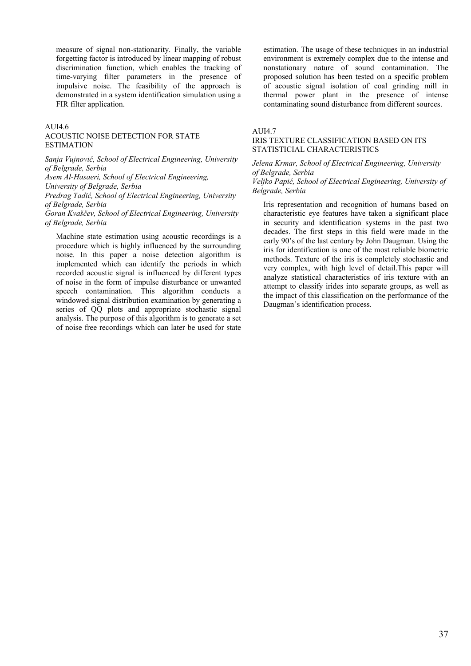measure of signal non-stationarity. Finally, the variable forgetting factor is introduced by linear mapping of robust discrimination function, which enables the tracking of time-varying filter parameters in the presence of impulsive noise. The feasibility of the approach is demonstrated in a system identification simulation using a FIR filter application.

#### AUI4.6

#### ACOUSTIC NOISE DETECTION FOR STATE **ESTIMATION**

*Sanja Vujnović, School of Electrical Engineering, University of Belgrade, Serbia* 

*Asem Al-Hasaeri, School of Electrical Engineering,* 

*University of Belgrade, Serbia* 

*Predrag Tadić, School of Electrical Engineering, University of Belgrade, Serbia* 

*Goran Kvaščev, School of Electrical Engineering, University of Belgrade, Serbia* 

Machine state estimation using acoustic recordings is a procedure which is highly influenced by the surrounding noise. In this paper a noise detection algorithm is implemented which can identify the periods in which recorded acoustic signal is influenced by different types of noise in the form of impulse disturbance or unwanted speech contamination. This algorithm conducts a windowed signal distribution examination by generating a series of QQ plots and appropriate stochastic signal analysis. The purpose of this algorithm is to generate a set of noise free recordings which can later be used for state estimation. The usage of these techniques in an industrial environment is extremely complex due to the intense and nonstationary nature of sound contamination. The proposed solution has been tested on a specific problem of acoustic signal isolation of coal grinding mill in thermal power plant in the presence of intense contaminating sound disturbance from different sources.

#### AUI4.7

#### IRIS TEXTURE CLASSIFICATION BASED ON ITS STATISTICIAL CHARACTERISTICS

# *Jelena Krmar, School of Electrical Engineering, University of Belgrade, Serbia*

#### *Veljko Papić, School of Electrical Engineering, University of Belgrade, Serbia*

Iris representation and recognition of humans based on characteristic eye features have taken a significant place in security and identification systems in the past two decades. The first steps in this field were made in the early 90's of the last century by John Daugman. Using the iris for identification is one of the most reliable biometric methods. Texture of the iris is completely stochastic and very complex, with high level of detail.This paper will analyze statistical characteristics of iris texture with an attempt to classify irides into separate groups, as well as the impact of this classification on the performance of the Daugman's identification process.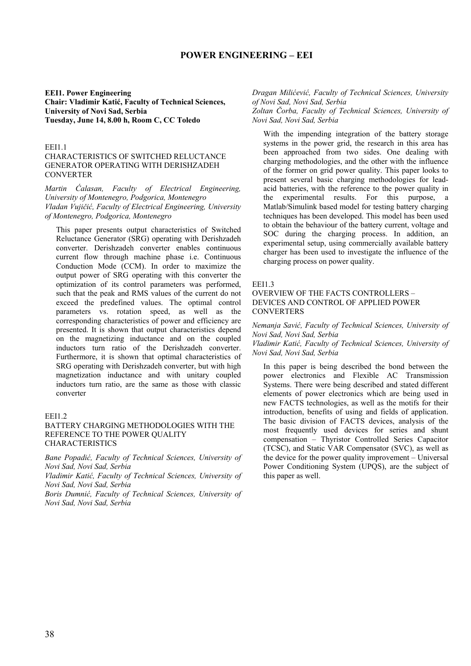# **POWER ENGINEERING – EEI**

**EEI1. Power Engineering Chair: Vladimir Katić, Faculty of Technical Sciences, University of Novi Sad, Serbia Tuesday, June 14, 8.00 h, Room C, CC Toledo**

#### EEI1.1

# CHARACTERISTICS OF SWITCHED RELUCTANCE GENERATOR OPERATING WITH DERISHZADEH CONVERTER

*Martin Ćalasan, Faculty of Electrical Engineering, University of Montenegro, Podgorica, Montenegro Vladan Vujičić, Faculty of Electrical Engineering, University of Montenegro, Podgorica, Montenegro* 

This paper presents output characteristics of Switched Reluctance Generator (SRG) operating with Derishzadeh converter. Derishzadeh converter enables continuous current flow through machine phase i.e. Continuous Conduction Mode (CCM). In order to maximize the output power of SRG operating with this converter the optimization of its control parameters was performed, such that the peak and RMS values of the current do not exceed the predefined values. The optimal control parameters vs. rotation speed, as well as the corresponding characteristics of power and efficiency are presented. It is shown that output characteristics depend on the magnetizing inductance and on the coupled inductors turn ratio of the Derishzadeh converter. Furthermore, it is shown that optimal characteristics of SRG operating with Derishzadeh converter, but with high magnetization inductance and with unitary coupled inductors turn ratio, are the same as those with classic converter

#### **EEI1.2**

#### BATTERY CHARGING METHODOLOGIES WITH THE REFERENCE TO THE POWER QUALITY CHARACTERISTICS

*Bane Popadić, Faculty of Technical Sciences, University of Novi Sad, Novi Sad, Serbia* 

*Vladimir Katić, Faculty of Technical Sciences, University of Novi Sad, Novi Sad, Serbia* 

*Boris Dumnić, Faculty of Technical Sciences, University of Novi Sad, Novi Sad, Serbia* 

# *Dragan Milićević, Faculty of Technical Sciences, University of Novi Sad, Novi Sad, Serbia*

*Zoltan Čorba, Faculty of Technical Sciences, University of Novi Sad, Novi Sad, Serbia* 

With the impending integration of the battery storage systems in the power grid, the research in this area has been approached from two sides. One dealing with charging methodologies, and the other with the influence of the former on grid power quality. This paper looks to present several basic charging methodologies for leadacid batteries, with the reference to the power quality in the experimental results. For this purpose, a Matlab/Simulink based model for testing battery charging techniques has been developed. This model has been used to obtain the behaviour of the battery current, voltage and SOC during the charging process. In addition, an experimental setup, using commercially available battery charger has been used to investigate the influence of the charging process on power quality.

#### EEI1.3

# OVERVIEW OF THE FACTS CONTROLLERS – DEVICES AND CONTROL OF APPLIED POWER **CONVERTERS**

*Nemanja Savić, Faculty of Technical Sciences, University of Novi Sad, Novi Sad, Serbia* 

*Vladimir Katić, Faculty of Technical Sciences, University of Novi Sad, Novi Sad, Serbia* 

In this paper is being described the bond between the power electronics and Flexible AC Transmission Systems. There were being described and stated different elements of power electronics which are being used in new FACTS technologies, as well as the motifs for their introduction, benefits of using and fields of application. The basic division of FACTS devices, analysis of the most frequently used devices for series and shunt compensation – Thyristor Controlled Series Capacitor (TCSC), and Static VAR Compensator (SVC), as well as the device for the power quality improvement – Universal Power Conditioning System (UPQS), are the subject of this paper as well.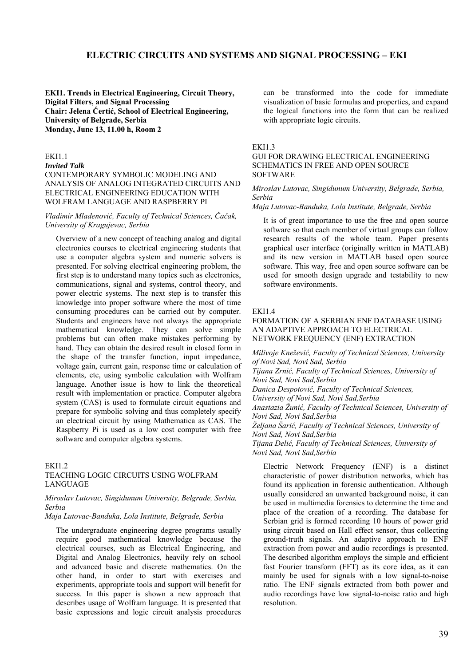# **ELECTRIC CIRCUITS AND SYSTEMS AND SIGNAL PROCESSING – EKI**

**EKI1. Trends in Electrical Engineering, Circuit Theory, Digital Filters, and Signal Processing Chair: Jelena Ćertić, School of Electrical Engineering, University of Belgrade, Serbia Monday, June 13, 11.00 h, Room 2**

# EKI1.1

*Invited Talk* CONTEMPORARY SYMBOLIC MODELING AND ANALYSIS OF ANALOG INTEGRATED CIRCUITS AND ELECTRICAL ENGINEERING EDUCATION WITH WOLFRAM LANGUAGE AND RASPBERRY PI

## *Vladimir Mladenović, Faculty of Technical Sciences, Čačak, University of Kragujevac, Serbia*

Overview of a new concept of teaching analog and digital electronics courses to electrical engineering students that use a computer algebra system and numeric solvers is presented. For solving electrical engineering problem, the first step is to understand many topics such as electronics. communications, signal and systems, control theory, and power electric systems. The next step is to transfer this knowledge into proper software where the most of time consuming procedures can be carried out by computer. Students and engineers have not always the appropriate mathematical knowledge. They can solve simple problems but can often make mistakes performing by hand. They can obtain the desired result in closed form in the shape of the transfer function, input impedance, voltage gain, current gain, response time or calculation of elements, etc, using symbolic calculation with Wolfram language. Another issue is how to link the theoretical result with implementation or practice. Computer algebra system (CAS) is used to formulate circuit equations and prepare for symbolic solving and thus completely specify an electrical circuit by using Mathematica as CAS. The Raspberry Pi is used as a low cost computer with free software and computer algebra systems.

#### **EKI1.2**

# TEACHING LOGIC CIRCUITS USING WOLFRAM LANGUAGE

## *Miroslav Lutovac, Singidunum University, Belgrade, Serbia, Serbia*

*Maja Lutovac-Banduka, Lola Institute, Belgrade, Serbia* 

The undergraduate engineering degree programs usually require good mathematical knowledge because the electrical courses, such as Electrical Engineering, and Digital and Analog Electronics, heavily rely on school and advanced basic and discrete mathematics. On the other hand, in order to start with exercises and experiments, appropriate tools and support will benefit for success. In this paper is shown a new approach that describes usage of Wolfram language. It is presented that basic expressions and logic circuit analysis procedures can be transformed into the code for immediate visualization of basic formulas and properties, and expand the logical functions into the form that can be realized with appropriate logic circuits.

#### **EKI1.3**

## GUI FOR DRAWING ELECTRICAL ENGINEERING SCHEMATICS IN FREE AND OPEN SOURCE SOFTWARE

#### *Miroslav Lutovac, Singidunum University, Belgrade, Serbia, Serbia*

*Maja Lutovac-Banduka, Lola Institute, Belgrade, Serbia* 

It is of great importance to use the free and open source software so that each member of virtual groups can follow research results of the whole team. Paper presents graphical user interface (originally written in MATLAB) and its new version in MATLAB based open source software. This way, free and open source software can be used for smooth design upgrade and testability to new software environments.

#### **EKI1.4**

## FORMATION OF A SERBIAN ENF DATABASE USING AN ADAPTIVE APPROACH TO ELECTRICAL NETWORK FREQUENCY (ENF) EXTRACTION

*Milivoje Knežević, Faculty of Technical Sciences, University of Novi Sad, Novi Sad, Serbia Tijana Zrnić, Faculty of Technical Sciences, University of Novi Sad, Novi Sad,Serbia Danica Despotović, Faculty of Technical Sciences, University of Novi Sad, Novi Sad,Serbia Anastazia Žunić, Faculty of Technical Sciences, University of Novi Sad, Novi Sad,Serbia Željana Šarić, Faculty of Technical Sciences, University of Novi Sad, Novi Sad,Serbia Tijana Delić, Faculty of Technical Sciences, University of Novi Sad, Novi Sad,Serbia* 

Electric Network Frequency (ENF) is a distinct characteristic of power distribution networks, which has found its application in forensic authentication. Although usually considered an unwanted background noise, it can be used in multimedia forensics to determine the time and place of the creation of a recording. The database for Serbian grid is formed recording 10 hours of power grid using circuit based on Hall effect sensor, thus collecting ground-truth signals. An adaptive approach to ENF extraction from power and audio recordings is presented. The described algorithm employs the simple and efficient fast Fourier transform (FFT) as its core idea, as it can mainly be used for signals with a low signal-to-noise ratio. The ENF signals extracted from both power and audio recordings have low signal-to-noise ratio and high resolution.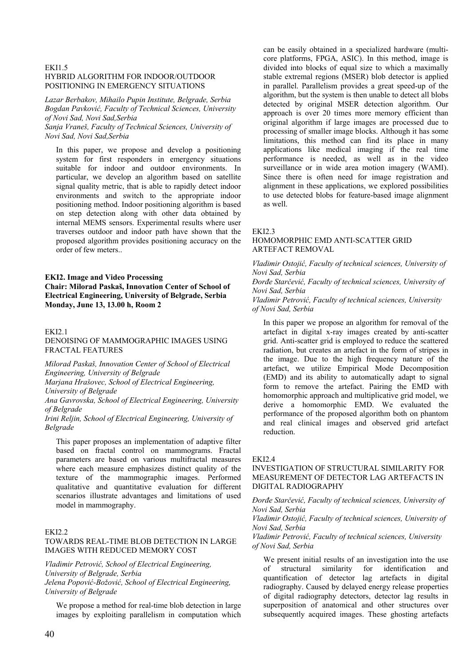#### **EKI1.5** HYBRID ALGORITHM FOR INDOOR/OUTDOOR POSITIONING IN EMERGENCY SITUATIONS

*Lazar Berbakov, Mihailo Pupin Institute, Belgrade, Serbia Bogdan Pavković, Faculty of Technical Sciences, University of Novi Sad, Novi Sad,Serbia* 

*Sanja Vraneš, Faculty of Technical Sciences, University of Novi Sad, Novi Sad,Serbia* 

In this paper, we propose and develop a positioning system for first responders in emergency situations suitable for indoor and outdoor environments. In particular, we develop an algorithm based on satellite signal quality metric, that is able to rapidly detect indoor environments and switch to the appropriate indoor positioning method. Indoor positioning algorithm is based on step detection along with other data obtained by internal MEMS sensors. Experimental results where user traverses outdoor and indoor path have shown that the proposed algorithm provides positioning accuracy on the order of few meters..

# **EKI2. Image and Video Processing Chair: Milorad Paskaš, Innovation Center of School of Electrical Engineering, University of Belgrade, Serbia Monday, June 13, 13.00 h, Room 2**

#### $FKI21$

# DENOISING OF MAMMOGRAPHIC IMAGES USING FRACTAL FEATURES

*Milorad Paskaš, Innovation Center of School of Electrical Engineering, University of Belgrade* 

*Marjana Hrašovec, School of Electrical Engineering, University of Belgrade* 

*Ana Gavrovska, School of Electrical Engineering, University of Belgrade* 

*Irini Reljin, School of Electrical Engineering, University of Belgrade* 

This paper proposes an implementation of adaptive filter based on fractal control on mammograms. Fractal parameters are based on various multifractal measures where each measure emphasizes distinct quality of the texture of the mammographic images. Performed qualitative and quantitative evaluation for different scenarios illustrate advantages and limitations of used model in mammography.

#### EKI2.2

# TOWARDS REAL-TIME BLOB DETECTION IN LARGE IMAGES WITH REDUCED MEMORY COST

*Vladimir Petrović, School of Electrical Engineering, University of Belgrade, Serbia Jelena Popović-Božović, School of Electrical Engineering, University of Belgrade* 

We propose a method for real-time blob detection in large images by exploiting parallelism in computation which can be easily obtained in a specialized hardware (multicore platforms, FPGA, ASIC). In this method, image is divided into blocks of equal size to which a maximally stable extremal regions (MSER) blob detector is applied in parallel. Parallelism provides a great speed-up of the algorithm, but the system is then unable to detect all blobs detected by original MSER detection algorithm. Our approach is over 20 times more memory efficient than original algorithm if large images are processed due to processing of smaller image blocks. Although it has some limitations, this method can find its place in many applications like medical imaging if the real time performance is needed, as well as in the video surveillance or in wide area motion imagery (WAMI). Since there is often need for image registration and alignment in these applications, we explored possibilities to use detected blobs for feature-based image alignment as well.

### EKI2.3

## HOMOMORPHIC EMD ANTI-SCATTER GRID ARTEFACT REMOVAL

*Vladimir Ostojić, Faculty of technical sciences, University of Novi Sad, Serbia* 

*Đorđe Starčević, Faculty of technical sciences, University of Novi Sad, Serbia* 

*Vladimir Petrović, Faculty of technical sciences, University of Novi Sad, Serbia* 

In this paper we propose an algorithm for removal of the artefact in digital x-ray images created by anti-scatter grid. Anti-scatter grid is employed to reduce the scattered radiation, but creates an artefact in the form of stripes in the image. Due to the high frequency nature of the artefact, we utilize Empirical Mode Decomposition (EMD) and its ability to automatically adapt to signal form to remove the artefact. Pairing the EMD with homomorphic approach and multiplicative grid model, we derive a homomorphic EMD. We evaluated the performance of the proposed algorithm both on phantom and real clinical images and observed grid artefact reduction.

#### EKI2.4

## INVESTIGATION OF STRUCTURAL SIMILARITY FOR MEASUREMENT OF DETECTOR LAG ARTEFACTS IN DIGITAL RADIOGRAPHY

*Đorđe Starčević, Faculty of technical sciences, University of Novi Sad, Serbia* 

*Vladimir Ostojić, Faculty of technical sciences, University of Novi Sad, Serbia* 

*Vladimir Petrović, Faculty of technical sciences, University of Novi Sad, Serbia* 

We present initial results of an investigation into the use of structural similarity for identification and quantification of detector lag artefacts in digital radiography. Caused by delayed energy release properties of digital radiography detectors, detector lag results in superposition of anatomical and other structures over subsequently acquired images. These ghosting artefacts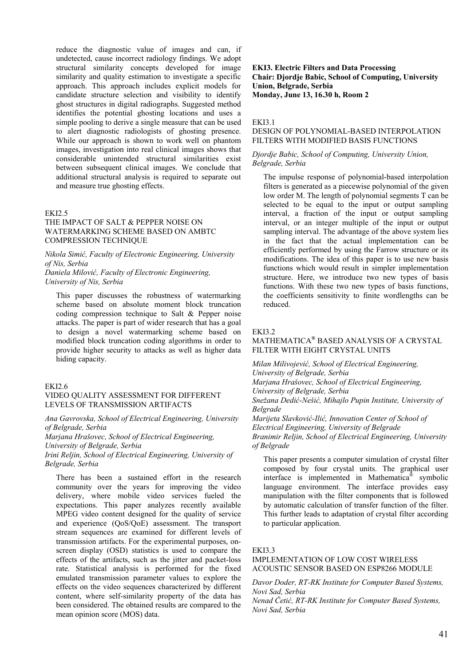reduce the diagnostic value of images and can, if undetected, cause incorrect radiology findings. We adopt structural similarity concepts developed for image similarity and quality estimation to investigate a specific approach. This approach includes explicit models for candidate structure selection and visibility to identify ghost structures in digital radiographs. Suggested method identifies the potential ghosting locations and uses a simple pooling to derive a single measure that can be used to alert diagnostic radiologists of ghosting presence. While our approach is shown to work well on phantom images, investigation into real clinical images shows that considerable unintended structural similarities exist between subsequent clinical images. We conclude that additional structural analysis is required to separate out and measure true ghosting effects.

#### EKI2.5

# THE IMPACT OF SALT & PEPPER NOISE ON WATERMARKING SCHEME BASED ON AMBTC COMPRESSION TECHNIQUE

*Nikola Simić, Faculty of Electronic Engineering, University of Nis, Serbia* 

*Daniela Milović, Faculty of Electronic Engineering, University of Nis, Serbia* 

This paper discusses the robustness of watermarking scheme based on absolute moment block truncation coding compression technique to Salt & Pepper noise attacks. The paper is part of wider research that has a goal to design a novel watermarking scheme based on modified block truncation coding algorithms in order to provide higher security to attacks as well as higher data hiding capacity.

## EKI2.6

# VIDEO QUALITY ASSESSMENT FOR DIFFERENT LEVELS OF TRANSMISSION ARTIFACTS

*Ana Gavrovska, School of Electrical Engineering, University of Belgrade, Serbia* 

*Marjana Hrašovec, School of Electrical Engineering,* 

*University of Belgrade, Serbia* 

*Irini Reljin, School of Electrical Engineering, University of Belgrade, Serbia* 

There has been a sustained effort in the research community over the years for improving the video delivery, where mobile video services fueled the expectations. This paper analyzes recently available MPEG video content designed for the quality of service and experience (QoS/QoE) assessment. The transport stream sequences are examined for different levels of transmission artifacts. For the experimental purposes, onscreen display (OSD) statistics is used to compare the effects of the artifacts, such as the jitter and packet-loss rate. Statistical analysis is performed for the fixed emulated transmission parameter values to explore the effects on the video sequences characterized by different content, where self-similarity property of the data has been considered. The obtained results are compared to the mean opinion score (MOS) data.

**EKI3. Electric Filters and Data Processing Chair: Djordje Babic, School of Computing, University Union, Belgrade, Serbia Monday, June 13, 16.30 h, Room 2**

#### EKI3.1

#### DESIGN OF POLYNOMIAL-BASED INTERPOLATION FILTERS WITH MODIFIED BASIS FUNCTIONS

#### *Djordje Babic, School of Computing, University Union, Belgrade, Serbia*

The impulse response of polynomial-based interpolation filters is generated as a piecewise polynomial of the given low order M. The length of polynomial segments T can be selected to be equal to the input or output sampling interval, a fraction of the input or output sampling interval, or an integer multiple of the input or output sampling interval. The advantage of the above system lies in the fact that the actual implementation can be efficiently performed by using the Farrow structure or its modifications. The idea of this paper is to use new basis functions which would result in simpler implementation structure. Here, we introduce two new types of basis functions. With these two new types of basis functions, the coefficients sensitivity to finite wordlengths can be reduced.

#### $FKI3.2$

# MATHEMATICA*®* BASED ANALYSIS OF A CRYSTAL FILTER WITH EIGHT CRYSTAL UNITS

*Milan Milivojević, School of Electrical Engineering,* 

*University of Belgrade, Serbia* 

*Marjana Hrašovec, School of Electrical Engineering,* 

*University of Belgrade, Serbia* 

*Snežana Dedić-Nešić, Mihajlo Pupin Institute, University of Belgrade* 

*Marijeta Slavković-Ilić, Innovation Center of School of Electrical Engineering, University of Belgrade Branimir Reljin, School of Electrical Engineering, University of Belgrade* 

This paper presents a computer simulation of crystal filter composed by four crystal units. The graphical user interface is implemented in Mathematica® symbolic language environment. The interface provides easy manipulation with the filter components that is followed by automatic calculation of transfer function of the filter. This further leads to adaptation of crystal filter according to particular application.

#### EKI3.3

# IMPLEMENTATION OF LOW COST WIRELESS ACOUSTIC SENSOR BASED ON ESP8266 MODULE

*Davor Doder, RT-RK Institute for Computer Based Systems, Novi Sad, Serbia Nenad Četić, RT-RK Institute for Computer Based Systems, Novi Sad, Serbia*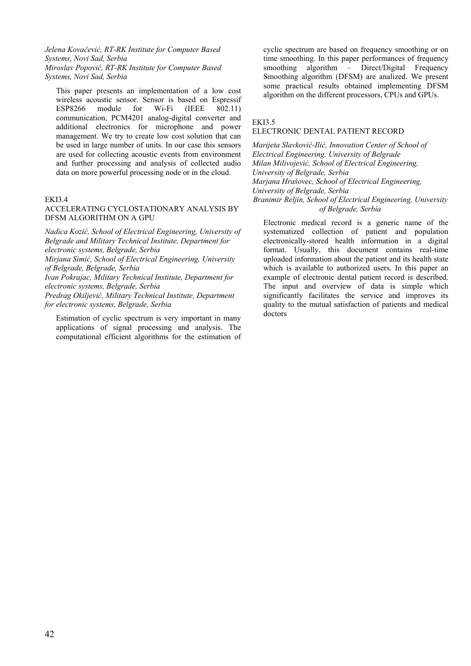### *Jelena Kovačević, RT-RK Institute for Computer Based Systems, Novi Sad, Serbia Miroslav Popović, RT-RK Institute for Computer Based Systems, Novi Sad, Serbia*

This paper presents an implementation of a low cost wireless acoustic sensor. Sensor is based on Espressif ESP8266 module for Wi-Fi (IEEE 802.11) communication, PCM4201 analog-digital converter and additional electronics for microphone and power management. We try to create low cost solution that can be used in large number of units. In our case this sensors are used for collecting acoustic events from environment and further processing and analysis of collected audio data on more powerful processing node or in the cloud.

#### EKI3.4

### ACCELERATING CYCLOSTATIONARY ANALYSIS BY DFSM ALGORITHM ON A GPU

*Nadica Kozić, School of Electrical Engineering, University of Belgrade and Military Technical Institute, Department for electronic systems, Belgrade, Serbia* 

*Mirjana Simić, School of Electrical Engineering, University of Belgrade, Belgrade, Serbia* 

*Ivan Pokrajac, Military Technical Institute, Department for electronic systems, Belgrade, Serbia* 

*Predrag Okiljević, Military Technical Institute, Department for electronic systems, Belgrade, Serbia* 

Estimation of cyclic spectrum is very important in many applications of signal processing and analysis. The computational efficient algorithms for the estimation of cyclic spectrum are based on frequency smoothing or on time smoothing. In this paper performances of frequency smoothing algorithm – Direct/Digital Frequency Smoothing algorithm (DFSM) are analized. We present some practical results obtained implementing DFSM algorithm on the different processors, CPUs and GPUs.

#### EKI3.5

## ELECTRONIC DENTAL PATIENT RECORD

*Marijeta Slavković-Ilić, Innovation Center of School of Electrical Engineering, University of Belgrade Milan Milivojević, School of Electrical Engineering, University of Belgrade, Serbia Marjana Hrašovec, School of Electrical Engineering, University of Belgrade, Serbia Branimir Reljin, School of Electrical Engineering, University of Belgrade, Serbia* 

Electronic medical record is a generic name of the systematized collection of patient and population electronically-stored health information in a digital format. Usually, this document contains real-time uploaded information about the patient and its health state which is available to authorized users. In this paper an example of electronic dental patient record is described. The input and overview of data is simple which significantly facilitates the service and improves its quality to the mutual satisfaction of patients and medical doctors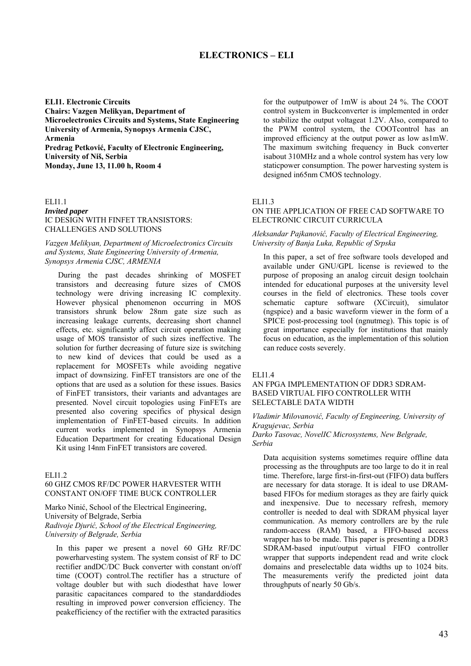# **ELECTRONICS – ELI**

**ELI1. Electronic Circuits Chairs: Vazgen Melikyan, Department of Microelectronics Circuits and Systems, State Engineering University of Armenia, Synopsys Armenia CJSC, Armenia Predrag Petković, Faculty of Electronic Engineering, University of Niš, Serbia Monday, June 13, 11.00 h, Room 4**

ELI1.1 *Invited paper* IC DESIGN WITH FINFET TRANSISTORS: CHALLENGES AND SOLUTIONS

# *Vazgen Melikyan, Department of Microelectronics Circuits and Systems, State Engineering University of Armenia, Synopsys Armenia CJSC, ARMENIA*

During the past decades shrinking of MOSFET transistors and decreasing future sizes of CMOS technology were driving increasing IC complexity. However physical phenomenon occurring in MOS transistors shrunk below 28nm gate size such as increasing leakage currents, decreasing short channel effects, etc. significantly affect circuit operation making usage of MOS transistor of such sizes ineffective. The solution for further decreasing of future size is switching to new kind of devices that could be used as a replacement for MOSFETs while avoiding negative impact of downsizing. FinFET transistors are one of the options that are used as a solution for these issues. Basics of FinFET transistors, their variants and advantages are presented. Novel circuit topologies using FinFETs are presented also covering specifics of physical design implementation of FinFET-based circuits. In addition current works implemented in Synopsys Armenia Education Department for creating Educational Design Kit using 14nm FinFET transistors are covered.

#### EL<sub>11.2</sub>

# 60 GHZ CMOS RF/DC POWER HARVESTER WITH CONSTANT ON/OFF TIME BUCK CONTROLLER

Marko Ninić, School of the Electrical Engineering, University of Belgrade, Serbia *Radivoje Djurić, School of the Electrical Engineering, University of Belgrade, Serbia*

In this paper we present a novel 60 GHz RF/DC powerharvesting system. The system consist of RF to DC rectifier andDC/DC Buck converter with constant on/off time (COOT) control.The rectifier has a structure of voltage doubler but with such diodesthat have lower parasitic capacitances compared to the standarddiodes resulting in improved power conversion efficiency. The peakefficiency of the rectifier with the extracted parasitics for the outputpower of 1mW is about 24 %. The COOT control system in Buckconverter is implemented in order to stabilize the output voltageat 1.2V. Also, compared to the PWM control system, the COOTcontrol has an improved efficiency at the output power as low as1mW. The maximum switching frequency in Buck converter isabout 310MHz and a whole control system has very low staticpower consumption. The power harvesting system is designed in65nm CMOS technology.

#### ELI1.3

### ON THE APPLICATION OF FREE CAD SOFTWARE TO ELECTRONIC CIRCUIT CURRICULA

#### *Aleksandar Pajkanović, Faculty of Electrical Engineering, University of Banja Luka, Republic of Srpska*

In this paper, a set of free software tools developed and available under GNU/GPL license is reviewed to the purpose of proposing an analog circuit design toolchain intended for educational purposes at the university level courses in the field of electronics. These tools cover schematic capture software (XCircuit), simulator (ngspice) and a basic waveform viewer in the form of a SPICE post-processing tool (ngnutmeg). This topic is of great importance especially for institutions that mainly focus on education, as the implementation of this solution can reduce costs severely.

#### ELI1.4

### AN FPGA IMPLEMENTATION OF DDR3 SDRAM-BASED VIRTUAL FIFO CONTROLLER WITH SELECTABLE DATA WIDTH

*Vladimir Milovanović, Faculty of Engineering, University of Kragujevac, Serbia* 

*Darko Tasovac, NovelIC Microsystems, New Belgrade, Serbia* 

Data acquisition systems sometimes require offline data processing as the throughputs are too large to do it in real time. Therefore, large first-in-first-out (FIFO) data buffers are necessary for data storage. It is ideal to use DRAMbased FIFOs for medium storages as they are fairly quick and inexpensive. Due to necessary refresh, memory controller is needed to deal with SDRAM physical layer communication. As memory controllers are by the rule random-access (RAM) based, a FIFO-based access wrapper has to be made. This paper is presenting a DDR3 SDRAM-based input/output virtual FIFO controller wrapper that supports independent read and write clock domains and preselectable data widths up to 1024 bits. The measurements verify the predicted joint data throughputs of nearly 50 Gb/s.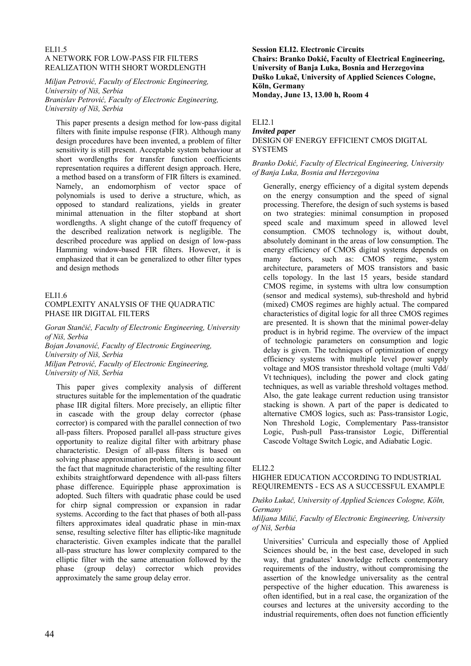### ELI1.5 A NETWORK FOR LOW-PASS FIR FILTERS REALIZATION WITH SHORT WORDLENGTH

*Miljan Petrović, Faculty of Electronic Engineering, University of Niš, Serbia Branislav Petrović, Faculty of Electronic Engineering, University of Niš, Serbia*

This paper presents a design method for low-pass digital filters with finite impulse response (FIR). Although many design procedures have been invented, a problem of filter sensitivity is still present. Acceptable system behaviour at short wordlengths for transfer function coefficients representation requires a different design approach. Here, a method based on a transform of FIR filters is examined. Namely, an endomorphism of vector space of polynomials is used to derive a structure, which, as opposed to standard realizations, yields in greater minimal attenuation in the filter stopband at short wordlengths. A slight change of the cutoff frequency of the described realization network is negligible. The described procedure was applied on design of low-pass Hamming window-based FIR filters. However, it is emphasized that it can be generalized to other filter types and design methods

### ELI1.6

# COMPLEXITY ANALYSIS OF THE QUADRATIC PHASE IIR DIGITAL FILTERS

*Goran Stančić, Faculty of Electronic Engineering, University of Niš, Serbia* 

*Bojan Jovanović, Faculty of Electronic Engineering, University of Niš, Serbia Miljan Petrović, Faculty of Electronic Engineering, University of Niš, Serbia*

This paper gives complexity analysis of different structures suitable for the implementation of the quadratic phase IIR digital filters. More precisely, an elliptic filter in cascade with the group delay corrector (phase corrector) is compared with the parallel connection of two all-pass filters. Proposed parallel all-pass structure gives opportunity to realize digital filter with arbitrary phase characteristic. Design of all-pass filters is based on solving phase approximation problem, taking into account the fact that magnitude characteristic of the resulting filter exhibits straightforward dependence with all-pass filters phase difference. Equiripple phase approximation is adopted. Such filters with quadratic phase could be used for chirp signal compression or expansion in radar systems. According to the fact that phases of both all-pass filters approximates ideal quadratic phase in min-max sense, resulting selective filter has elliptic-like magnitude characteristic. Given examples indicate that the parallel all-pass structure has lower complexity compared to the elliptic filter with the same attenuation followed by the phase (group delay) corrector which provides approximately the same group delay error.

**Session ELI2. Electronic Circuits Chairs: Branko Dokić, Faculty of Electrical Engineering, University of Banja Luka, Bosnia and Herzegovina Duško Lukač, University of Applied Sciences Cologne, Köln, Germany Monday, June 13, 13.00 h, Room 4**

#### ELI2.1 *Invited paper* DESIGN OF ENERGY EFFICIENT CMOS DIGITAL SYSTEMS

### *Branko Dokić, Faculty of Electrical Engineering, University of Banja Luka, Bosnia and Herzegovina*

Generally, energy efficiency of a digital system depends on the energy consumption and the speed of signal processing. Therefore, the design of such systems is based on two strategies: minimal consumption in proposed speed scale and maximum speed in allowed level consumption. CMOS technology is, without doubt, absolutely dominant in the areas of low consumption. The energy efficiency of CMOS digital systems depends on many factors, such as: CMOS regime, system architecture, parameters of MOS transistors and basic cells topology. In the last 15 years, beside standard CMOS regime, in systems with ultra low consumption (sensor and medical systems), sub-threshold and hybrid (mixed) CMOS regimes are highly actual. The compared characteristics of digital logic for all three CMOS regimes are presented. It is shown that the minimal power-delay product is in hybrid regime. The overview of the impact of technologic parameters on consumption and logic delay is given. The techniques of optimization of energy efficiency systems with multiple level power supply voltage and MOS transistor threshold voltage (multi Vdd/ Vt techniques), including the power and clock gating techniques, as well as variable threshold voltages method. Also, the gate leakage current reduction using transistor stacking is shown. A part of the paper is dedicated to alternative CMOS logics, such as: Pass-transistor Logic, Non Threshold Logic, Complementary Pass-transistor Logic, Push-pull Pass-transistor Logic, Differential Cascode Voltage Switch Logic, and Adiabatic Logic.

#### ELI2.2

# HIGHER EDUCATION ACCORDING TO INDUSTRIAL REQUIREMENTS - ECS AS A SUCCESSFUL EXAMPLE

### *Duško Lukač, University of Applied Sciences Cologne, Köln, Germany*

### *Miljana Milić, Faculty of Electronic Engineering, University of Niš, Serbia*

Universities' Curricula and especially those of Applied Sciences should be, in the best case, developed in such way, that graduates' knowledge reflects contemporary requirements of the industry, without compromising the assertion of the knowledge universality as the central perspective of the higher education. This awareness is often identified, but in a real case, the organization of the courses and lectures at the university according to the industrial requirements, often does not function efficiently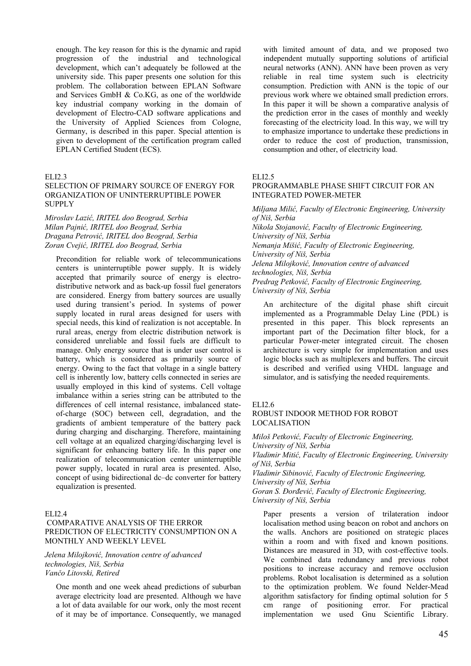enough. The key reason for this is the dynamic and rapid progression of the industrial and technological development, which can't adequately be followed at the university side. This paper presents one solution for this problem. The collaboration between EPLAN Software and Services GmbH & Co.KG, as one of the worldwide key industrial company working in the domain of development of Electro-CAD software applications and the University of Applied Sciences from Cologne, Germany, is described in this paper. Special attention is given to development of the certification program called EPLAN Certified Student (ECS).

#### ELI2.3

# SELECTION OF PRIMARY SOURCE OF ENERGY FOR ORGANIZATION OF UNINTERRUPTIBLE POWER **SUPPLY**

### *Miroslav Lazić, IRITEL doo Beograd, Serbia Milan Pajnić, IRITEL doo Beograd, Serbia Dragana Petrović, IRITEL doo Beograd, Serbia Zoran Cvejić, IRITEL doo Beograd, Serbia*

Precondition for reliable work of telecommunications centers is uninterruptible power supply. It is widely accepted that primarily source of energy is electrodistributive network and as back-up fossil fuel generators are considered. Energy from battery sources are usually used during transient's period. In systems of power supply located in rural areas designed for users with special needs, this kind of realization is not acceptable. In rural areas, energy from electric distribution network is considered unreliable and fossil fuels are difficult to manage. Only energy source that is under user control is battery, which is considered as primarily source of energy. Owing to the fact that voltage in a single battery cell is inherently low, battery cells connected in series are usually employed in this kind of systems. Cell voltage imbalance within a series string can be attributed to the differences of cell internal resistance, imbalanced stateof-charge (SOC) between cell, degradation, and the gradients of ambient temperature of the battery pack during charging and discharging. Therefore, maintaining cell voltage at an equalized charging/discharging level is significant for enhancing battery life. In this paper one realization of telecommunication center uninterruptible power supply, located in rural area is presented. Also, concept of using bidirectional dc–dc converter for battery equalization is presented.

## ELI2.4

# COMPARATIVE ANALYSIS OF THE ERROR PREDICTION OF ELECTRICITY CONSUMPTION ON A MONTHLY AND WEEKLY LEVEL

#### *Jelena Milojković, Innovation centre of advanced technologies, Niš, Serbia Vančo Litovski, Retired*

One month and one week ahead predictions of suburban average electricity load are presented. Although we have a lot of data available for our work, only the most recent of it may be of importance. Consequently, we managed with limited amount of data, and we proposed two independent mutually supporting solutions of artificial neural networks (ANN). ANN have been proven as very reliable in real time system such is electricity consumption. Prediction with ANN is the topic of our previous work where we obtained small prediction errors. In this paper it will be shown a comparative analysis of the prediction error in the cases of monthly and weekly forecasting of the electricity load. In this way, we will try to emphasize importance to undertake these predictions in order to reduce the cost of production, transmission, consumption and other, of electricity load.

#### ELI2.5

#### PROGRAMMABLE PHASE SHIFT CIRCUIT FOR AN INTEGRATED POWER-METER

*Miljana Milić, Faculty of Electronic Engineering, University of Niš, Serbia Nikola Stojanović, Faculty of Electronic Engineering, University of Niš, Serbia Nemanja Mišić, Faculty of Electronic Engineering, University of Niš, Serbia Jelena Milojković, Innovation centre of advanced technologies, Niš, Serbia Predrag Petković, Faculty of Electronic Engineering, University of Niš, Serbia*

An architecture of the digital phase shift circuit implemented as a Programmable Delay Line (PDL) is presented in this paper. This block represents an important part of the Decimation filter block, for a particular Power-meter integrated circuit. The chosen architecture is very simple for implementation and uses logic blocks such as multiplexers and buffers. The circuit is described and verified using VHDL language and simulator, and is satisfying the needed requirements.

# ELI2.6

#### ROBUST INDOOR METHOD FOR ROBOT LOCALISATION

*Miloš Petković, Faculty of Electronic Engineering, University of Niš, Serbia Vladimir Mitić, Faculty of Electronic Engineering, University of Niš, Serbia Vladimir Sibinović, Faculty of Electronic Engineering, University of Niš, Serbia Goran S. Đorđević, Faculty of Electronic Engineering,* 

*University of Niš, Serbia*

Paper presents a version of trilateration indoor localisation method using beacon on robot and anchors on the walls. Anchors are positioned on strategic places within a room and with fixed and known positions. Distances are measured in 3D, with cost-effective tools. We combined data redundancy and previous robot positions to increase accuracy and remove occlusion problems. Robot localisation is determined as a solution to the optimization problem. We found Nelder-Mead algorithm satisfactory for finding optimal solution for 5 cm range of positioning error. For practical implementation we used Gnu Scientific Library.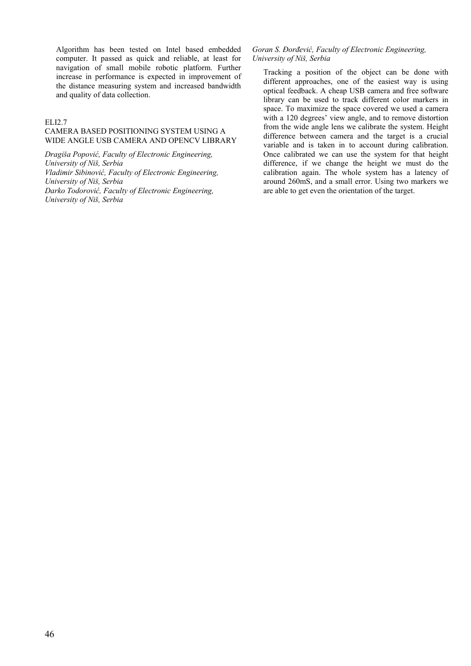Algorithm has been tested on Intel based embedded computer. It passed as quick and reliable, at least for navigation of small mobile robotic platform. Further increase in performance is expected in improvement of the distance measuring system and increased bandwidth and quality of data collection.

# ELI2.7

# CAMERA BASED POSITIONING SYSTEM USING A WIDE ANGLE USB CAMERA AND OPENCV LIBRARY

*Dragiša Popović, Faculty of Electronic Engineering, University of Niš, Serbia Vladimir Sibinović, Faculty of Electronic Engineering, University of Niš, Serbia Darko Todorović, Faculty of Electronic Engineering, University of Niš, Serbia* 

## *Goran S. Đorđević, Faculty of Electronic Engineering, University of Niš, Serbia*

Tracking a position of the object can be done with different approaches, one of the easiest way is using optical feedback. A cheap USB camera and free software library can be used to track different color markers in space. To maximize the space covered we used a camera with a 120 degrees' view angle, and to remove distortion from the wide angle lens we calibrate the system. Height difference between camera and the target is a crucial variable and is taken in to account during calibration. Once calibrated we can use the system for that height difference, if we change the height we must do the calibration again. The whole system has a latency of around 260mS, and a small error. Using two markers we are able to get even the orientation of the target.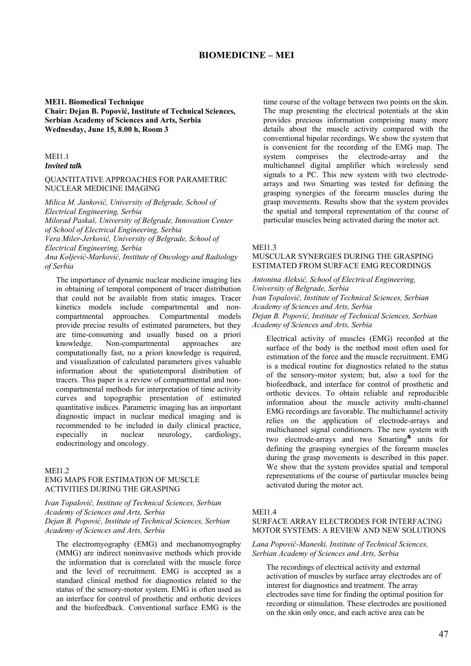# **BIOMEDICINE – MEI**

### **MEI1. Biomedical Technique Chair: Dejan B. Popović, Institute of Technical Sciences, Serbian Academy of Sciences and Arts, Serbia Wednesday, June 15, 8.00 h, Room 3**

# **MEI1.1**

#### *Invited talk*

#### QUANTITATIVE APPROACHES FOR PARAMETRIC NUCLEAR MEDICINE IMAGING

*Milica M. Janković, University of Belgrade, School of Electrical Engineering, Serbia Milorad Paskaš, University of Belgrade, Innovation Center of School of Electrical Engineering, Serbia Vera Miler-Jerković, University of Belgrade, School of Electrical Engineering, Serbia Ana Koljević-Marković, Institute of Oncology and Radiology of Serbia* 

The importance of dynamic nuclear medicine imaging lies in obtaining of temporal component of tracer distribution that could not be available from static images. Tracer kinetics models include compartmental and noncompartmental approaches. Compartmental models provide precise results of estimated parameters, but they are time-consuming and usually based on a priori knowledge. Non-compartmental approaches are computationally fast, no a priori knowledge is required, and visualization of calculated parameters gives valuable information about the spatiotemporal distribution of tracers. This paper is a review of compartmental and noncompartmental methods for interpretation of time activity curves and topographic presentation of estimated quantitative indices. Parametric imaging has an important diagnostic impact in nuclear medical imaging and is recommended to be included in daily clinical practice, especially in nuclear neurology, cardiology, endocrinology and oncology.

#### **MEI1.2**

# EMG MAPS FOR ESTIMATION OF MUSCLE ACTIVITIES DURING THE GRASPING

*Ivan Topalović, Institute of Technical Sciences, Serbian Academy of Sciences and Arts, Serbia Dejan B. Popović, Institute of Technical Sciences, Serbian Academy of Sciences and Arts, Serbia* 

The electromyography (EMG) and mechanomyography (MMG) are indirect noninvasive methods which provide the information that is correlated with the muscle force and the level of recruitment. EMG is accepted as a standard clinical method for diagnostics related to the status of the sensory-motor system. EMG is often used as an interface for control of prosthetic and orthotic devices and the biofeedback. Conventional surface EMG is the time course of the voltage between two points on the skin. The map presenting the electrical potentials at the skin provides precious information comprising many more details about the muscle activity compared with the conventional bipolar recordings. We show the system that is convenient for the recording of the EMG map. The system comprises the electrode-array and the multichannel digital amplifier which wirelessly send signals to a PC. This new system with two electrodearrays and two Smarting was tested for defining the grasping synergies of the forearm muscles during the grasp movements. Results show that the system provides the spatial and temporal representation of the course of particular muscles being activated during the motor act.

#### MEI<sub>13</sub>

# MUSCULAR SYNERGIES DURING THE GRASPING ESTIMATED FROM SURFACE EMG RECORDINGS

*Antonina Aleksić, School of Electrical Engineering, University of Belgrade, Serbia Ivan Topalović, Institute of Technical Sciences, Serbian Academy of Sciences and Arts, Serbia Dejan B. Popović, Institute of Technical Sciences, Serbian Academy of Sciences and Arts, Serbia* 

Electrical activity of muscles (EMG) recorded at the surface of the body is the method most often used for estimation of the force and the muscle recruitment. EMG is a medical routine for diagnostics related to the status of the sensory-motor system; but, also a tool for the biofeedback, and interface for control of prosthetic and orthotic devices. To obtain reliable and reproducible information about the muscle activity multi-channel EMG recordings are favorable. The multichannel activity relies on the application of electrode-arrays and multichannel signal conditioners. The new system with two electrode-arrays and two Smarting $\delta$  units for defining the grasping synergies of the forearm muscles during the grasp movements is described in this paper. We show that the system provides spatial and temporal representations of the course of particular muscles being activated during the motor act.

#### **MEI1.4**

# SURFACE ARRAY ELECTRODES FOR INTERFACING MOTOR SYSTEMS: A REVIEW AND NEW SOLUTIONS

*Lana Popović-Maneski, Institute of Technical Sciences, Serbian Academy of Sciences and Arts, Serbia* 

The recordings of electrical activity and external activation of muscles by surface array electrodes are of interest for diagnostics and treatment. The array electrodes save time for finding the optimal position for recording or stimulation. These electrodes are positioned on the skin only once, and each active area can be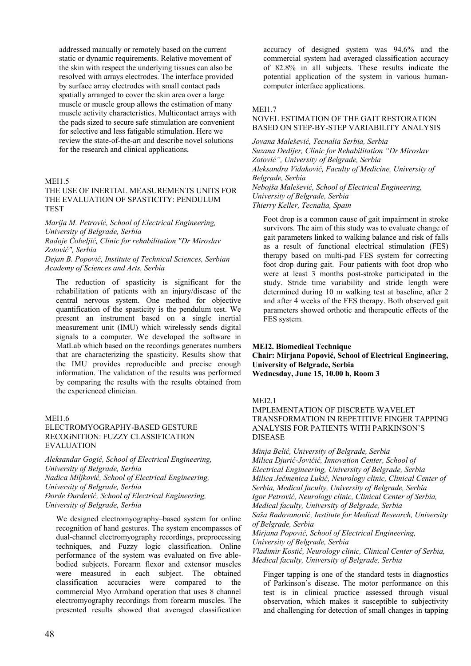addressed manually or remotely based on the current static or dynamic requirements. Relative movement of the skin with respect the underlying tissues can also be resolved with arrays electrodes. The interface provided by surface array electrodes with small contact pads spatially arranged to cover the skin area over a large muscle or muscle group allows the estimation of many muscle activity characteristics. Multicontact arrays with the pads sized to secure safe stimulation are convenient for selective and less fatigable stimulation. Here we review the state-of-the-art and describe novel solutions for the research and clinical applications**.**

# MEI1.5

# THE USE OF INERTIAL MEASUREMENTS UNITS FOR THE EVALUATION OF SPASTICITY: PENDULUM TEST

*Marija M. Petrović, School of Electrical Engineering, University of Belgrade, Serbia*

*Radoje Čobeljić, Clinic for rehabilitation "Dr Miroslav Zotović", Serbia*

*Dejan B. Popović, Institute of Technical Sciences, Serbian Academy of Sciences and Arts, Serbia* 

The reduction of spasticity is significant for the rehabilitation of patients with an injury/disease of the central nervous system. One method for objective quantification of the spasticity is the pendulum test. We present an instrument based on a single inertial measurement unit (IMU) which wirelessly sends digital signals to a computer. We developed the software in MatLab which based on the recordings generates numbers that are characterizing the spasticity. Results show that the IMU provides reproducible and precise enough information. The validation of the results was performed by comparing the results with the results obtained from the experienced clinician.

# **MEI1.6**

## ELECTROMYOGRAPHY-BASED GESTURE RECOGNITION: FUZZY CLASSIFICATION EVALUATION

*Aleksandar Gogić, School of Electrical Engineering, University of Belgrade, Serbia Nadica Miljković, School of Electrical Engineering, University of Belgrade, Serbia Đorđe Đurđević, School of Electrical Engineering, University of Belgrade, Serbia* 

We designed electromyography–based system for online recognition of hand gestures. The system encompasses of dual-channel electromyography recordings, preprocessing techniques, and Fuzzy logic classification. Online performance of the system was evaluated on five ablebodied subjects. Forearm flexor and extensor muscles were measured in each subject. The obtained classification accuracies were compared to the commercial Myo Armband operation that uses 8 channel electromyography recordings from forearm muscles. The presented results showed that averaged classification accuracy of designed system was 94.6% and the commercial system had averaged classification accuracy of 82.8% in all subjects. These results indicate the potential application of the system in various humancomputer interface applications.

### **MEI1.7**

# NOVEL ESTIMATION OF THE GAIT RESTORATION BASED ON STEP-BY-STEP VARIABILITY ANALYSIS

*Jovana Malešević, Tecnalia Serbia, Serbia Suzana Dedijer, Clinic for Rehabilitation "Dr Miroslav Zotović", University of Belgrade, Serbia Aleksandra Vidaković, Faculty of Medicine, University of Belgrade, Serbia Nebojša Malešević, School of Electrical Engineering, University of Belgrade, Serbia Thierry Keller, Tecnalia, Spain*

Foot drop is a common cause of gait impairment in stroke survivors. The aim of this study was to evaluate change of gait parameters linked to walking balance and risk of falls as a result of functional electrical stimulation (FES) therapy based on multi-pad FES system for correcting foot drop during gait. Four patients with foot drop who were at least 3 months post-stroke participated in the study. Stride time variability and stride length were determined during 10 m walking test at baseline, after 2 and after 4 weeks of the FES therapy. Both observed gait parameters showed orthotic and therapeutic effects of the FES system.

#### **MEI2. Biomedical Technique**

**Chair: Mirjana Popović, School of Electrical Engineering, University of Belgrade, Serbia Wednesday, June 15, 10.00 h, Room 3**

#### MEI2.1

IMPLEMENTATION OF DISCRETE WAVELET TRANSFORMATION IN REPETITIVE FINGER TAPPING ANALYSIS FOR PATIENTS WITH PARKINSON'S DISEASE

*Minja Belić, University of Belgrade, Serbia Milica Djurić-Jovičić, Innovation Center, School of Electrical Engineering, University of Belgrade, Serbia Milica Ječmenica Lukić, Neurology clinic, Clinical Center of Serbia, Medical faculty, University of Belgrade, Serbia Igor Petrović, Neurology clinic, Clinical Center of Serbia, Medical faculty, University of Belgrade, Serbia Saša Radovanović, Institute for Medical Research, University of Belgrade, Serbia Mirjana Popović, School of Electrical Engineering, University of Belgrade, Serbia Vladimir Kostić, Neurology clinic, Clinical Center of Serbia, Medical faculty, University of Belgrade, Serbia*

Finger tapping is one of the standard tests in diagnostics of Parkinson's disease. The motor performance on this test is in clinical practice assessed through visual observation, which makes it susceptible to subjectivity and challenging for detection of small changes in tapping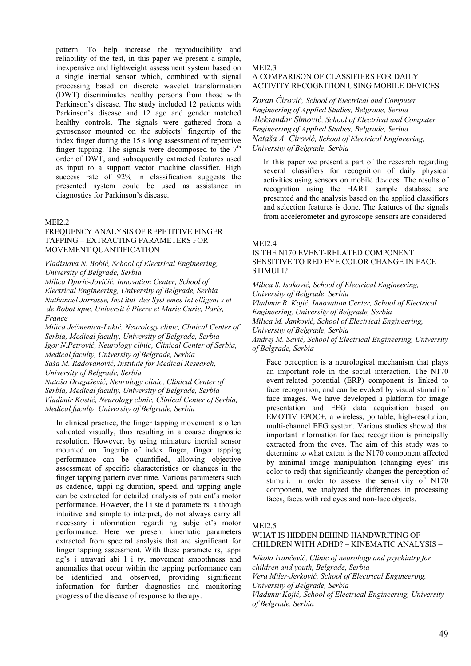pattern. To help increase the reproducibility and reliability of the test, in this paper we present a simple, inexpensive and lightweight assessment system based on a single inertial sensor which, combined with signal processing based on discrete wavelet transformation (DWT) discriminates healthy persons from those with Parkinson's disease. The study included 12 patients with Parkinson's disease and 12 age and gender matched healthy controls. The signals were gathered from a gyrosensor mounted on the subjects' fingertip of the index finger during the 15 s long assessment of repetitive finger tapping. The signals were decomposed to the  $7<sup>th</sup>$ order of DWT, and subsequently extracted features used as input to a support vector machine classifier. High success rate of 92% in classification suggests the presented system could be used as assistance in diagnostics for Parkinson's disease.

### MEI2.2

#### FREQUENCY ANALYSIS OF REPETITIVE FINGER TAPPING – EXTRACTING PARAMETERS FOR MOVEMENT QUANTIFICATION

*Vladislava N. Bobić, School of Electrical Engineering, University of Belgrade, Serbia Milica Djurić-Jovičić, Innovation Center, School of Electrical Engineering, University of Belgrade, Serbia Nathanael Jarrasse, Inst itut des Syst emes Int elligent s et de Robot ique, Universit é Pierre et Marie Curie, Paris, France* 

*Milica Ječmenica-Lukić, Neurology clinic, Clinical Center of Serbia, Medical faculty, University of Belgrade, Serbia Igor N.Petrović, Neurology clinic, Clinical Center of Serbia, Medical faculty, University of Belgrade, Serbia Saša M. Radovanović, Institute for Medical Research, University of Belgrade, Serbia Nataša Dragašević, Neurology clinic, Clinical Center of Serbia, Medical faculty, University of Belgrade, Serbia*

*Vladimir Kostić, Neurology clinic, Clinical Center of Serbia, Medical faculty, University of Belgrade, Serbia*

In clinical practice, the finger tapping movement is often validated visually, thus resulting in a coarse diagnostic resolution. However, by using miniature inertial sensor mounted on fingertip of index finger, finger tapping performance can be quantified, allowing objective assessment of specific characteristics or changes in the finger tapping pattern over time. Various parameters such as cadence, tappi ng duration, speed, and tapping angle can be extracted for detailed analysis of pati ent's motor performance. However, the l i ste d paramete rs, although intuitive and simple to interpret, do not always carry all necessary i nformation regardi ng subje ct's motor performance. Here we present kinematic parameters extracted from spectral analysis that are significant for finger tapping assessment. With these paramete rs, tappi ng's i ntravari abi l i ty, movement smoothness and anomalies that occur within the tapping performance can be identified and observed, providing significant information for further diagnostics and monitoring progress of the disease of response to therapy.

#### MEI2.3

# A COMPARISON OF CLASSIFIERS FOR DAILY ACTIVITY RECOGNITION USING MOBILE DEVICES

*Zoran Ćirović, School of Electrical and Computer Engineering of Applied Studies, Belgrade, Serbia Aleksandar Simović, School of Electrical and Computer Engineering of Applied Studies, Belgrade, Serbia Nataša A. Ćirović, School of Electrical Engineering, University of Belgrade, Serbia* 

In this paper we present a part of the research regarding several classifiers for recognition of daily physical activities using sensors on mobile devices. The results of recognition using the HART sample database are presented and the analysis based on the applied classifiers and selection features is done. The features of the signals from accelerometer and gyroscope sensors are considered.

#### MEI2.4

### IS THE N170 EVENT-RELATED COMPONENT SENSITIVE TO RED EYE COLOR CHANGE IN FACE STIMULI?

*Milica S. Isaković, School of Electrical Engineering, University of Belgrade, Serbia Vladimir R. Kojić, Innovation Center, School of Electrical Engineering, University of Belgrade, Serbia Milica M. Janković, School of Electrical Engineering, University of Belgrade, Serbia Andrej M. Savić, School of Electrical Engineering, University of Belgrade, Serbia* 

Face perception is a neurological mechanism that plays an important role in the social interaction. The N170 event-related potential (ERP) component is linked to face recognition, and can be evoked by visual stimuli of face images. We have developed a platform for image presentation and EEG data acquisition based on EMOTIV EPOC+, a wireless, portable, high-resolution, multi-channel EEG system. Various studies showed that important information for face recognition is principally extracted from the eyes. The aim of this study was to determine to what extent is the N170 component affected by minimal image manipulation (changing eyes' iris color to red) that significantly changes the perception of stimuli. In order to assess the sensitivity of N170 component, we analyzed the differences in processing faces, faces with red eyes and non-face objects.

#### MEI2.5

# WHAT IS HIDDEN BEHIND HANDWRITING OF CHILDREN WITH ADHD? – KINEMATIC ANALYSIS –

*Nikola Ivančević, Clinic of neurology and psychiatry for children and youth, Belgrade, Serbia Vera Miler-Jerković, School of Electrical Engineering, University of Belgrade, Serbia Vladimir Kojić, School of Electrical Engineering, University of Belgrade, Serbia*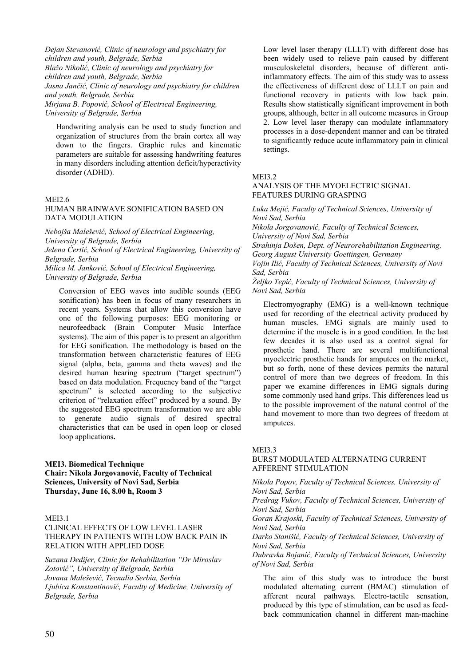*Dejan Stevanović, Clinic of neurology and psychiatry for children and youth, Belgrade, Serbia Blažo Nikolić, Clinic of neurology and psychiatry for children and youth, Belgrade, Serbia Jasna Jančić, Clinic of neurology and psychiatry for children and youth, Belgrade, Serbia Mirjana B. Popović, School of Electrical Engineering, University of Belgrade, Serbia* 

Handwriting analysis can be used to study function and organization of structures from the brain cortex all way down to the fingers. Graphic rules and kinematic parameters are suitable for assessing handwriting features in many disorders including attention deficit/hyperactivity disorder (ADHD).

# MEI2.6

# HUMAN BRAINWAVE SONIFICATION BASED ON DATA MODULATION

*Nebojša Malešević, School of Electrical Engineering, University of Belgrade, Serbia Jelena Ćertić, School of Electrical Engineering, University of Belgrade, Serbia Milica M. Janković, School of Electrical Engineering,* 

*University of Belgrade, Serbia* 

Conversion of EEG waves into audible sounds (EEG sonification) has been in focus of many researchers in recent years. Systems that allow this conversion have one of the following purposes: EEG monitoring or neurofeedback (Brain Computer Music Interface systems). The aim of this paper is to present an algorithm for EEG sonification. The methodology is based on the transformation between characteristic features of EEG signal (alpha, beta, gamma and theta waves) and the desired human hearing spectrum ("target spectrum") based on data modulation. Frequency band of the "target spectrum" is selected according to the subjective criterion of "relaxation effect" produced by a sound. By the suggested EEG spectrum transformation we are able to generate audio signals of desired spectral characteristics that can be used in open loop or closed loop applications**.**

# **MEI3. Biomedical Technique Chair: Nikola Jorgovanović, Faculty of Technical Sciences, University of Novi Sad, Serbia Thursday, June 16, 8.00 h, Room 3**

#### MEI3.1

CLINICAL EFFECTS OF LOW LEVEL LASER THERAPY IN PATIENTS WITH LOW BACK PAIN IN RELATION WITH APPLIED DOSE

*Suzana Dedijer, Clinic for Rehabilitation "Dr Miroslav Zotović", University of Belgrade, Serbia Jovana Malešević, Tecnalia Serbia, Serbia Ljubica Konstantinović, Faculty of Medicine, University of Belgrade, Serbia* 

Low level laser therapy (LLLT) with different dose has been widely used to relieve pain caused by different musculoskeletal disorders, because of different antiinflammatory effects. The aim of this study was to assess the effectiveness of different dose of LLLT on pain and functional recovery in patients with low back pain. Results show statistically significant improvement in both groups, although, better in all outcome measures in Group 2. Low level laser therapy can modulate inflammatory processes in a dose-dependent manner and can be titrated to significantly reduce acute inflammatory pain in clinical settings.

#### MEI3.2

## ANALYSIS OF THE MYOELECTRIC SIGNAL FEATURES DURING GRASPING

*Luka Mejić, Faculty of Technical Sciences, University of Novi Sad, Serbia* 

*Nikola Jorgovanović, Faculty of Technical Sciences, University of Novi Sad, Serbia* 

*Strahinja Došen, Dept. of Neurorehabilitation Engineering, Georg August University Goettingen, Germany* 

*Vojin Ilić, Faculty of Technical Sciences, University of Novi Sad, Serbia* 

*Željko Tepić, Faculty of Technical Sciences, University of Novi Sad, Serbia* 

Electromyography (EMG) is a well-known technique used for recording of the electrical activity produced by human muscles. EMG signals are mainly used to determine if the muscle is in a good condition. In the last few decades it is also used as a control signal for prosthetic hand. There are several multifunctional myoelectric prosthetic hands for amputees on the market, but so forth, none of these devices permits the natural control of more than two degrees of freedom. In this paper we examine differences in EMG signals during some commonly used hand grips. This differences lead us to the possible improvement of the natural control of the hand movement to more than two degrees of freedom at amputees.

#### MEI3.3

# BURST MODULATED ALTERNATING CURRENT AFFERENT STIMULATION

*Nikola Popov, Faculty of Technical Sciences, University of Novi Sad, Serbia* 

*Predrag Vukov, Faculty of Technical Sciences, University of Novi Sad, Serbia* 

*Goran Krajoski, Faculty of Technical Sciences, University of Novi Sad, Serbia* 

*Darko Stanišić, Faculty of Technical Sciences, University of Novi Sad, Serbia* 

*Dubravka Bojanić, Faculty of Technical Sciences, University of Novi Sad, Serbia* 

The aim of this study was to introduce the burst modulated alternating current (BMAC) stimulation of afferent neural pathways. Electro-tactile sensation, produced by this type of stimulation, can be used as feedback communication channel in different man-machine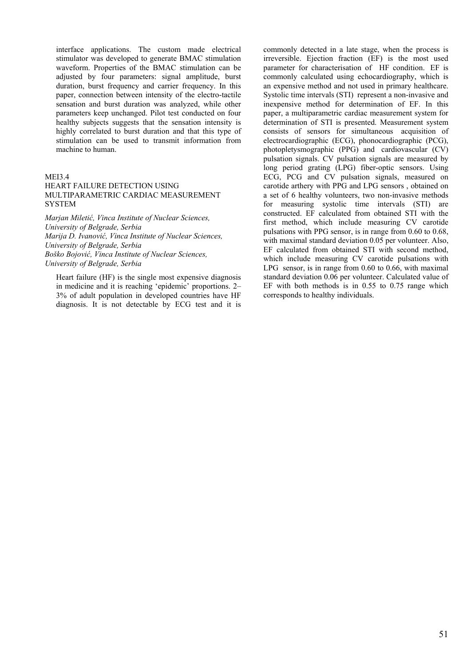interface applications. The custom made electrical stimulator was developed to generate BMAC stimulation waveform. Properties of the BMAC stimulation can be adjusted by four parameters: signal amplitude, burst duration, burst frequency and carrier frequency. In this paper, connection between intensity of the electro-tactile sensation and burst duration was analyzed, while other parameters keep unchanged. Pilot test conducted on four healthy subjects suggests that the sensation intensity is highly correlated to burst duration and that this type of stimulation can be used to transmit information from machine to human.

# MEI3.4

# HEART FAILURE DETECTION USING MULTIPARAMETRIC CARDIAC MEASUREMENT **SYSTEM**

*Marjan Miletić, Vinca Institute of Nuclear Sciences, University of Belgrade, Serbia Marija D. Ivanović, Vinca Institute of Nuclear Sciences, University of Belgrade, Serbia Boško Bojović, Vinca Institute of Nuclear Sciences, University of Belgrade, Serbia* 

Heart failure (HF) is the single most expensive diagnosis in medicine and it is reaching 'epidemic' proportions. 2– 3% of adult population in developed countries have HF diagnosis. It is not detectable by ECG test and it is commonly detected in a late stage, when the process is irreversible. Ejection fraction (EF) is the most used parameter for characterisation of HF condition. EF is commonly calculated using echocardiography, which is an expensive method and not used in primary healthcare. Systolic time intervals (STI) represent a non-invasive and inexpensive method for determination of EF. In this paper, a multiparametric cardiac measurement system for determination of STI is presented. Measurement system consists of sensors for simultaneous acquisition of electrocardiographic (ECG), phonocardiographic (PCG), photopletysmographic (PPG) and cardiovascular (CV) pulsation signals. CV pulsation signals are measured by long period grating (LPG) fiber-optic sensors. Using ECG, PCG and CV pulsation signals, measured on carotide arthery with PPG and LPG sensors , obtained on a set of 6 healthy volunteers, two non-invasive methods for measuring systolic time intervals (STI) are constructed. EF calculated from obtained STI with the first method, which include measuring CV carotide pulsations with PPG sensor, is in range from 0.60 to 0.68, with maximal standard deviation 0.05 per volunteer. Also, EF calculated from obtained STI with second method, which include measuring CV carotide pulsations with LPG sensor, is in range from 0.60 to 0.66, with maximal standard deviation 0.06 per volunteer. Calculated value of EF with both methods is in 0.55 to 0.75 range which corresponds to healthy individuals.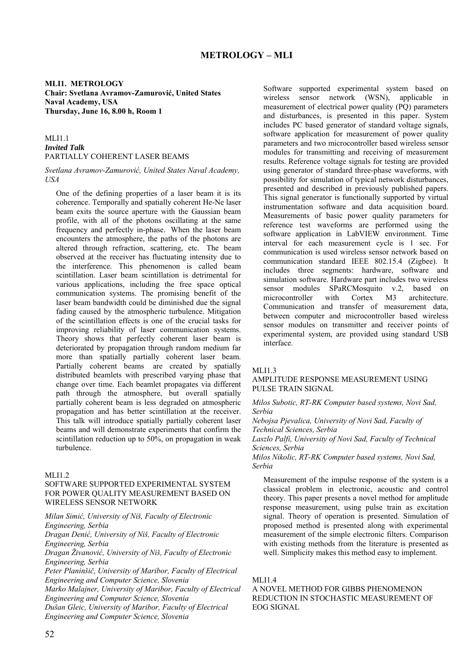**MLI1. METROLOGY Chair: Svetlana Avramov-Zamurović, United States Naval Academy, USA Thursday, June 16, 8.00 h, Room 1**

# MLI1.1 *Invited Talk* PARTIALLY COHERENT LASER BEAMS

*Svetlana Avramov-Zamurović, United States Naval Academy, USA* 

One of the defining properties of a laser beam it is its coherence. Temporally and spatially coherent He-Ne laser beam exits the source aperture with the Gaussian beam profile, with all of the photons oscillating at the same frequency and perfectly in-phase. When the laser beam encounters the atmosphere, the paths of the photons are altered through refraction, scattering, etc. The beam observed at the receiver has fluctuating intensity due to the interference. This phenomenon is called beam scintillation. Laser beam scintillation is detrimental for various applications, including the free space optical communication systems. The promising benefit of the laser beam bandwidth could be diminished due the signal fading caused by the atmospheric turbulence. Mitigation of the scintillation effects is one of the crucial tasks for improving reliability of laser communication systems. Theory shows that perfectly coherent laser beam is deteriorated by propagation through random medium far more than spatially partially coherent laser beam. Partially coherent beams are created by spatially distributed beamlets with prescribed varying phase that change over time. Each beamlet propagates via different path through the atmosphere, but overall spatially partially coherent beam is less degraded on atmospheric propagation and has better scintillation at the receiver. This talk will introduce spatially partially coherent laser beams and will demonstrate experiments that confirm the scintillation reduction up to 50%, on propagation in weak turbulence.

# MI $11.2$

# SOFTWARE SUPPORTED EXPERIMENTAL SYSTEM FOR POWER QUALITY MEASUREMENT BASED ON WIRELESS SENSOR NETWORK

*Milan Simić, University of Niš, Faculty of Electronic Engineering, Serbia*

*Dragan Denić, University of Niš, Faculty of Electronic Engineering, Serbia*

*Dragan Živanović, University of Niš, Faculty of Electronic Engineering, Serbia*

*Peter Planinšič, University of Maribor, Faculty of Electrical Engineering and Computer Science, Slovenia*

*Marko Malajner, University of Maribor, Faculty of Electrical Engineering and Computer Science, Slovenia Dušan Gleic, University of Maribor, Faculty of Electrical* 

*Engineering and Computer Science, Slovenia*

Software supported experimental system based on wireless sensor network (WSN), applicable in measurement of electrical power quality (PQ) parameters and disturbances, is presented in this paper. System includes PC based generator of standard voltage signals, software application for measurement of power quality parameters and two microcontroller based wireless sensor modules for transmitting and receiving of measurement results. Reference voltage signals for testing are provided using generator of standard three-phase waveforms, with possibility for simulation of typical network disturbances, presented and described in previously published papers. This signal generator is functionally supported by virtual instrumentation software and data acquisition board. Measurements of basic power quality parameters for reference test waveforms are performed using the software application in LabVIEW environment. Time interval for each measurement cycle is 1 sec. For communication is used wireless sensor network based on communication standard IEEE 802.15.4 (Zigbee). It includes three segments: hardware, software and simulation software. Hardware part includes two wireless sensor modules SPaRCMosquito v.2, based on microcontroller with Cortex M3 architecture Communication and transfer of measurement data, between computer and microcontroller based wireless sensor modules on transmitter and receiver points of experimental system, are provided using standard USB interface.

#### MI 11.3

# AMPLITUDE RESPONSE MEASUREMENT USING PULSE TRAIN SIGNAL

*Milos Subotic, RT-RK Computer based systems, Novi Sad, Serbia*

*Nebojsa Pjevalica, University of Novi Sad, Faculty of Technical Sciences, Serbia*

*Laszlo Palfi, University of Novi Sad, Faculty of Technical Sciences, Serbia*

*Milos Nikolic, RT-RK Computer based systems, Novi Sad, Serbia*

Measurement of the impulse response of the system is a classical problem in electronic, acoustic and control theory. This paper presents a novel method for amplitude response measurement, using pulse train as excitation signal. Theory of operation is presented. Simulation of proposed method is presented along with experimental measurement of the simple electronic filters. Comparison with existing methods from the literature is presented as well. Simplicity makes this method easy to implement.

#### MLI1.4

A NOVEL METHOD FOR GIBBS PHENOMENON REDUCTION IN STOCHASTIC MEASUREMENT OF EOG SIGNAL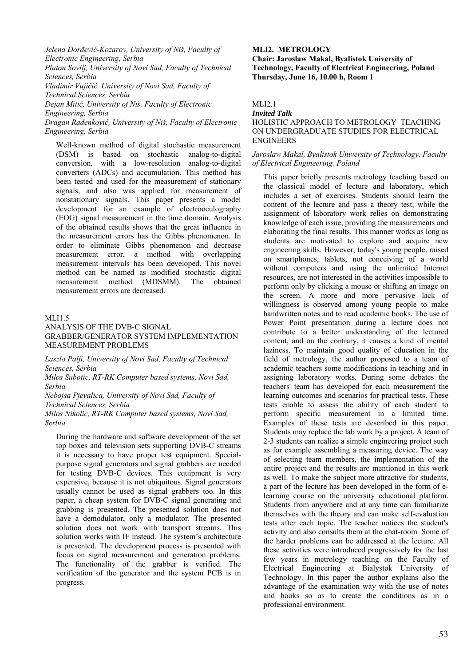*Jelena Đorđević-Kozarov, University of Niš, Faculty of Electronic Engineering, Serbia Platon Sovilj, University of Novi Sad, Faculty of Technical Sciences, Serbia Vladimir Vujičić, University of Novi Sad, Faculty of Technical Sciences, Serbia Dejan Mitić, University of Niš, Faculty of Electronic Engineering, Serbia Dragan Radenković, University of Niš, Faculty of Electronic Engineering, Serbia*

Well-known method of digital stochastic measurement (DSM) is based on stochastic analog-to-digital conversion, with a low-resolution analog-to-digital converters (ADCs) and accumulation. This method has been tested and used for the measurement of stationary signals, and also was applied for measurement of nonstationary signals. This paper presents a model development for an example of electrooculography (EOG) signal measurement in the time domain. Analysis of the obtained results shows that the great influence in the measurement errors has the Gibbs phenomenon. In order to eliminate Gibbs phenomenon and decrease measurement error, a method with overlapping measurement intervals has been developed. This novel method can be named as modified stochastic digital measurement method (MDSMM). The obtained measurement errors are decreased.

### MLI1.5

### ANALYSIS OF THE DVB-C SIGNAL GRABBER/GENERATOR SYSTEM IMPLEMENTATION MEASUREMENT PROBLEMS

*Laszlo Palfi, University of Novi Sad, Faculty of Technical Sciences, Serbia*

*Milos Subotic, RT-RK Computer based systems, Novi Sad, Serbia*

*Nebojsa Pjevalica, University of Novi Sad, Faculty of Technical Sciences, Serbia*

*Milos Nikolic, RT-RK Computer based systems, Novi Sad, Serbia*

During the hardware and software development of the set top boxes and television sets supporting DVB-C streams it is necessary to have proper test equipment. Specialpurpose signal generators and signal grabbers are needed for testing DVB-C devices. This equipment is very expensive, because it is not ubiquitous. Signal generators usually cannot be used as signal grabbers too. In this paper, a cheap system for DVB-C signal generating and grabbing is presented. The presented solution does not have a demodulator, only a modulator. The presented solution does not work with transport streams. This solution works with IF instead. The system's architecture is presented. The development process is presented with focus on signal measurement and generation problems. The functionality of the grabber is verified. The verification of the generator and the system PCB is in progress.

#### **MLI2. METROLOGY**

**Chair: Jaroslaw Makal, Byalistok University of Technology, Faculty of Electrical Engineering, Poland Thursday, June 16, 10.00 h, Room 1**

# MLI2.1

# *Invited Talk* HOLISTIC APPROACH TO METROLOGY TEACHING ON UNDERGRADUATE STUDIES FOR ELECTRICAL ENGINEERS

#### *Jaroslaw Makal, Byalistok University of Technology, Faculty of Electrical Engineering, Poland*

This paper briefly presents metrology teaching based on the classical model of lecture and laboratory, which includes a set of exercises. Students should learn the content of the lecture and pass a theory test, while the assignment of laboratory work relies on demonstrating knowledge of each issue, providing the measurements and elaborating the final results. This manner works as long as students are motivated to explore and acquire new engineering skills. However, today's young people, raised on smartphones, tablets, not conceiving of a world without computers and using the unlimited Internet resources, are not interested in the activities impossible to perform only by clicking a mouse or shifting an image on the screen. A more and more pervasive lack of willingness is observed among young people to make handwritten notes and to read academic books. The use of Power Point presentation during a lecture does not contribute to a better understanding of the lectured content, and on the contrary, it causes a kind of mental laziness. To maintain good quality of education in the field of metrology, the author proposed to a team of academic teachers some modifications in teaching and in assigning laboratory works. During some debates the teachers' team has developed for each measurement the learning outcomes and scenarios for practical tests. These tests enable to assess the ability of each student to perform specific measurement in a limited time. Examples of these tests are described in this paper. Students may replace the lab work by a project. A team of 2-3 students can realize a simple engineering project such as for example assembling a measuring device. The way of selecting team members, the implementation of the entire project and the results are mentioned in this work as well. To make the subject more attractive for students, a part of the lecture has been developed in the form of elearning course on the university educational platform. Students from anywhere and at any time can familiarize themselves with the theory and can make self-evaluation tests after each topic. The teacher notices the student's activity and also consults them at the chat-room. Some of the harder problems can be addressed at the lecture. All these activities were introduced progressively for the last few years in metrology teaching on the Faculty of Electrical Engineering at Bialystok University of Technology. In this paper the author explains also the advantage of the examination way with the use of notes and books so as to create the conditions as in a professional environment.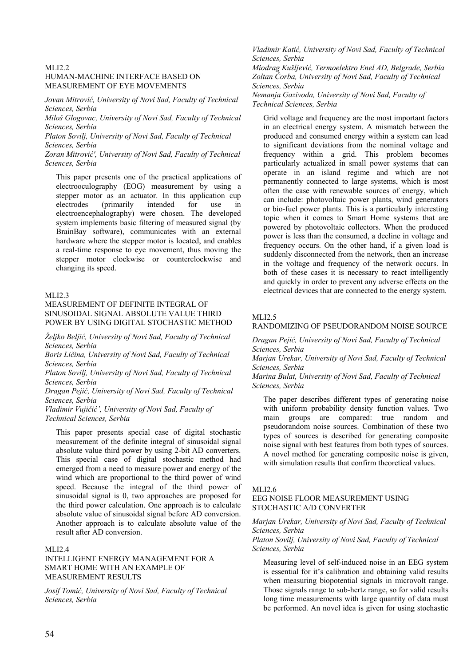### MLI2.2 HUMAN-MACHINE INTERFACE BASED ON MEASUREMENT OF EYE MOVEMENTS

*Jovan Mitrović, University of Novi Sad, Faculty of Technical Sciences, Serbia*

*Miloš Glogovac, University of Novi Sad, Faculty of Technical Sciences, Serbia*

*Platon Sovilj, University of Novi Sad, Faculty of Technical Sciences, Serbia*

*Zoran Mitrović', University of Novi Sad, Faculty of Technical Sciences, Serbia*

This paper presents one of the practical applications of electrooculography (EOG) measurement by using a stepper motor as an actuator. In this application cup electrodes (primarily intended for use in electroencephalography) were chosen. The developed system implements basic filtering of measured signal (by BrainBay software), communicates with an external hardware where the stepper motor is located, and enables a real-time response to eye movement, thus moving the stepper motor clockwise or counterclockwise and changing its speed.

### MLI2.3

# MEASUREMENT OF DEFINITE INTEGRAL OF SINUSOIDAL SIGNAL ABSOLUTE VALUE THIRD POWER BY USING DIGITAL STOCHASTIC METHOD

*Željko Beljić, University of Novi Sad, Faculty of Technical Sciences, Serbia*

*Boris Ličina, University of Novi Sad, Faculty of Technical Sciences, Serbia*

*Platon Sovilj, University of Novi Sad, Faculty of Technical Sciences, Serbia*

*Dragan Pejić, University of Novi Sad, Faculty of Technical Sciences, Serbia*

*Vladimir Vujičić', University of Novi Sad, Faculty of Technical Sciences, Serbia*

This paper presents special case of digital stochastic measurement of the definite integral of sinusoidal signal absolute value third power by using 2-bit AD converters. This special case of digital stochastic method had emerged from a need to measure power and energy of the wind which are proportional to the third power of wind speed. Because the integral of the third power of sinusoidal signal is 0, two approaches are proposed for the third power calculation. One approach is to calculate absolute value of sinusoidal signal before AD conversion. Another approach is to calculate absolute value of the result after AD conversion.

#### MLI2.4

## INTELLIGENT ENERGY MANAGEMENT FOR A SMART HOME WITH AN EXAMPLE OF MEASUREMENT RESULTS

*Josif Tomić, University of Novi Sad, Faculty of Technical Sciences, Serbia*

*Vladimir Katić, University of Novi Sad, Faculty of Technical Sciences, Serbia*

*Miodrag Kušljević, Termoelektro Enel AD, Belgrade, Serbia Zoltan Čorba, University of Novi Sad, Faculty of Technical Sciences, Serbia*

*Nemanja Gazivoda, University of Novi Sad, Faculty of Technical Sciences, Serbia*

Grid voltage and frequency are the most important factors in an electrical energy system. A mismatch between the produced and consumed energy within a system can lead to significant deviations from the nominal voltage and frequency within a grid. This problem becomes particularly actualized in small power systems that can operate in an island regime and which are not permanently connected to large systems, which is most often the case with renewable sources of energy, which can include: photovoltaic power plants, wind generators or bio-fuel power plants. This is a particularly interesting topic when it comes to Smart Home systems that are powered by photovoltaic collectors. When the produced power is less than the consumed, a decline in voltage and frequency occurs. On the other hand, if a given load is suddenly disconnected from the network, then an increase in the voltage and frequency of the network occurs. In both of these cases it is necessary to react intelligently and quickly in order to prevent any adverse effects on the electrical devices that are connected to the energy system.

### MLI2.5

# RANDOMIZING OF PSEUDORANDOM NOISE SOURCE

*Dragan Pejić, University of Novi Sad, Faculty of Technical Sciences, Serbia*

*Marjan Urekar, University of Novi Sad, Faculty of Technical Sciences, Serbia*

*Marina Bulat, University of Novi Sad, Faculty of Technical Sciences, Serbia*

The paper describes different types of generating noise with uniform probability density function values. Two main groups are compared: true random and pseudorandom noise sources. Combination of these two types of sources is described for generating composite noise signal with best features from both types of sources. A novel method for generating composite noise is given, with simulation results that confirm theoretical values.

### MLI2.6

### EEG NOISE FLOOR MEASUREMENT USING STOCHASTIC A/D CONVERTER

*Marjan Urekar, University of Novi Sad, Faculty of Technical Sciences, Serbia Platon Sovilj, University of Novi Sad, Faculty of Technical Sciences, Serbia*

Measuring level of self-induced noise in an EEG system is essential for it's calibration and obtaining valid results when measuring biopotential signals in microvolt range. Those signals range to sub-hertz range, so for valid results long time measurements with large quantity of data must be performed. An novel idea is given for using stochastic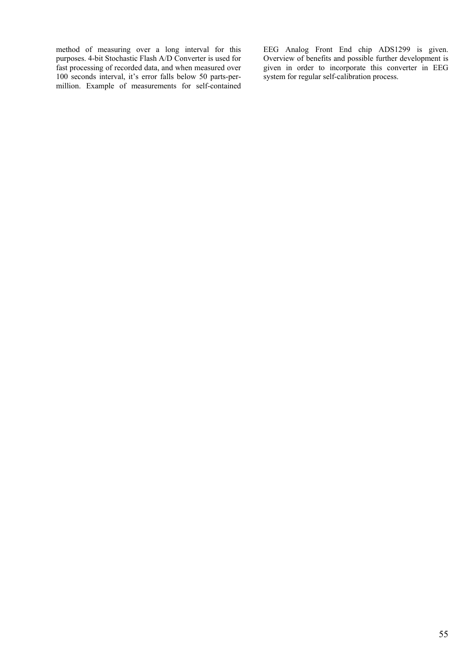method of measuring over a long interval for this purposes. 4-bit Stochastic Flash A/D Converter is used for fast processing of recorded data, and when measured over 100 seconds interval, it's error falls below 50 parts-permillion. Example of measurements for self-contained EEG Analog Front End chip ADS1299 is given. Overview of benefits and possible further development is given in order to incorporate this converter in EEG system for regular self-calibration process.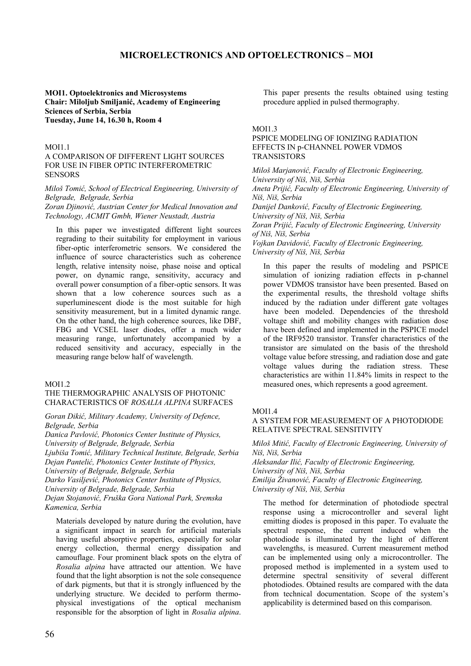# **MICROELECTRONICS AND OPTOELECTRONICS – MOI**

### **MOI1. Optoelektronics and Microsystems Chair: Miloljub Smiljanić, Academy of Engineering Sciences of Serbia, Serbia Tuesday, June 14, 16.30 h, Room 4**

## **MOI1.1**

# A COMPARISON OF DIFFERENT LIGHT SOURCES FOR USE IN FIBER OPTIC INTERFEROMETRIC SENSORS

*Miloš Tomić, School of Electrical Engineering, University of Belgrade, Belgrade, Serbia Zoran Djinović, Austrian Center for Medical Innovation and Technology, ACMIT Gmbh, Wiener Neustadt, Austria*

In this paper we investigated different light sources regrading to their suitability for employment in various fiber-optic interferometric sensors. We considered the influence of source characteristics such as coherence length, relative intensity noise, phase noise and optical power, on dynamic range, sensitivity, accuracy and overall power consumption of a fiber-optic sensors. It was shown that a low coherence sources such as a superluminescent diode is the most suitable for high sensitivity measurement, but in a limited dynamic range. On the other hand, the high coherence sources, like DBF, FBG and VCSEL laser diodes, offer a much wider measuring range, unfortunately accompanied by a reduced sensitivity and accuracy, especially in the measuring range below half of wavelength.

#### MOI1.2

# THE THERMOGRAPHIC ANALYSIS OF PHOTONIC CHARACTERISTICS OF *ROSALIA ALPINA* SURFACES

*Goran Dikić, Military Academy, University of Defence, Belgrade, Serbia*

*Danica Pavlović, Photonics Center Institute of Physics, University of Belgrade, Belgrade, Serbia*

*Ljubiša Tomić, Military Technical Institute, Belgrade, Serbia Dejan Pantelić, Photonics Center Institute of Physics,* 

*University of Belgrade, Belgrade, Serbia*

*Darko Vasiljević, Photonics Center Institute of Physics,* 

*University of Belgrade, Belgrade, Serbia* 

*Dejan Stojanović, Fruška Gora National Park, Sremska Kamenica, Serbia*

Materials developed by nature during the evolution, have a significant impact in search for artificial materials having useful absorptive properties, especially for solar energy collection, thermal energy dissipation and camouflage. Four prominent black spots on the elytra of *Rosalia alpina* have attracted our attention. We have found that the light absorption is not the sole consequence of dark pigments, but that it is strongly influenced by the underlying structure. We decided to perform thermophysical investigations of the optical mechanism responsible for the absorption of light in *Rosalia alpina*. This paper presents the results obtained using testing procedure applied in pulsed thermography.

#### MOI1.3

### PSPICE MODELING OF IONIZING RADIATION EFFECTS IN p-CHANNEL POWER VDMOS **TRANSISTORS**

*Miloš Marjanović, Faculty of Electronic Engineering, University of Niš, Niš, Serbia Aneta Prijić, Faculty of Electronic Engineering, University of Niš, Niš, Serbia Danijel Danković, Faculty of Electronic Engineering, University of Niš, Niš, Serbia Zoran Prijić, Faculty of Electronic Engineering, University of Niš, Niš, Serbia Vojkan Davidović, Faculty of Electronic Engineering, University of Niš, Niš, Serbia*

In this paper the results of modeling and PSPICE simulation of ionizing radiation effects in p-channel power VDMOS transistor have been presented. Based on the experimental results, the threshold voltage shifts induced by the radiation under different gate voltages have been modeled. Dependencies of the threshold voltage shift and mobility changes with radiation dose have been defined and implemented in the PSPICE model of the IRF9520 transistor. Transfer characteristics of the transistor are simulated on the basis of the threshold voltage value before stressing, and radiation dose and gate voltage values during the radiation stress. These characteristics are within 11.84% limits in respect to the measured ones, which represents a good agreement.

#### MOI1.4

# A SYSTEM FOR MEASUREMENT OF A PHOTODIODE RELATIVE SPECTRAL SENSITIVITY

*Miloš Mitić, Faculty of Electronic Engineering, University of Niš, Niš, Serbia Aleksandar Ilić, Faculty of Electronic Engineering,* 

*University of Niš, Niš, Serbia*

*Emilija Živanović, Faculty of Electronic Engineering, University of Niš, Niš, Serbia*

The method for determination of photodiode spectral response using a microcontroller and several light emitting diodes is proposed in this paper. To evaluate the spectral response, the current induced when the photodiode is illuminated by the light of different wavelengths, is measured. Current measurement method can be implemented using only a microcontroller. The proposed method is implemented in a system used to determine spectral sensitivity of several different photodiodes. Obtained results are compared with the data from technical documentation. Scope of the system's applicability is determined based on this comparison.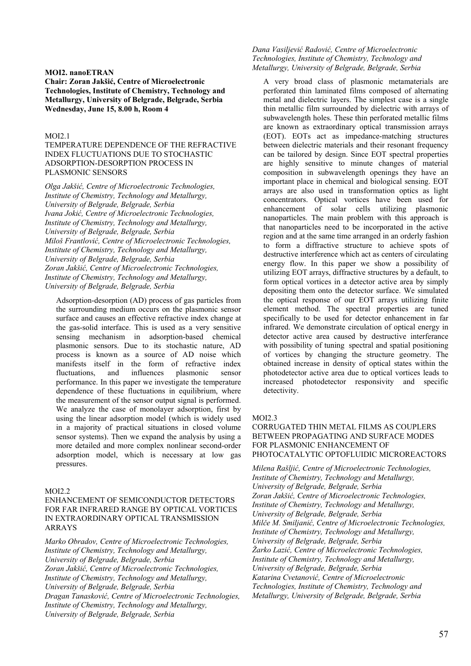#### **MOI2. nanoETRAN**

**Chair: Zoran Jakšić, Centre of Microelectronic Technologies, Institute of Chemistry, Technology and Metallurgy, University of Belgrade, Belgrade, Serbia Wednesday, June 15, 8.00 h, Room 4**

### MOI2.1

TEMPERATURE DEPENDENCE OF THE REFRACTIVE INDEX FLUCTUATIONS DUE TO STOCHASTIC ADSORPTION-DESORPTION PROCESS IN PLASMONIC SENSORS

*Olga Jakšić, Centre of Microelectronic Technologies, Institute of Chemistry, Technology and Metallurgy, University of Belgrade, Belgrade, Serbia Ivana Jokić, Centre of Microelectronic Technologies, Institute of Chemistry, Technology and Metallurgy, University of Belgrade, Belgrade, Serbia Miloš Frantlović, Centre of Microelectronic Technologies, Institute of Chemistry, Technology and Metallurgy, University of Belgrade, Belgrade, Serbia Zoran Jakšić, Centre of Microelectronic Technologies, Institute of Chemistry, Technology and Metallurgy, University of Belgrade, Belgrade, Serbia*

Adsorption-desorption (AD) process of gas particles from the surrounding medium occurs on the plasmonic sensor surface and causes an effective refractive index change at the gas-solid interface. This is used as a very sensitive sensing mechanism in adsorption-based chemical plasmonic sensors. Due to its stochastic nature, AD process is known as a source of AD noise which manifests itself in the form of refractive index fluctuations, and influences plasmonic sensor performance. In this paper we investigate the temperature dependence of these fluctuations in equilibrium, where the measurement of the sensor output signal is performed. We analyze the case of monolayer adsorption, first by using the linear adsorption model (which is widely used in a majority of practical situations in closed volume sensor systems). Then we expand the analysis by using a more detailed and more complex nonlinear second-order adsorption model, which is necessary at low gas pressures.

#### MOI2.2

ENHANCEMENT OF SEMICONDUCTOR DETECTORS FOR FAR INFRARED RANGE BY OPTICAL VORTICES IN EXTRAORDINARY OPTICAL TRANSMISSION ARRAYS

*Marko Obradov, Centre of Microelectronic Technologies, Institute of Chemistry, Technology and Metallurgy, University of Belgrade, Belgrade, Serbia Zoran Jakšić, Centre of Microelectronic Technologies, Institute of Chemistry, Technology and Metallurgy, University of Belgrade, Belgrade, Serbia Dragan Tanasković, Centre of Microelectronic Technologies, Institute of Chemistry, Technology and Metallurgy, University of Belgrade, Belgrade, Serbia*

# *Dana Vasiljević Radović, Centre of Microelectronic Technologies, Institute of Chemistry, Technology and Metallurgy, University of Belgrade, Belgrade, Serbia*

A very broad class of plasmonic metamaterials are perforated thin laminated films composed of alternating metal and dielectric layers. The simplest case is a single thin metallic film surrounded by dielectric with arrays of subwavelength holes. These thin perforated metallic films are known as extraordinary optical transmission arrays (EOT). EOTs act as impedance-matching structures between dielectric materials and their resonant frequency can be tailored by design. Since EOT spectral properties are highly sensitive to minute changes of material composition in subwavelength openings they have an important place in chemical and biological sensing. EOT arrays are also used in transformation optics as light concentrators. Optical vortices have been used for enhancement of solar cells utilizing plasmonic nanoparticles. The main problem with this approach is that nanoparticles need to be incorporated in the active region and at the same time arranged in an orderly fashion to form a diffractive structure to achieve spots of destructive interference which act as centers of circulating energy flow. In this paper we show a possibility of utilizing EOT arrays, diffractive structures by a default, to form optical vortices in a detector active area by simply depositing them onto the detector surface. We simulated the optical response of our EOT arrays utilizing finite element method. The spectral properties are tuned specifically to be used for detector enhancement in far infrared. We demonstrate circulation of optical energy in detector active area caused by destructive interferance with possibility of tuning spectral and spatial positioning of vortices by changing the structure geometry. The obtained increase in density of optical states within the photodetector active area due to optical vortices leads to increased photodetector responsivity and specific detectivity.

#### MOI2.3

CORRUGATED THIN METAL FILMS AS COUPLERS BETWEEN PROPAGATING AND SURFACE MODES FOR PLASMONIC ENHANCEMENT OF PHOTOCATALYTIC OPTOFLUIDIC MICROREACTORS

*Milena Rašljić, Centre of Microelectronic Technologies, Institute of Chemistry, Technology and Metallurgy, University of Belgrade, Belgrade, Serbia Zoran Jakšić, Centre of Microelectronic Technologies, Institute of Chemistry, Technology and Metallurgy, University of Belgrade, Belgrade, Serbia Milče M. Smiljanić, Centre of Microelectronic Technologies, Institute of Chemistry, Technology and Metallurgy, University of Belgrade, Belgrade, Serbia Žarko Lazić, Centre of Microelectronic Technologies, Institute of Chemistry, Technology and Metallurgy, University of Belgrade, Belgrade, Serbia Katarina Cvetanović, Centre of Microelectronic Technologies, Institute of Chemistry, Technology and Metallurgy, University of Belgrade, Belgrade, Serbia*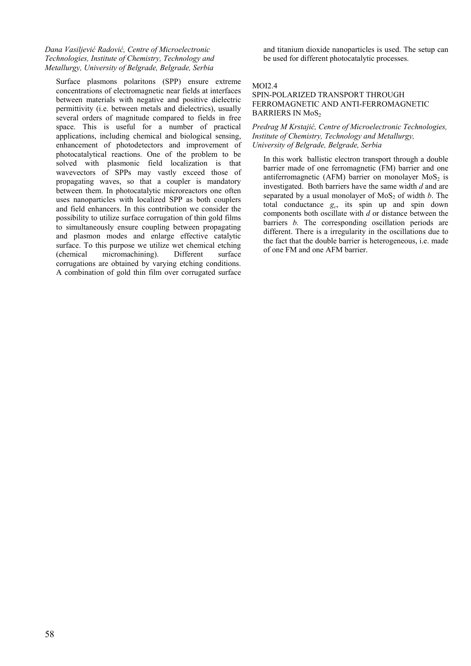# *Dana Vasiljević Radović, Centre of Microelectronic Technologies, Institute of Chemistry, Technology and Metallurgy, University of Belgrade, Belgrade, Serbia*

Surface plasmons polaritons (SPP) ensure extreme concentrations of electromagnetic near fields at interfaces between materials with negative and positive dielectric permittivity (i.e. between metals and dielectrics), usually several orders of magnitude compared to fields in free space. This is useful for a number of practical applications, including chemical and biological sensing, enhancement of photodetectors and improvement of photocatalytical reactions. One of the problem to be solved with plasmonic field localization is that wavevectors of SPPs may vastly exceed those of propagating waves, so that a coupler is mandatory between them. In photocatalytic microreactors one often uses nanoparticles with localized SPP as both couplers and field enhancers. In this contribution we consider the possibility to utilize surface corrugation of thin gold films to simultaneously ensure coupling between propagating and plasmon modes and enlarge effective catalytic surface. To this purpose we utilize wet chemical etching (chemical micromachining). Different surface corrugations are obtained by varying etching conditions. A combination of gold thin film over corrugated surface and titanium dioxide nanoparticles is used. The setup can be used for different photocatalytic processes.

# MOI2.4

## SPIN-POLARIZED TRANSPORT THROUGH FERROMAGNETIC AND ANTI-FERROMAGNETIC BARRIERS IN MoS<sub>2</sub>

*Predrag M Krstajić, Centre of Microelectronic Technologies, Institute of Chemistry, Technology and Metallurgy, University of Belgrade, Belgrade, Serbia*

In this work ballistic electron transport through a double barrier made of one ferromagnetic (FM) barrier and one antiferromagnetic (AFM) barrier on monolayer  $MoS<sub>2</sub>$  is investigated. Both barriers have the same width *d* and are separated by a usual monolayer of  $MoS<sub>2</sub>$  of width *b*. The total conductance *gc*, its spin up and spin down components both oscillate with *d* or distance between the barriers *b*. The corresponding oscillation periods are different. There is a irregularity in the oscillations due to the fact that the double barrier is heterogeneous, i.e. made of one FM and one AFM barrier.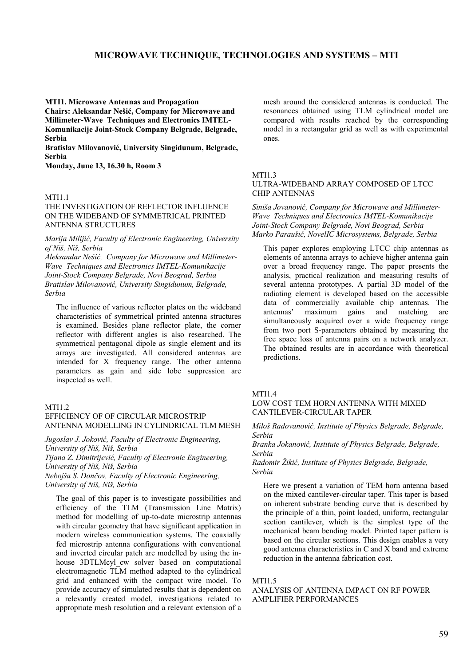# **MICROWAVE TECHNIQUE, TECHNOLOGIES AND SYSTEMS – MTI**

**MTI1. Microwave Antennas and Propagation Chairs: Aleksandar Nešić, Company for Microwave and Millimeter-Wave Techniques and Electronics IMTEL-Komunikacije Joint-Stock Company Belgrade, Belgrade, Serbia**

**Bratislav Milovanović, University Singidunum, Belgrade, Serbia**

**Monday, June 13, 16.30 h, Room 3**

#### MTI<sub>1</sub>1

## THE INVESTIGATION OF REFLECTOR INFLUENCE ON THE WIDEBAND OF SYMMETRICAL PRINTED ANTENNA STRUCTURES

*Marija Milijić, Faculty of Electronic Engineering, University of Niš, Niš, Serbia* 

*Aleksandar Nešić, Company for Microwave and Millimeter-Wave Techniques and Electronics IMTEL-Komunikacije Joint-Stock Company Belgrade, Novi Beograd, Serbia Bratislav Milovanović, University Singidunum, Belgrade, Serbia* 

The influence of various reflector plates on the wideband characteristics of symmetrical printed antenna structures is examined. Besides plane reflector plate, the corner reflector with different angles is also researched. The symmetrical pentagonal dipole as single element and its arrays are investigated. All considered antennas are intended for X frequency range. The other antenna parameters as gain and side lobe suppression are inspected as well.

#### $MTI1.2$

# EFFICIENCY OF OF CIRCULAR MICROSTRIP ANTENNA MODELLING IN CYLINDRICAL TLM MESH

*Jugoslav J. Joković, Faculty of Electronic Engineering, University of Niš, Niš, Serbia Tijana Z. Dimitrijević, Faculty of Electronic Engineering, University of Niš, Niš, Serbia Nebojša S. Dončov, Faculty of Electronic Engineering, University of Niš, Niš, Serbia* 

The goal of this paper is to investigate possibilities and efficiency of the TLM (Transmission Line Matrix) method for modelling of up-to-date microstrip antennas with circular geometry that have significant application in modern wireless communication systems. The coaxially fed microstrip antenna configurations with conventional and inverted circular patch are modelled by using the inhouse 3DTLMcyl cw solver based on computational electromagnetic TLM method adapted to the cylindrical grid and enhanced with the compact wire model. To provide accuracy of simulated results that is dependent on a relevantly created model, investigations related to appropriate mesh resolution and a relevant extension of a mesh around the considered antennas is conducted. The resonances obtained using TLM cylindrical model are compared with results reached by the corresponding model in a rectangular grid as well as with experimental ones.

#### MTI1.3

#### ULTRA-WIDEBAND ARRAY COMPOSED OF LTCC CHIP ANTENNAS

*Siniša Jovanović, Company for Microwave and Millimeter-Wave Techniques and Electronics IMTEL-Komunikacije Joint-Stock Company Belgrade, Novi Beograd, Serbia Marko Paraušić, NovelIC Microsystems, Belgrade, Serbia* 

This paper explores employing LTCC chip antennas as elements of antenna arrays to achieve higher antenna gain over a broad frequency range. The paper presents the analysis, practical realization and measuring results of several antenna prototypes. A partial 3D model of the radiating element is developed based on the accessible data of commercially available chip antennas. The antennas' maximum gains and matching are simultaneously acquired over a wide frequency range from two port S-parameters obtained by measuring the free space loss of antenna pairs on a network analyzer. The obtained results are in accordance with theoretical predictions.

#### MTI1.4

# LOW COST TEM HORN ANTENNA WITH MIXED CANTILEVER-CIRCULAR TAPER

*Miloš Radovanović, Institute of Physics Belgrade, Belgrade, Serbia* 

*Branka Jokanović, Institute of Physics Belgrade, Belgrade, Serbia* 

*Radomir Žikić, Institute of Physics Belgrade, Belgrade, Serbia* 

Here we present a variation of TEM horn antenna based on the mixed cantilever-circular taper. This taper is based on inherent substrate bending curve that is described by the principle of a thin, point loaded, uniform, rectangular section cantilever, which is the simplest type of the mechanical beam bending model. Printed taper pattern is based on the circular sections. This design enables a very good antenna characteristics in C and X band and extreme reduction in the antenna fabrication cost.

#### MTI<sub>1.5</sub>

#### ANALYSIS OF ANTENNA IMPACT ON RF POWER AMPLIFIER PERFORMANCES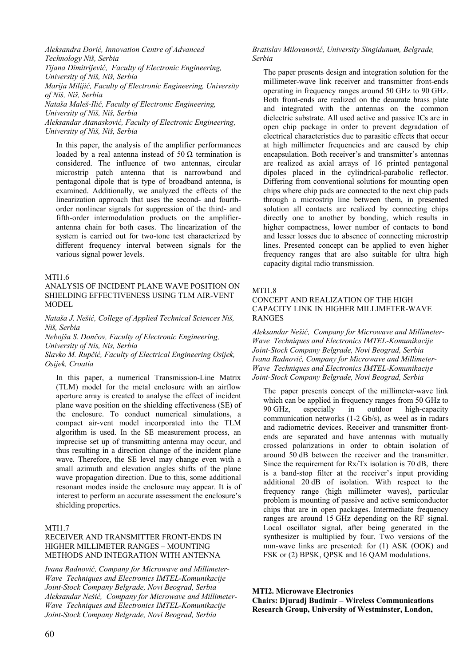*Aleksandra Đorić, Innovation Centre of Advanced Technology Niš, Serbia Tijana Dimitrijević, Faculty of Electronic Engineering, University of Niš, Niš, Serbia Marija Milijić, Faculty of Electronic Engineering, University of Niš, Niš, Serbia Nataša Maleš-Ilić, Faculty of Electronic Engineering, University of Niš, Niš, Serbia Aleksandar Atanasković, Faculty of Electronic Engineering, University of Niš, Niš, Serbia* 

In this paper, the analysis of the amplifier performances loaded by a real antenna instead of 50  $\Omega$  termination is considered. The influence of two antennas, circular microstrip patch antenna that is narrowband and pentagonal dipole that is type of broadband antenna, is examined. Additionally, we analyzed the effects of the linearization approach that uses the second- and fourthorder nonlinear signals for suppression of the third- and fifth-order intermodulation products on the amplifierantenna chain for both cases. The linearization of the system is carried out for two-tone test characterized by different frequency interval between signals for the various signal power levels.

# MTI1.6

## ANALYSIS OF INCIDENT PLANE WAVE POSITION ON SHIELDING EFFECTIVENESS USING TLM AIR-VENT MODEL

*Nataša J. Nešić, College of Applied Technical Sciences Niš, Niš, Serbia* 

*Nebojša S. Dončov, Faculty of Electronic Engineering, University of Nis, Nis, Serbia* 

*Slavko M. Rupčić, Faculty of Electrical Engineering Osijek, Osijek, Croatia* 

In this paper, a numerical Transmission-Line Matrix (TLM) model for the metal enclosure with an airflow aperture array is created to analyse the effect of incident plane wave position on the shielding effectiveness (SE) of the enclosure. To conduct numerical simulations, a compact air-vent model incorporated into the TLM algorithm is used. In the SE measurement process, an imprecise set up of transmitting antenna may occur, and thus resulting in a direction change of the incident plane wave. Therefore, the SE level may change even with a small azimuth and elevation angles shifts of the plane wave propagation direction. Due to this, some additional resonant modes inside the enclosure may appear. It is of interest to perform an accurate assessment the enclosure's shielding properties.

# MTI1.7

# RECEIVER AND TRANSMITTER FRONT-ENDS IN HIGHER MILLIMETER RANGES – MOUNTING METHODS AND INTEGRATION WITH ANTENNA

*Ivana Radnović, Company for Microwave and Millimeter-Wave Techniques and Electronics IMTEL-Komunikacije Joint-Stock Company Belgrade, Novi Beograd, Serbia Aleksandar Nešić, Company for Microwave and Millimeter-Wave Techniques and Electronics IMTEL-Komunikacije Joint-Stock Company Belgrade, Novi Beograd, Serbia* 

# *Bratislav Milovanović, University Singidunum, Belgrade, Serbia*

The paper presents design and integration solution for the millimeter-wave link receiver and transmitter front-ends operating in frequency ranges around 50 GHz to 90 GHz. Both front-ends are realized on the deaurate brass plate and integrated with the antennas on the common dielectric substrate. All used active and passive ICs are in open chip package in order to prevent degradation of electrical characteristics due to parasitic effects that occur at high millimeter frequencies and are caused by chip encapsulation. Both receiver's and transmitter's antennas are realized as axial arrays of 16 printed pentagonal dipoles placed in the cylindrical-parabolic reflector. Differing from conventional solutions for mounting open chips where chip pads are connected to the next chip pads through a microstrip line between them, in presented solution all contacts are realized by connecting chips directly one to another by bonding, which results in higher compactness, lower number of contacts to bond and lesser losses due to absence of connecting microstrip lines. Presented concept can be applied to even higher frequency ranges that are also suitable for ultra high capacity digital radio transmission.

# MTI1.8

# CONCEPT AND REALIZATION OF THE HIGH CAPACITY LINK IN HIGHER MILLIMETER-WAVE RANGES

*Aleksandar Nešić, Company for Microwave and Millimeter-Wave Techniques and Electronics IMTEL-Komunikacije Joint-Stock Company Belgrade, Novi Beograd, Serbia Ivana Radnović, Company for Microwave and Millimeter-Wave Techniques and Electronics IMTEL-Komunikacije Joint-Stock Company Belgrade, Novi Beograd, Serbia* 

The paper presents concept of the millimeter-wave link which can be applied in frequency ranges from 50 GHz to 90 GHz, especially in outdoor high-capacity communication networks (1-2 Gb/s), as weel as in radars and radiometric devices. Receiver and transmitter frontends are separated and have antennas with mutually crossed polarizations in order to obtain isolation of around 50 dB between the receiver and the transmitter. Since the requirement for  $Rx/Tx$  isolation is 70 dB, there is a band-stop filter at the receiver's input providing additional 20 dB of isolation. With respect to the frequency range (high millimeter waves), particular problem is mounting of passive and active semiconductor chips that are in open packages. Intermediate frequency ranges are around 15 GHz depending on the RF signal. Local oscillator signal, after being generated in the synthesizer is multiplied by four. Two versions of the mm-wave links are presented: for (1) ASK (OOK) and FSK or (2) BPSK, QPSK and 16 QAM modulations.

# **MTI2. Microwave Electronics**

**Chairs: Djuradj Budimir – Wireless Communications Research Group, University of Westminster, London,**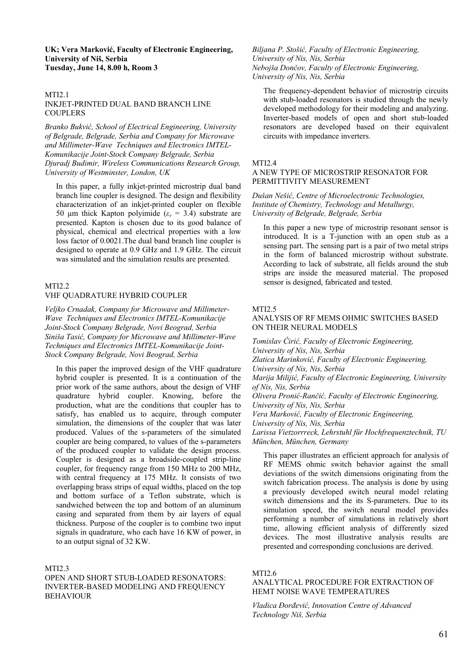### **UK; Vera Marković, Faculty of Electronic Engineering, University of Niš, Serbia Tuesday, June 14, 8.00 h, Room 3**

#### MTI2.1 INKJET-PRINTED DUAL BAND BRANCH LINE **COUPLERS**

*Branko Bukvić, School of Electrical Engineering, University of Belgrade, Belgrade, Serbia and Company for Microwave and Millimeter-Wave Techniques and Electronics IMTEL-Komunikacije Joint-Stock Company Belgrade, Serbia Djuradj Budimir, Wireless Communications Research Group, University of Westminster, London, UK* 

In this paper, a fully inkjet-printed microstrip dual band branch line coupler is designed. The design and flexibility characterization of an inkjet-printed coupler on flexible 50 μm thick Kapton polyimide ( $ε<sub>r</sub> = 3.4$ ) substrate are presented. Kapton is chosen due to its good balance of physical, chemical and electrical properties with a low loss factor of 0.0021.The dual band branch line coupler is designed to operate at 0.9 GHz and 1.9 GHz. The circuit was simulated and the simulation results are presented.

# MTI2.2

### VHF QUADRATURE HYBRID COUPLER

*Veljko Crnadak, Company for Microwave and Millimeter-Wave Techniques and Electronics IMTEL-Komunikacije Joint-Stock Company Belgrade, Novi Beograd, Serbia Siniša Tasić, Company for Microwave and Millimeter-Wave Techniques and Electronics IMTEL-Komunikacije Joint-Stock Company Belgrade, Novi Beograd, Serbia* 

In this paper the improved design of the VHF quadrature hybrid coupler is presented. It is a continuation of the prior work of the same authors, about the design of VHF quadrature hybrid coupler. Knowing, before the production, what are the conditions that coupler has to satisfy, has enabled us to acquire, through computer simulation, the dimensions of the coupler that was later produced. Values of the s-parameters of the simulated coupler are being compared, to values of the s-parameters of the produced coupler to validate the design process. Coupler is designed as a broadside-coupled strip-line coupler, for frequency range from 150 MHz to 200 MHz, with central frequency at 175 MHz. It consists of two overlapping brass strips of equal widths, placed on the top and bottom surface of a Teflon substrate, which is sandwiched between the top and bottom of an aluminum casing and separated from them by air layers of equal thickness. Purpose of the coupler is to combine two input signals in quadrature, who each have 16 KW of power, in to an output signal of 32 KW.

## MTI2.3

OPEN AND SHORT STUB-LOADED RESONATORS: INVERTER-BASED MODELING AND FREQUENCY **BEHAVIOUR** 

*Biljana P. Stošić, Faculty of Electronic Engineering, University of Nis, Nis, Serbia Nebojša Dončov, Faculty of Electronic Engineering, University of Nis, Nis, Serbia* 

The frequency-dependent behavior of microstrip circuits with stub-loaded resonators is studied through the newly developed methodology for their modeling and analyzing. Inverter-based models of open and short stub-loaded resonators are developed based on their equivalent circuits with impedance inverters.

#### MTI2.4

# A NEW TYPE OF MICROSTRIP RESONATOR FOR PERMITTIVITY MEASUREMENT

*Dušan Nešić, Centre of Microelectronic Technologies, Institute of Chemistry, Technology and Metallurgy, University of Belgrade, Belgrade, Serbia* 

In this paper a new type of microstrip resonant sensor is introduced. It is a T-junction with an open stub as a sensing part. The sensing part is a pair of two metal strips in the form of balanced microstrip without substrate. According to lack of substrate, all fields around the stub strips are inside the measured material. The proposed sensor is designed, fabricated and tested.

#### MTI<sub>2.5</sub>

# ANALYSIS OF RF MEMS OHMIC SWITCHES BASED ON THEIR NEURAL MODELS

*Tomislav Ćirić, Faculty of Electronic Engineering, University of Nis, Nis, Serbia Zlatica Marinković, Faculty of Electronic Engineering, University of Nis, Nis, Serbia Marija Milijić, Faculty of Electronic Engineering, University of Nis, Nis, Serbia Olivera Pronić-Rančić, Faculty of Electronic Engineering, University of Nis, Nis, Serbia Vera Marković, Faculty of Electronic Engineering, University of Nis, Nis, Serbia Larissa Vietzorrreck, Lehrstuhl für Hochfrequenztechnik, TU München, München, Germany* 

This paper illustrates an efficient approach for analysis of RF MEMS ohmic switch behavior against the small deviations of the switch dimensions originating from the switch fabrication process. The analysis is done by using a previously developed switch neural model relating switch dimensions and the its S-parameters. Due to its simulation speed, the switch neural model provides performing a number of simulations in relatively short time, allowing efficient analysis of differently sized devices. The most illustrative analysis results are presented and corresponding conclusions are derived.

#### MTI2.6

#### ANALYTICAL PROCEDURE FOR EXTRACTION OF HEMT NOISE WAVE TEMPERATURES

*Vladica Đorđević, Innovation Centre of Advanced Technology Niš, Serbia*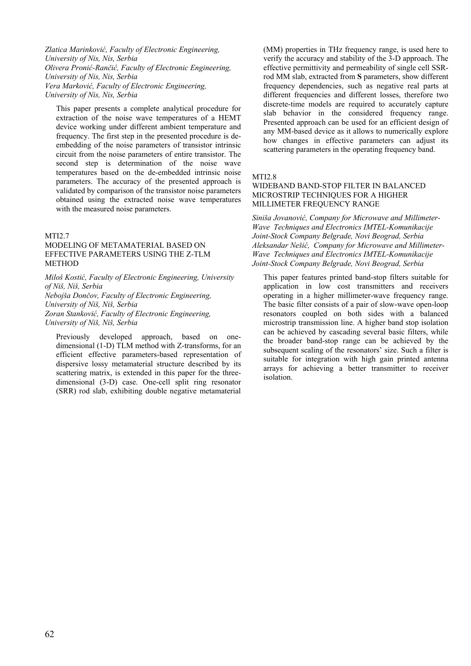*Zlatica Marinković, Faculty of Electronic Engineering, University of Nis, Nis, Serbia Olivera Pronić-Rančić, Faculty of Electronic Engineering, University of Nis, Nis, Serbia Vera Marković, Faculty of Electronic Engineering, University of Nis, Nis, Serbia* 

This paper presents a complete analytical procedure for extraction of the noise wave temperatures of a HEMT device working under different ambient temperature and frequency. The first step in the presented procedure is deembedding of the noise parameters of transistor intrinsic circuit from the noise parameters of entire transistor. The second step is determination of the noise wave temperatures based on the de-embedded intrinsic noise parameters. The accuracy of the presented approach is validated by comparison of the transistor noise parameters obtained using the extracted noise wave temperatures with the measured noise parameters.

# MTI2.7

# MODELING OF METAMATERIAL BASED ON EFFECTIVE PARAMETERS USING THE Z-TLM METHOD

*Miloš Kostić, Faculty of Electronic Engineering, University of Niš, Niš, Serbia Nebojša Dončov, Faculty of Electronic Engineering, University of Niš, Niš, Serbia Zoran Stanković, Faculty of Electronic Engineering, University of Niš, Niš, Serbia* 

Previously developed approach, based on onedimensional (1-D) TLM method with Z-transforms, for an efficient effective parameters-based representation of dispersive lossy metamaterial structure described by its scattering matrix, is extended in this paper for the threedimensional (3-D) case. One-cell split ring resonator (SRR) rod slab, exhibiting double negative metamaterial (MM) properties in THz frequency range, is used here to verify the accuracy and stability of the 3-D approach. The effective permittivity and permeability of single cell SSRrod MM slab, extracted from **S** parameters, show different frequency dependencies, such as negative real parts at different frequencies and different losses, therefore two discrete-time models are required to accurately capture slab behavior in the considered frequency range. Presented approach can be used for an efficient design of any MM-based device as it allows to numerically explore how changes in effective parameters can adjust its scattering parameters in the operating frequency band.

MTI2.8

# WIDEBAND BAND-STOP FILTER IN BALANCED MICROSTRIP TECHNIQUES FOR A HIGHER MILLIMETER FREQUENCY RANGE

*Siniša Jovanović, Company for Microwave and Millimeter-Wave Techniques and Electronics IMTEL-Komunikacije Joint-Stock Company Belgrade, Novi Beograd, Serbia Aleksandar Nešić, Company for Microwave and Millimeter-Wave Techniques and Electronics IMTEL-Komunikacije Joint-Stock Company Belgrade, Novi Beograd, Serbia* 

This paper features printed band-stop filters suitable for application in low cost transmitters and receivers operating in a higher millimeter-wave frequency range. The basic filter consists of a pair of slow-wave open-loop resonators coupled on both sides with a balanced microstrip transmission line. A higher band stop isolation can be achieved by cascading several basic filters, while the broader band-stop range can be achieved by the subsequent scaling of the resonators' size. Such a filter is suitable for integration with high gain printed antenna arrays for achieving a better transmitter to receiver isolation.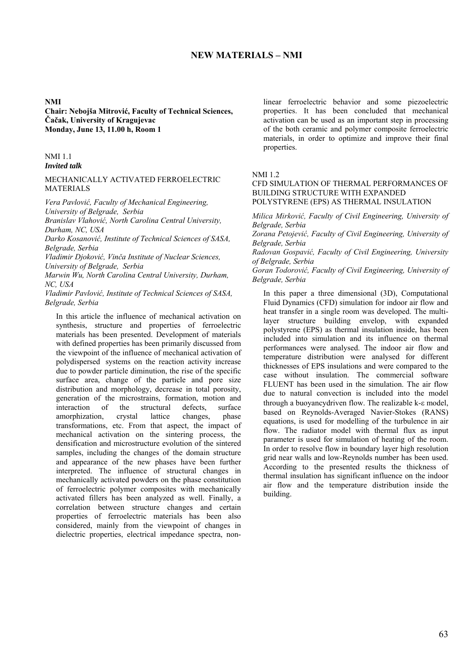# **NEW MATERIALS – NMI**

#### **NMI**

**Chair: Nebojša Mitrović, Faculty of Technical Sciences, Čačak, University of Kragujevac Monday, June 13, 11.00 h, Room 1**

# NMI 1.1

## *Invited talk*

### MECHANICALLY ACTIVATED FERROELECTRIC **MATERIALS**

*Vera Pavlović, Faculty of Mechanical Engineering, University of Belgrade, Serbia* 

*Branislav Vlahović, North Carolina Central University, Durham, NC, USA* 

*Darko Kosanović, Institute of Technical Sciences of SASA, Belgrade, Serbia* 

*Vladimir Djoković, Vinča Institute of Nuclear Sciences, University of Belgrade, Serbia* 

*Marwin Wu, North Carolina Central University, Durham, NC, USA* 

*Vladimir Pavlović, Institute of Technical Sciences of SASA, Belgrade, Serbia* 

In this article the influence of mechanical activation on synthesis, structure and properties of ferroelectric materials has been presented. Development of materials with defined properties has been primarily discussed from the viewpoint of the influence of mechanical activation of polydispersed systems on the reaction activity increasе due to powder particle diminution, the rise of the specific surface area, change of the particle and pore size distribution and morphology, decrease in total porosity, generation of the microstrains, formation, motion and interaction of the structural defects, surface amorphization, crystal lattice changes, phase transformations, etc. From that aspect, the impact of mechanical activation on the sintering process, the densification and microstructure evolution of the sintered samples, including the changes of the domain structure and appearance of the new phases have been further interpreted. The influence of structural changes in mechanically activated powders on the phase constitution of ferroelectric polymer composites with mechanically activated fillers has been analyzed as well. Finally, a correlation between structure changes and certain properties of ferroelectric materials has been also considered, mainly from the viewpoint of changes in dielectric properties, electrical impedance spectra, nonlinear ferroelectric behavior and some piezoelectric properties. It has been concluded that mechanical activation can be used as an important step in processing of the both ceramic and polymer composite ferroelectric materials, in order to optimize and improve their final properties.

#### NMI 1.2

# CFD SIMULATION OF THERMAL PERFORMANCES OF BUILDING STRUCTURE WITH EXPANDED POLYSTYRENE (EPS) AS THERMAL INSULATION

*Milica Mirković, Faculty of Civil Engineering, University of Belgrade, Serbia*

*Zorana Petojević, Faculty of Civil Engineering, University of Belgrade, Serbia*

*Radovan Gospavić, Faculty of Civil Engineering, University of Belgrade, Serbia*

*Goran Todorović, Faculty of Civil Engineering, University of Belgrade, Serbia*

In this paper a three dimensional (3D), Computational Fluid Dynamics (CFD) simulation for indoor air flow and heat transfer in a single room was developed. The multilayer structure building envelop, with expanded polystyrene (EPS) as thermal insulation inside, has been included into simulation and its influence on thermal performances were analysed. The indoor air flow and temperature distribution were analysed for different thicknesses of EPS insulations and were compared to the case without insulation. The commercial software FLUENT has been used in the simulation. The air flow due to natural convection is included into the model through a buoyancy driven flow. The realizable  $k$ - $\varepsilon$  model, based on Reynolds-Averaged Navier-Stokes (RANS) equations, is used for modelling of the turbulence in air flow. The radiator model with thermal flux as input parameter is used for simulation of heating of the room. In order to resolve flow in boundary layer high resolution grid near walls and low-Reynolds number has been used. According to the presented results the thickness of thermal insulation has significant influence on the indoor air flow and the temperature distribution inside the building.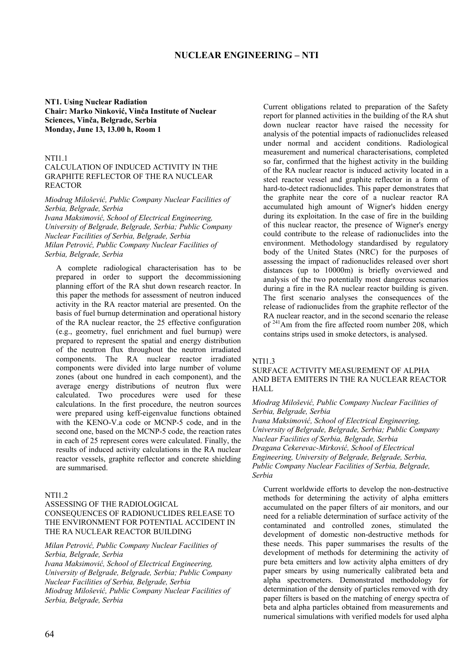# **NUCLEAR ENGINEERING – NTI**

**NT1. Using Nuclear Radiation Chair: Marko Ninković, Vinča Institute of Nuclear Sciences, Vinča, Belgrade, Serbia Monday, June 13, 13.00 h, Room 1**

#### **NTI11**

### CALCULATION OF INDUCED ACTIVITY IN THE GRAPHITE REFLECTOR OF THE RA NUCLEAR REACTOR

*Miodrag Milošević, Public Company Nuclear Facilities of Serbia, Belgrade, Serbia Ivana Maksimović, School of Electrical Engineering, University of Belgrade, Belgrade, Serbia; Public Company Nuclear Facilities of Serbia, Belgrade, Serbia Milan Petrović, Public Company Nuclear Facilities of Serbia, Belgrade, Serbia* 

A complete radiological characterisation has to be prepared in order to support the decommissioning planning effort of the RA shut down research reactor. In this paper the methods for assessment of neutron induced activity in the RA reactor material are presented. On the basis of fuel burnup determination and operational history of the RA nuclear reactor, the 25 effective configuration (e.g., geometry, fuel enrichment and fuel burnup) were prepared to represent the spatial and energy distribution of the neutron flux throughout the neutron irradiated components. The RA nuclear reactor irradiated components were divided into large number of volume zones (about one hundred in each component), and the average energy distributions of neutron flux were calculated. Two procedures were used for these calculations. In the first procedure, the neutron sources were prepared using keff-eigenvalue functions obtained with the KENO-V.a code or MCNP-5 code, and in the second one, based on the MCNP-5 code, the reaction rates in each of 25 represent cores were calculated. Finally, the results of induced activity calculations in the RA nuclear reactor vessels, graphite reflector and concrete shielding are summarised.

#### NTI1.2

### ASSESSING OF THE RADIOLOGICAL CONSEQUENCES OF RADIONUCLIDES RELEASE TO THE ENVIRONMENT FOR POTENTIAL ACCIDENT IN THE RA NUCLEAR REACTOR BUILDING

*Milan Petrović, Public Company Nuclear Facilities of Serbia, Belgrade, Serbia*

*Ivana Maksimović, School of Electrical Engineering, University of Belgrade, Belgrade, Serbia; Public Company Nuclear Facilities of Serbia, Belgrade, Serbia Miodrag Milošević, Public Company Nuclear Facilities of Serbia, Belgrade, Serbia*

Current obligations related to preparation of the Safety report for planned activities in the building of the RA shut down nuclear reactor have raised the necessity for analysis of the potential impacts of radionuclides released under normal and accident conditions. Radiological measurement and numerical characterisations, completed so far, confirmed that the highest activity in the building of the RA nuclear reactor is induced activity located in a steel reactor vessel and graphite reflector in a form of hard-to-detect radionuclides. This paper demonstrates that the graphite near the core of a nuclear reactor RA accumulated high amount of Wigner's hidden energy during its exploitation. In the case of fire in the building of this nuclear reactor, the presence of Wigner's energy could contribute to the release of radionuclides into the environment. Methodology standardised by regulatory body of the United States (NRC) for the purposes of assessing the impact of radionuclides released over short distances (up to 10000m) is briefly overviewed and analysis of the two potentially most dangerous scenarios during a fire in the RA nuclear reactor building is given. The first scenario analyses the consequences of the release of radionuclides from the graphite reflector of the RA nuclear reactor, and in the second scenario the release of <sup>241</sup>Am from the fire affected room number 208, which contains strips used in smoke detectors, is analysed.

### NTI1.3

#### SURFACE ACTIVITY MEASUREMENT OF ALPHA AND BETA EMITERS IN THE RA NUCLEAR REACTOR HALL

#### *Miodrag Milošević, Public Company Nuclear Facilities of Serbia, Belgrade, Serbia*

*Ivana Maksimović, School of Electrical Engineering, University of Belgrade, Belgrade, Serbia; Public Company Nuclear Facilities of Serbia, Belgrade, Serbia Dragana Cekerevac-Mirković, School of Electrical Engineering, University of Belgrade, Belgrade, Serbia, Public Company Nuclear Facilities of Serbia, Belgrade, Serbia*

Current worldwide efforts to develop the non-destructive methods for determining the activity of alpha emitters accumulated on the paper filters of air monitors, and our need for a reliable determination of surface activity of the contaminated and controlled zones, stimulated the development of domestic non-destructive methods for these needs. This paper summarises the results of the development of methods for determining the activity of pure beta emitters and low activity alpha emitters of dry paper smears by using numerically calibrated beta and alpha spectrometers. Demonstrated methodology for determination of the density of particles removed with dry paper filters is based on the matching of energy spectra of beta and alpha particles obtained from measurements and numerical simulations with verified models for used alpha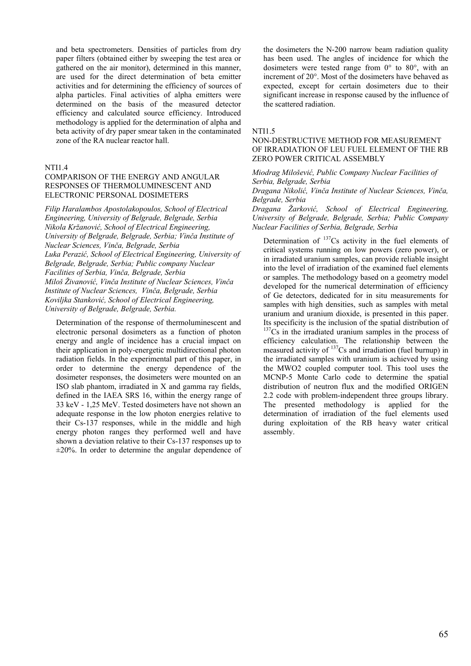and beta spectrometers. Densities of particles from dry paper filters (obtained either by sweeping the test area or gathered on the air monitor), determined in this manner, are used for the direct determination of beta emitter activities and for determining the efficiency of sources of alpha particles. Final activities of alpha emitters were determined on the basis of the measured detector efficiency and calculated source efficiency. Introduced methodology is applied for the determination of alpha and beta activity of dry paper smear taken in the contaminated zone of the RA nuclear reactor hall.

### NTI1.4

### COMPARISON OF THE ENERGY AND ANGULAR RESPONSES OF THERMOLUMINESCENT AND ELECTRONIC PERSONAL DOSIMETERS

*Filip Haralambos Apostolakopoulos, School of Electrical Engineering, University of Belgrade, Belgrade, Serbia Nikola Kržanović, School of Electrical Engineering, University of Belgrade, Belgrade, Serbia; Vinča Institute of Nuclear Sciences, Vinča, Belgrade, Serbia Luka Perazić, School of Electrical Engineering, University of Belgrade, Belgrade, Serbia; Public company Nuclear Facilities of Serbia, Vinča, Belgrade, Serbia Miloš Živanović, Vinča Institute of Nuclear Sciences, Vinča Institute of Nuclear Sciences, Vinča, Belgrade, Serbia Koviljka Stanković, School of Electrical Engineering, University of Belgrade, Belgrade, Serbia.*

Determination of the response of thermoluminescent and electronic personal dosimeters as a function of photon energy and angle of incidence has a crucial impact on their application in poly-energetic multidirectional photon radiation fields. In the experimental part of this paper, in order to determine the energy dependence of the dosimeter responses, the dosimeters were mounted on an ISO slab phantom, irradiated in X and gamma ray fields, defined in the IAEA SRS 16, within the energy range of 33 keV - 1,25 MeV. Tested dosimeters have not shown an adequate response in the low photon energies relative to their Cs-137 responses, while in the middle and high energy photon ranges they performed well and have shown a deviation relative to their Cs-137 responses up to  $\pm 20\%$ . In order to determine the angular dependence of the dosimeters the N-200 narrow beam radiation quality has been used. The angles of incidence for which the dosimeters were tested range from 0° to 80°, with an increment of 20°. Most of the dosimeters have behaved as expected, except for certain dosimeters due to their significant increase in response caused by the influence of the scattered radiation.

#### NTI1.5

## NON-DESTRUCTIVE METHOD FOR MEASUREMENT OF IRRADIATION OF LEU FUEL ELEMENT OF THE RB ZERO POWER CRITICAL ASSEMBLY

*Miodrag Milošević, Public Company Nuclear Facilities of Serbia, Belgrade, Serbia*

*Dragana Nikolić, Vinča Institute of Nuclear Sciences, Vinča, Belgrade, Serbia* 

*Dragana Žarković, School of Electrical Engineering, University of Belgrade, Belgrade, Serbia; Public Company Nuclear Facilities of Serbia, Belgrade, Serbia*

Determination of  $137Cs$  activity in the fuel elements of critical systems running on low powers (zero power), or in irradiated uranium samples, can provide reliable insight into the level of irradiation of the examined fuel elements or samples. The methodology based on a geometry model developed for the numerical determination of efficiency of Ge detectors, dedicated for in situ measurements for samples with high densities, such as samples with metal uranium and uranium dioxide, is presented in this paper. Its specificity is the inclusion of the spatial distribution of  $137Cs$  in the irradiated uranium samples in the process of efficiency calculation. The relationship between the measured activity of <sup>137</sup>Cs and irradiation (fuel burnup) in the irradiated samples with uranium is achieved by using the MWO2 coupled computer tool. This tool uses the MCNP-5 Monte Carlo code to determine the spatial distribution of neutron flux and the modified ORIGEN 2.2 code with problem-independent three groups library. The presented methodology is applied for the determination of irradiation of the fuel elements used during exploitation of the RB heavy water critical assembly.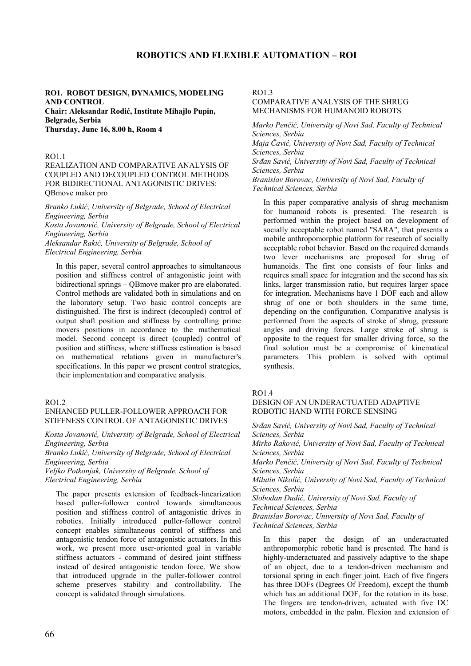# **ROBOTICS AND FLEXIBLE AUTOMATION – ROI**

### **RO1. ROBOT DESIGN, DYNAMICS, MODELING AND CONTROL Chair: Aleksandar Rodić, Institute Mihajlo Pupin,**

**Belgrade, Serbia Thursday, June 16, 8.00 h, Room 4**

## RO1.1

## REALIZATION AND COMPARATIVE ANALYSIS OF COUPLED AND DECOUPLED CONTROL METHODS FOR BIDIRECTIONAL ANTAGONISTIC DRIVES: QBmove maker pro

*Branko Lukić, University of Belgrade, School of Electrical Engineering, Serbia* 

*Kosta Jovanović, University of Belgrade, School of Electrical Engineering, Serbia*

*Aleksandar Rakić, University of Belgrade, School of Electrical Engineering, Serbia*

In this paper, several control approaches to simultaneous position and stiffness control of antagonistic joint with bidirectional springs – QBmove maker pro are elaborated. Control methods are validated both in simulations and on the laboratory setup. Two basic control concepts are distinguished. The first is indirect (decoupled) control of output shaft position and stiffness by controlling prime movers positions in accordance to the mathematical model. Second concept is direct (coupled) control of position and stiffness, where stiffness estimation is based on mathematical relations given in manufacturer's specifications. In this paper we present control strategies, their implementation and comparative analysis.

### RO1.2

## ENHANCED PULLER-FOLLOWER APPROACH FOR STIFFNESS CONTROL OF ANTAGONISTIC DRIVES

*Kosta Jovanović, University of Belgrade, School of Electrical Engineering, Serbia* 

*Branko Lukić, University of Belgrade, School of Electrical Engineering, Serbia*

*Veljko Potkonjak, University of Belgrade, School of Electrical Engineering, Serbia*

The paper presents extension of feedback-linearization based puller-follower control towards simultaneous position and stiffness control of antagonistic drives in robotics. Initially introduced puller-follower control concept enables simultaneous control of stiffness and antagonistic tendon force of antagonistic actuators. In this work, we present more user-oriented goal in variable stiffness actuators - command of desired joint stiffness instead of desired antagonistic tendon force. We show that introduced upgrade in the puller-follower control scheme preserves stability and controllability. The concept is validated through simulations.

 $RO13$ 

# COMPARATIVE ANALYSIS OF THE SHRUG MECHANISMS FOR HUMANOID ROBOTS

*Marko Penčić, University of Novi Sad, Faculty of Technical Sciences, Serbia Maja Čavić, University of Novi Sad, Faculty of Technical Sciences, Serbia Srđan Savić, University of Novi Sad, Faculty of Technical Sciences, Serbia Branislav Borovac, University of Novi Sad, Faculty of* 

*Technical Sciences, Serbia*

In this paper comparative analysis of shrug mechanism for humanoid robots is presented. The research is performed within the project based on development of socially acceptable robot named "SARA", that presents a mobile anthropomorphic platform for research of socially acceptable robot behavior. Based on the required demands two lever mechanisms are proposed for shrug of humanoids. The first one consists of four links and requires small space for integration and the second has six links, larger transmission ratio, but requires larger space for integration. Mechanisms have 1 DOF each and allow shrug of one or both shoulders in the same time, depending on the configuration. Comparative analysis is performed from the aspects of stroke of shrug, pressure angles and driving forces. Large stroke of shrug is opposite to the request for smaller driving force, so the final solution must be a compromise of kinematical parameters. This problem is solved with optimal synthesis.

#### RO1.4

DESIGN OF AN UNDERACTUATED ADAPTIVE ROBOTIC HAND WITH FORCE SENSING

*Srđan Savić, University of Novi Sad, Faculty of Technical Sciences, Serbia Mirko Raković, University of Novi Sad, Faculty of Technical Sciences, Serbia Marko Penčić, University of Novi Sad, Faculty of Technical Sciences, Serbia Milutin Nikolić, University of Novi Sad, Faculty of Technical Sciences, Serbia Slobodan Dudić, University of Novi Sad, Faculty of Technical Sciences, Serbia Branislav Borovac, University of Novi Sad, Faculty of Technical Sciences, Serbia*

In this paper the design of an underactuated anthropomorphic robotic hand is presented. The hand is highly-underactuated and passively adaptive to the shape of an object, due to a tendon-driven mechanism and torsional spring in each finger joint. Each of five fingers has three DOFs (Degrees Of Freedom), except the thumb which has an additional DOF, for the rotation in its base. The fingers are tendon-driven, actuated with five DC motors, embedded in the palm. Flexion and extension of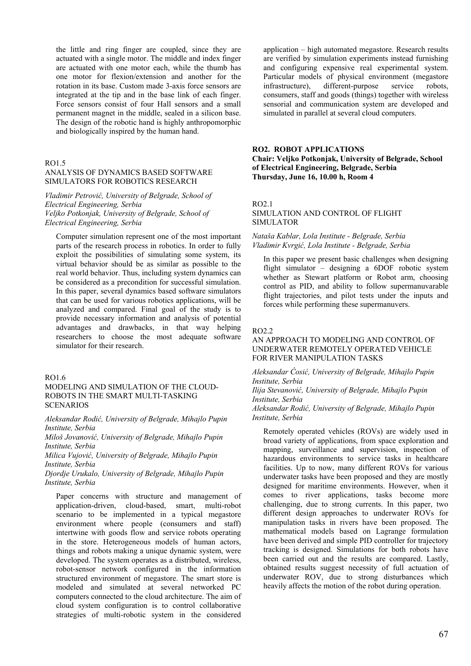the little and ring finger are coupled, since they are actuated with a single motor. The middle and index finger are actuated with one motor each, while the thumb has one motor for flexion/extension and another for the rotation in its base. Custom made 3-axis force sensors are integrated at the tip and in the base link of each finger. Force sensors consist of four Hall sensors and a small permanent magnet in the middle, sealed in a silicon base. The design of the robotic hand is highly anthropomorphic and biologically inspired by the human hand.

### RO1.5

# ANALYSIS OF DYNAMICS BASED SOFTWARE SIMULATORS FOR ROBOTICS RESEARCH

*Vladimir Petrović, University of Belgrade, School of Electrical Engineering, Serbia Veljko Potkonjak, University of Belgrade, School of Electrical Engineering, Serbia*

Computer simulation represent one of the most important parts of the research process in robotics. In order to fully exploit the possibilities of simulating some system, its virtual behavior should be as similar as possible to the real world behavior. Thus, including system dynamics can be considered as a precondition for successful simulation. In this paper, several dynamics based software simulators that can be used for various robotics applications, will be analyzed and compared. Final goal of the study is to provide necessary information and analysis of potential advantages and drawbacks, in that way helping researchers to choose the most adequate software simulator for their research.

# RO1.6

# MODELING AND SIMULATION OF THE CLOUD-ROBOTS IN THE SMART MULTI-TASKING **SCENARIOS**

*Aleksandar Rodić, University of Belgrade, Mihajlo Pupin Institute, Serbia* 

*Miloš Jovanović, University of Belgrade, Mihajlo Pupin Institute, Serbia*

*Milica Vujović, University of Belgrade, Mihajlo Pupin Institute, Serbia*

*Djordje Urukalo, University of Belgrade, Mihajlo Pupin Institute, Serbia*

Paper concerns with structure and management of application-driven, cloud-based, smart, multi-robot scenario to be implemented in a typical megastore environment where people (consumers and staff) intertwine with goods flow and service robots operating in the store. Heterogeneous models of human actors, things and robots making a unique dynamic system, were developed. The system operates as a distributed, wireless, robot-sensor network configured in the information structured environment of megastore. The smart store is modeled and simulated at several networked PC computers connected to the cloud architecture. The aim of cloud system configuration is to control collaborative strategies of multi-robotic system in the considered application – high automated megastore. Research results are verified by simulation experiments instead furnishing and configuring expensive real experimental system. Particular models of physical environment (megastore infrastructure), different-purpose service robots, consumers, staff and goods (things) together with wireless sensorial and communication system are developed and simulated in parallel at several cloud computers.

## **RO2. ROBOT APPLICATIONS Chair: Veljko Potkonjak, University of Belgrade, School of Electrical Engineering, Belgrade, Serbia Thursday, June 16, 10.00 h, Room 4**

RO2.1

SIMULATION AND CONTROL OF FLIGHT SIMULATOR

*Nataša Kablar, Lola Institute - Belgrade, Serbia Vladimir Kvrgić, Lola Institute - Belgrade, Serbia*

In this paper we present basic challenges when designing flight simulator – designing a 6DOF robotic system whether as Stewart platform or Robot arm, choosing control as PID, and ability to follow supermanuvarable flight trajectories, and pilot tests under the inputs and forces while performing these supermanuvers.

#### RO2.2

#### AN APPROACH TO MODELING AND CONTROL OF UNDERWATER REMOTELY OPERATED VEHICLE FOR RIVER MANIPULATION TASKS

#### *Aleksandar Ćosić, University of Belgrade, Mihajlo Pupin Institute, Serbia*

*Ilija Stevanović, University of Belgrade, Mihajlo Pupin Institute, Serbia*

*Aleksandar Rodić, University of Belgrade, Mihajlo Pupin Institute, Serbia*

Remotely operated vehicles (ROVs) are widely used in broad variety of applications, from space exploration and mapping, surveillance and supervision, inspection of hazardous environments to service tasks in healthcare facilities. Up to now, many different ROVs for various underwater tasks have been proposed and they are mostly designed for maritime environments. However, when it comes to river applications, tasks become more challenging, due to strong currents. In this paper, two different design approaches to underwater ROVs for manipulation tasks in rivers have been proposed. The mathematical models based on Lagrange formulation have been derived and simple PID controller for trajectory tracking is designed. Simulations for both robots have been carried out and the results are compared. Lastly, obtained results suggest necessity of full actuation of underwater ROV, due to strong disturbances which heavily affects the motion of the robot during operation.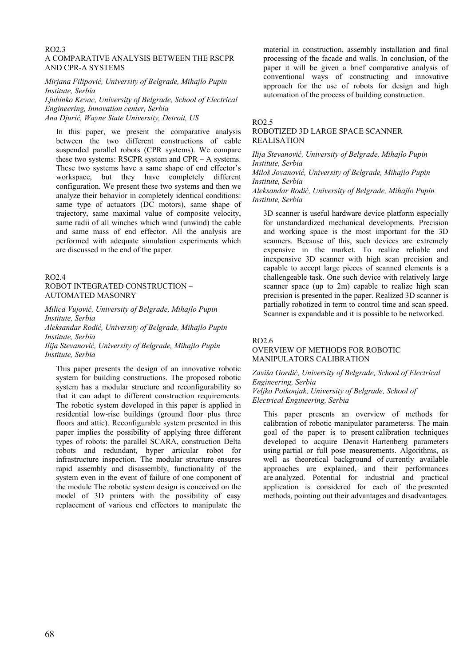# RO2.3

# A COMPARATIVE ANALYSIS BETWEEN THE RSCPR AND CPR-A SYSTEMS

*Mirjana Filipović, University of Belgrade, Mihajlo Pupin Institute, Serbia* 

*Ljubinko Kevac, University of Belgrade, School of Electrical Engineering, Innovation center, Serbia Ana Djurić, Wayne State University, Detroit, US*

In this paper, we present the comparative analysis between the two different constructions of cable suspended parallel robots (CPR systems). We compare these two systems: RSCPR system and CPR – A systems. These two systems have a same shape of end effector's workspace, but they have completely different configuration. We present these two systems and then we analyze their behavior in completely identical conditions: same type of actuators (DC motors), same shape of trajectory, same maximal value of composite velocity, same radii of all winches which wind (unwind) the cable and same mass of end effector. All the analysis are performed with adequate simulation experiments which are discussed in the end of the paper.

### RO2.4

## ROBOT INTEGRATED CONSTRUCTION – AUTOMATED MASONRY

*Milica Vujović, University of Belgrade, Mihajlo Pupin Institute, Serbia* 

*Aleksandar Rodić, University of Belgrade, Mihajlo Pupin Institute, Serbia*

*Ilija Stevanović, University of Belgrade, Mihajlo Pupin Institute, Serbia*

This paper presents the design of an innovative robotic system for building constructions. The proposed robotic system has a modular structure and reconfigurability so that it can adapt to different construction requirements. The robotic system developed in this paper is applied in residential low-rise buildings (ground floor plus three floors and attic). Reconfigurable system presented in this paper implies the possibility of applying three different types of robots: the parallel SCARA, construction Delta robots and redundant, hyper articular robot for infrastructure inspection. The modular structure ensures rapid assembly and disassembly, functionality of the system even in the event of failure of one component of the module The robotic system design is conceived on the model of 3D printers with the possibility of easy replacement of various end effectors to manipulate the material in construction, assembly installation and final processing of the facade and walls. In conclusion, of the paper it will be given a brief comparative analysis of conventional ways of constructing and innovative approach for the use of robots for design and high automation of the process of building construction.

### RO2.5

# ROBOTIZED 3D LARGE SPACE SCANNER REALISATION

*Ilija Stevanović, University of Belgrade, Mihajlo Pupin Institute, Serbia* 

*Miloš Jovanović, University of Belgrade, Mihajlo Pupin Institute, Serbia*

*Aleksandar Rodić, University of Belgrade, Mihajlo Pupin Institute, Serbia*

3D scanner is useful hardware device platform especially for unstandardized mechanical developments. Precision and working space is the most important for the 3D scanners. Because of this, such devices are extremely expensive in the market. To realize reliable and inexpensive 3D scanner with high scan precision and capable to accept large pieces of scanned elements is a challengeable task. One such device with relatively large scanner space (up to 2m) capable to realize high scan precision is presented in the paper. Realized 3D scanner is partially robotized in term to control time and scan speed. Scanner is expandable and it is possible to be networked.

#### RO2.6

### OVERVIEW OF METHODS FOR ROBOTIC MANIPULATORS CALIBRATION

### *Zaviša Gordić, University of Belgrade, School of Electrical Engineering, Serbia Veljko Potkonjak, University of Belgrade, School of Electrical Engineering, Serbia*

This paper presents an overview of methods for calibration of robotic manipulator parameterss. The main goal of the paper is to present calibration techniques developed to acquire Denavit–Hartenberg parameters using partial or full pose measurements. Algorithms, as well as theoretical background of currently available approaches are explained, and their performances are analyzed. Potential for industrial and practical application is considered for each of the presented methods, pointing out their advantages and disadvantages.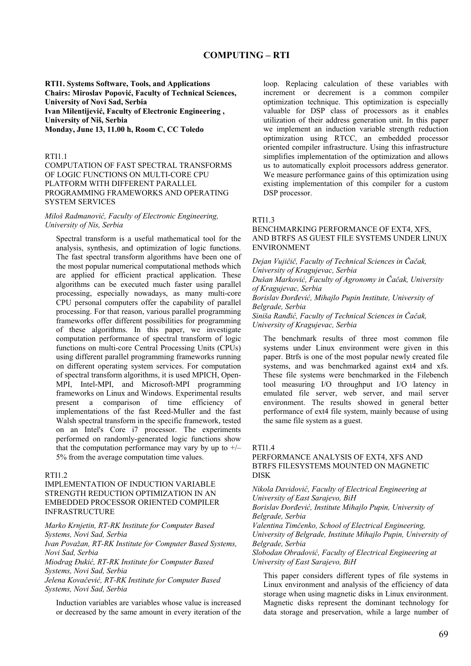# **COMPUTING – RTI**

**RTI1. Systems Software, Tools, and Applications Chairs: Miroslav Popović, Faculty of Technical Sciences, University of Novi Sad, Serbia Ivan Milentijević, Faculty of Electronic Engineering , University of Niš, Serbia Monday, June 13, 11.00 h, Room C, CC Toledo**

#### RTI1.1

COMPUTATION OF FAST SPECTRAL TRANSFORMS OF LOGIC FUNCTIONS ON MULTI-CORE CPU PLATFORM WITH DIFFERENT PARALLEL PROGRAMMING FRAMEWORKS AND OPERATING SYSTEM SERVICES

#### *Miloš Radmanović, Faculty of Electronic Engineering, University of Nis, Serbia*

Spectral transform is a useful mathematical tool for the analysis, synthesis, and optimization of logic functions. The fast spectral transform algorithms have been one of the most popular numerical computational methods which are applied for efficient practical application. These algorithms can be executed much faster using parallel processing, especially nowadays, as many multi-core CPU personal computers offer the capability of parallel processing. For that reason, various parallel programming frameworks offer different possibilities for programming of these algorithms. In this paper, we investigate computation performance of spectral transform of logic functions on multi-core Central Processing Units (CPUs) using different parallel programming frameworks running on different operating system services. For computation of spectral transform algorithms, it is used MPICH, Open-MPI, Intel-MPI, and Microsoft-MPI programming frameworks on Linux and Windows. Experimental results present a comparison of time efficiency of implementations of the fast Reed-Muller and the fast Walsh spectral transform in the specific framework, tested on an Intel's Core i7 processor. The experiments performed on randomly-generated logic functions show that the computation performance may vary by up to  $+/-$ 5% from the average computation time values.

#### $RTI1.2$

## IMPLEMENTATION OF INDUCTION VARIABLE STRENGTH REDUCTION OPTIMIZATION IN AN EMBEDDED PROCESSOR ORIENTED COMPILER INFRASTRUCTURE

*Marko Krnjetin, RT-RK Institute for Computer Based Systems, Novi Sad, Serbia* 

*Ivan Považan, RT-RK Institute for Computer Based Systems, Novi Sad, Serbia* 

*Miodrag Đukić, RT-RK Institute for Computer Based Systems, Novi Sad, Serbia* 

*Jelena Kovačević, RT-RK Institute for Computer Based Systems, Novi Sad, Serbia* 

Induction variables are variables whose value is increased or decreased by the same amount in every iteration of the

loop. Replacing calculation of these variables with increment or decrement is a common compiler optimization technique. This optimization is especially valuable for DSP class of processors as it enables utilization of their address generation unit. In this paper we implement an induction variable strength reduction optimization using RTCC, an embedded processor oriented compiler infrastructure. Using this infrastructure simplifies implementation of the optimization and allows us to automatically exploit processors address generator. We measure performance gains of this optimization using existing implementation of this compiler for a custom DSP processor.

### RTI1.3

# BENCHMARKING PERFORMANCE OF EXT4, XFS, AND BTRFS AS GUEST FILE SYSTEMS UNDER LINUX ENVIRONMENT

*Dejan Vujičič, Faculty of Technical Sciences in Čačak, University of Kragujevac, Serbia Dušan Marković, Faculty of Agronomy in Čačak, University of Kragujevac, Serbia Borislav Đorđević, Mihajlo Pupin Institute, University of Belgrade, Serbia Siniša Ranđić, Faculty of Technical Sciences in Čačak, University of Kragujevac, Serbia* 

The benchmark results of three most common file systems under Linux environment were given in this paper. Btrfs is one of the most popular newly created file systems, and was benchmarked against ext4 and xfs. These file systems were benchmarked in the Filebench tool measuring I/O throughput and I/O latency in emulated file server, web server, and mail server environment. The results showed in general better performance of ext4 file system, mainly because of using the same file system as a guest.

### RTI1.4

# PERFORMANCE ANALYSIS OF EXT4, XFS AND BTRFS FILESYSTEMS MOUNTED ON MAGNETIC DISK

*Nikola Davidović, Faculty of Electrical Engineering at University of East Sarajevo, BiH* 

*Borislav Đorđević, Institute Mihajlo Pupin, University of Belgrade, Serbia* 

*Valentina Timčenko, School of Electrical Engineering, University of Belgrade, Institute Mihajlo Pupin, University of Belgrade, Serbia* 

*Slobodan Obradović, Faculty of Electrical Engineering at University of East Sarajevo, BiH* 

This paper considers different types of file systems in Linux environment and analysis of the efficiency of data storage when using magnetic disks in Linux environment. Magnetic disks represent the dominant technology for data storage and preservation, while a large number of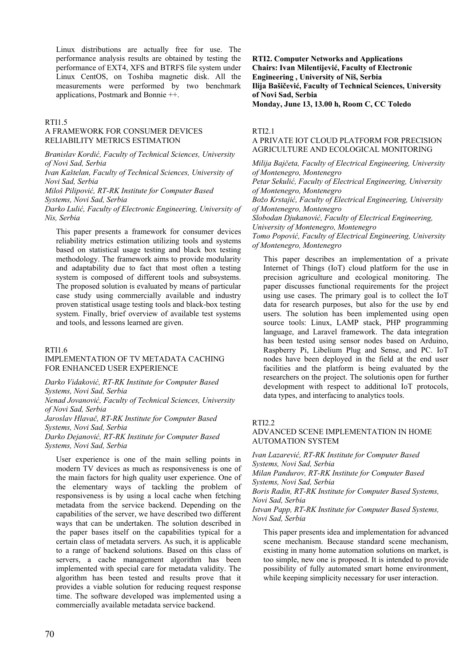Linux distributions are actually free for use. The performance analysis results are obtained by testing the performance of EXT4, XFS and BTRFS file system under Linux CentOS, on Toshiba magnetic disk. All the measurements were performed by two benchmark applications, Postmark and Bonnie ++.

### RTI1.5

## A FRAMEWORK FOR CONSUMER DEVICES RELIABILITY METRICS ESTIMATION

*Branislav Kordić, Faculty of Technical Sciences, University of Novi Sad, Serbia* 

*Ivan Kaštelan, Faculty of Technical Sciences, University of Novi Sad, Serbia* 

*Miloš Pilipović, RT-RK Institute for Computer Based Systems, Novi Sad, Serbia* 

*Darko Lulić, Faculty of Electronic Engineering, University of Nis, Serbia* 

This paper presents a framework for consumer devices reliability metrics estimation utilizing tools and systems based on statistical usage testing and black box testing methodology. The framework aims to provide modularity and adaptability due to fact that most often a testing system is composed of different tools and subsystems. The proposed solution is evaluated by means of particular case study using commercially available and industry proven statistical usage testing tools and black-box testing system. Finally, brief overview of available test systems and tools, and lessons learned are given.

#### RTI1.6

#### IMPLEMENTATION OF TV METADATA CACHING FOR ENHANCED USER EXPERIENCE

*Darko Vidaković, RT-RK Institute for Computer Based Systems, Novi Sad, Serbia Nenad Jovanović, Faculty of Technical Sciences, University of Novi Sad, Serbia Jaroslav Hlavač, RT-RK Institute for Computer Based Systems, Novi Sad, Serbia Darko Dejanović, RT-RK Institute for Computer Based Systems, Novi Sad, Serbia* 

User experience is one of the main selling points in modern TV devices as much as responsiveness is one of the main factors for high quality user experience. One of the elementary ways of tackling the problem of responsiveness is by using a local cache when fetching metadata from the service backend. Depending on the capabilities of the server, we have described two different ways that can be undertaken. The solution described in the paper bases itself on the capabilities typical for a certain class of metadata servers. As such, it is applicable to a range of backend solutions. Based on this class of servers, a cache management algorithm has been implemented with special care for metadata validity. The algorithm has been tested and results prove that it provides a viable solution for reducing request response time. The software developed was implemented using a commercially available metadata service backend.

**RTI2. Computer Networks and Applications Chairs: Ivan Milentijević, Faculty of Electronic Engineering , University of Niš, Serbia Ilija Bašičević, Faculty of Technical Sciences, University of Novi Sad, Serbia Monday, June 13, 13.00 h, Room C, CC Toledo**

#### RTI2.1

A PRIVATE IOT CLOUD PLATFORM FOR PRECISION AGRICULTURE AND ECOLOGICAL MONITORING

*Milija Bajčeta, Faculty of Electrical Engineering, University of Montenegro, Montenegro* 

*Petar Sekulić, Faculty of Electrical Engineering, University of Montenegro, Montenegro Božo Krstajić, Faculty of Electrical Engineering, University of Montenegro, Montenegro Slobodan Djukanović, Faculty of Electrical Engineering,* 

*University of Montenegro, Montenegro* 

*Tomo Popović, Faculty of Electrical Engineering, University of Montenegro, Montenegro* 

This paper describes an implementation of a private Internet of Things (IoT) cloud platform for the use in precision agriculture and ecological monitoring. The paper discusses functional requirements for the project using use cases. The primary goal is to collect the IoT data for research purposes, but also for the use by end users. The solution has been implemented using open source tools: Linux, LAMP stack, PHP programming language, and Laravel framework. The data integration has been tested using sensor nodes based on Arduino, Raspberry Pi, Libelium Plug and Sense, and PC. IoT nodes have been deployed in the field at the end user facilities and the platform is being evaluated by the researchers on the project. The solutionis open for further development with respect to additional IoT protocols, data types, and interfacing to analytics tools.

#### RTI<sub>22</sub>

ADVANCED SCENE IMPLEMENTATION IN HOME AUTOMATION SYSTEM

*Ivan Lazarević, RT-RK Institute for Computer Based Systems, Novi Sad, Serbia Milan Pandurov, RT-RK Institute for Computer Based Systems, Novi Sad, Serbia Boris Radin, RT-RK Institute for Computer Based Systems, Novi Sad, Serbia Istvan Papp, RT-RK Institute for Computer Based Systems, Novi Sad, Serbia* 

This paper presents idea and implementation for advanced scene mechanism. Because standard scene mechanism, existing in many home automation solutions on market, is too simple, new one is proposed. It is intended to provide possibility of fully automated smart home environment, while keeping simplicity necessary for user interaction.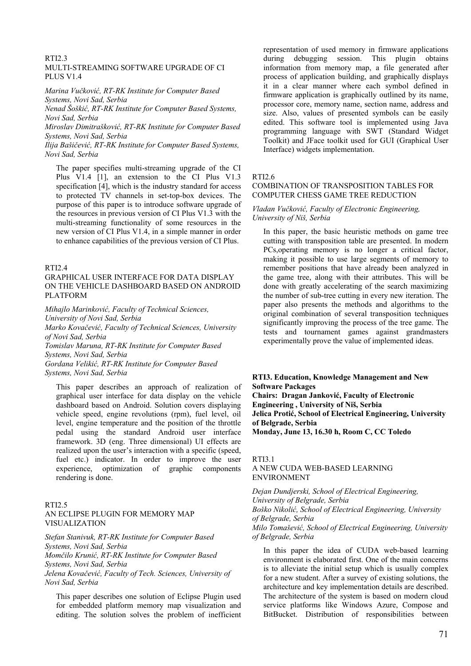# RTI2.3

#### MULTI-STREAMING SOFTWARE UPGRADE OF CI PLUS V1.4

*Marina Vučković, RT-RK Institute for Computer Based Systems, Novi Sad, Serbia* 

*Nenad Šoškić, RT-RK Institute for Computer Based Systems, Novi Sad, Serbia* 

*Miroslav Dimitrašković, RT-RK Institute for Computer Based Systems, Novi Sad, Serbia* 

*Ilija Bašičević, RT-RK Institute for Computer Based Systems, Novi Sad, Serbia* 

The paper specifies multi-streaming upgrade of the CI Plus V1.4 [1], an extension to the CI Plus V1.3 specification [4], which is the industry standard for access to protected TV channels in set-top-box devices. The purpose of this paper is to introduce software upgrade of the resources in previous version of CI Plus V1.3 with the multi-streaming functionality of some resources in the new version of CI Plus V1.4, in a simple manner in order to enhance capabilities of the previous version of CI Plus.

#### RTI2.4

### GRAPHICAL USER INTERFACE FOR DATA DISPLAY ON THE VEHICLE DASHBOARD BASED ON ANDROID PLATFORM

*Mihajlo Marinković, Faculty of Technical Sciences,* 

*University of Novi Sad, Serbia* 

*Marko Kovačević, Faculty of Technical Sciences, University of Novi Sad, Serbia* 

*Tomislav Maruna, RT-RK Institute for Computer Based Systems, Novi Sad, Serbia* 

*Gordana Velikić, RT-RK Institute for Computer Based Systems, Novi Sad, Serbia* 

This paper describes an approach of realization of graphical user interface for data display on the vehicle dashboard based on Android. Solution covers displaying vehicle speed, engine revolutions (rpm), fuel level, oil level, engine temperature and the position of the throttle pedal using the standard Android user interface framework. 3D (eng. Three dimensional) UI effects are realized upon the user's interaction with a specific (speed, fuel etc.) indicator. In order to improve the user experience, optimization of graphic components rendering is done.

## RTI2.5 AN ECLIPSE PLUGIN FOR MEMORY MAP VISUALIZATION

*Stefan Stanivuk, RT-RK Institute for Computer Based Systems, Novi Sad, Serbia* 

*Momčilo Krunić, RT-RK Institute for Computer Based Systems, Novi Sad, Serbia* 

*Jelena Kovačević, Faculty of Tech. Sciences, University of Novi Sad, Serbia* 

This paper describes one solution of Eclipse Plugin used for embedded platform memory map visualization and editing. The solution solves the problem of inefficient representation of used memory in firmware applications during debugging session. This plugin obtains information from memory map, a file generated after process of application building, and graphically displays it in a clear manner where each symbol defined in firmware application is graphically outlined by its name, processor core, memory name, section name, address and size. Also, values of presented symbols can be easily edited. This software tool is implemented using Java programming language with SWT (Standard Widget Toolkit) and JFace toolkit used for GUI (Graphical User Interface) widgets implementation.

RTI2.6

#### COMBINATION OF TRANSPOSITION TABLES FOR COMPUTER CHESS GAME TREE REDUCTION

#### *Vladan Vučković, Faculty of Electronic Engineering, University of Niš, Serbia*

In this paper, the basic heuristic methods on game tree cutting with transposition table are presented. In modern PCs,operating memory is no longer a critical factor, making it possible to use large segments of memory to remember positions that have already been analyzed in the game tree, along with their attributes. This will be done with greatly accelerating of the search maximizing the number of sub-tree cutting in every new iteration. The paper also presents the methods and algorithms to the original combination of several transposition techniques significantly improving the process of the tree game. The tests and tournament games against grandmasters experimentally prove the value of implemented ideas.

### **RTI3. Education, Knowledge Management and New Software Packages**

**Chairs: Dragan Janković, Faculty of Electronic Engineering , University of Niš, Serbia Jelica Protić, School of Electrical Engineering, University of Belgrade, Serbia Monday, June 13, 16.30 h, Room C, CC Toledo**

#### RTI3.1

#### A NEW CUDA WEB-BASED LEARNING ENVIRONMENT

*Dejan Dundjerski, School of Electrical Engineering, University of Belgrade, Serbia Boško Nikolić, School of Electrical Engineering, University of Belgrade, Serbia Milo Tomašević, School of Electrical Engineering, University of Belgrade, Serbia* 

In this paper the idea of CUDA web-based learning environment is elaborated first. One of the main concerns is to alleviate the initial setup which is usually complex for a new student. After a survey of existing solutions, the architecture and key implementation details are described. The architecture of the system is based on modern cloud service platforms like Windows Azure, Compose and BitBucket. Distribution of responsibilities between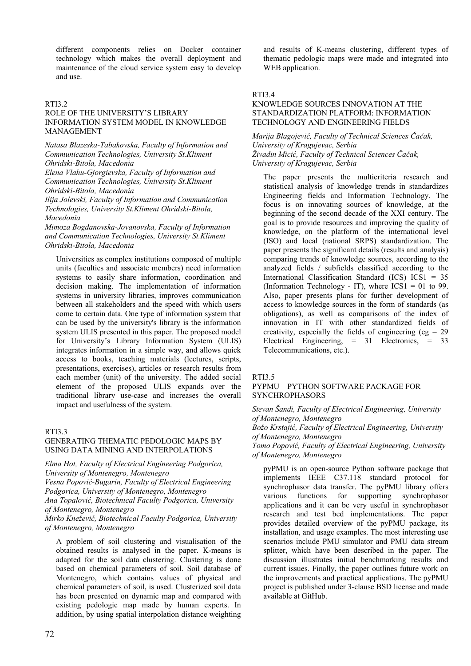different components relies on Docker container technology which makes the overall deployment and maintenance of the cloud service system easy to develop and use.

# RTI3.2

# ROLE OF THE UNIVERSITY'S LIBRARY INFORMATION SYSTEM MODEL IN KNOWLEDGE MANAGEMENT

*Natasa Blazeska-Tabakovska, Faculty of Information and Communication Technologies, University St.Kliment Ohridski-Bitola, Macedonia* 

*Elena Vlahu-Gjorgievska, Faculty of Information and Communication Technologies, University St.Kliment Ohridski-Bitola, Macedonia* 

*Ilija Jolevski, Faculty of Information and Communication Technologies, University St.Kliment Ohridski-Bitola, Macedonia* 

*Mimoza Bogdanovska-Jovanovska, Faculty of Information and Communication Technologies, University St.Kliment Ohridski-Bitola, Macedonia* 

Universities as complex institutions composed of multiple units (faculties and associate members) need information systems to easily share information, coordination and decision making. The implementation of information systems in university libraries, improves communication between all stakeholders and the speed with which users come to certain data. One type of information system that can be used by the university's library is the information system ULIS presented in this paper. The proposed model for University's Library Information System (ULIS) integrates information in a simple way, and allows quick access to books, teaching materials (lectures, scripts, presentations, exercises), articles or research results from each member (unit) of the university. The added social element of the proposed ULIS expands over the traditional library use-case and increases the overall impact and usefulness of the system.

#### RTI3.3

# GENERATING THEMATIC PEDOLOGIC MAPS BY USING DATA MINING AND INTERPOLATIONS

*Elma Hot, Faculty of Electrical Engineering Podgorica, University of Montenegro, Montenegro* 

*Vesna Popović-Bugarin, Faculty of Electrical Engineering Podgorica, University of Montenegro, Montenegro* 

*Ana Topalović, Biotechnical Faculty Podgorica, University of Montenegro, Montenegro* 

*Mirko Knežević, Biotechnical Faculty Podgorica, University of Montenegro, Montenegro* 

A problem of soil clustering and visualisation of the obtained results is analysed in the paper. K-means is adapted for the soil data clustering. Clustering is done based on chemical parameters of soil. Soil database of Montenegro, which contains values of physical and chemical parameters of soil, is used. Clusterized soil data has been presented on dynamic map and compared with existing pedologic map made by human experts. In addition, by using spatial interpolation distance weighting and results of K-means clustering, different types of thematic pedologic maps were made and integrated into WEB application.

#### RTI3.4

### KNOWLEDGE SOURCES INNOVATION AT THE STANDARDIZATION PLATFORM: INFORMATION TECHNOLOGY AND ENGINEERING FIELDS

*Marija Blagojević, Faculty of Technical Sciences Čačak, University of Kragujevac, Serbia Živadin Micić, Faculty of Technical Sciences Čačak, University of Kragujevac, Serbia* 

The paper presents the multicriteria research and statistical analysis of knowledge trends in standardizes Engineering fields and Information Technology. The focus is on innovating sources of knowledge, at the beginning of the second decade of the XXI century. The goal is to provide resources and improving the quality of knowledge, on the platform of the international level (ISO) and local (national SRPS) standardization. The paper presents the significant details (results and analysis) comparing trends of knowledge sources, according to the analyzed fields / subfields classified according to the International Classification Standard (ICS) ICS1 = 35 (Information Technology - IT), where  $\text{ICS1} = 01$  to 99. Also, paper presents plans for further development of access to knowledge sources in the form of standards (as obligations), as well as comparisons of the index of innovation in IT with other standardized fields of creativity, especially the fields of engineering (eg =  $29$ ) Electrical Engineering, = 31 Electronics, = 33 Telecommunications, etc.).

# RTI3.5

### PYPMU – PYTHON SOFTWARE PACKAGE FOR **SYNCHROPHASORS**

*Stevan Šandi, Faculty of Electrical Engineering, University of Montenegro, Montenegro* 

*Božo Krstajić, Faculty of Electrical Engineering, University of Montenegro, Montenegro* 

*Tomo Popović, Faculty of Electrical Engineering, University of Montenegro, Montenegro* 

pyPMU is an open-source Python software package that implements IEEE C37.118 standard protocol for synchrophasor data transfer. The pyPMU library offers various functions for supporting synchrophasor applications and it can be very useful in synchrophasor research and test bed implementations. The paper provides detailed overview of the pyPMU package, its installation, and usage examples. The most interesting use scenarios include PMU simulator and PMU data stream splitter, which have been described in the paper. The discussion illustrates initial benchmarking results and current issues. Finally, the paper outlines future work on the improvements and practical applications. The pyPMU project is published under 3-clause BSD license and made available at GitHub.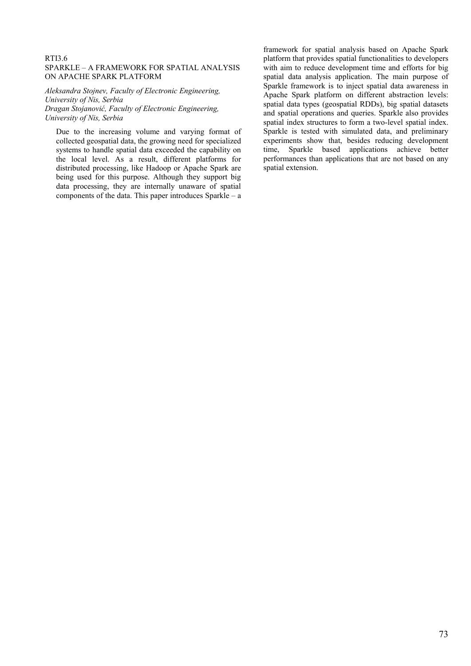## RTI3.6 SPARKLE – A FRAMEWORK FOR SPATIAL ANALYSIS ON APACHE SPARK PLATFORM

*Aleksandra Stojnev, Faculty of Electronic Engineering, University of Nis, Serbia Dragan Stojanović, Faculty of Electronic Engineering, University of Nis, Serbia* 

Due to the increasing volume and varying format of collected geospatial data, the growing need for specialized systems to handle spatial data exceeded the capability on the local level. As a result, different platforms for distributed processing, like Hadoop or Apache Spark are being used for this purpose. Although they support big data processing, they are internally unaware of spatial components of the data. This paper introduces Sparkle – a framework for spatial analysis based on Apache Spark platform that provides spatial functionalities to developers with aim to reduce development time and efforts for big spatial data analysis application. The main purpose of Sparkle framework is to inject spatial data awareness in Apache Spark platform on different abstraction levels: spatial data types (geospatial RDDs), big spatial datasets and spatial operations and queries. Sparkle also provides spatial index structures to form a two-level spatial index. Sparkle is tested with simulated data, and preliminary experiments show that, besides reducing development time, Sparkle based applications achieve better performances than applications that are not based on any spatial extension.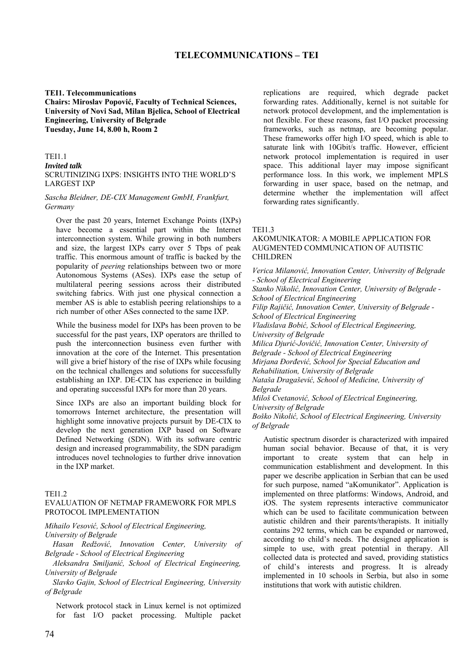#### **TEI1. Telecommunications**

**Chairs: Miroslav Popović, Faculty of Technical Sciences, University of Novi Sad, Milan Bjelica, School of Electrical Engineering, University of Belgrade Tuesday, June 14, 8.00 h, Room 2**

#### TEI1.1

#### *Invited talk*

SCRUTINIZING IXPS: INSIGHTS INTO THE WORLD'S LARGEST IXP

## *Sascha Bleidner, DE-CIX Management GmbH, Frankfurt, Germany*

Over the past 20 years, Internet Exchange Points (IXPs) have become a essential part within the Internet interconnection system. While growing in both numbers and size, the largest IXPs carry over 5 Tbps of peak traffic. This enormous amount of traffic is backed by the popularity of *peering* relationships between two or more Autonomous Systems (ASes). IXPs ease the setup of multilateral peering sessions across their distributed switching fabrics. With just one physical connection a member AS is able to establish peering relationships to a rich number of other ASes connected to the same IXP.

While the business model for IXPs has been proven to be successful for the past years, IXP operators are thrilled to push the interconnection business even further with innovation at the core of the Internet. This presentation will give a brief history of the rise of IXPs while focusing on the technical challenges and solutions for successfully establishing an IXP. DE-CIX has experience in building and operating successful IXPs for more than 20 years.

Since IXPs are also an important building block for tomorrows Internet architecture, the presentation will highlight some innovative projects pursuit by DE-CIX to develop the next generation IXP based on Software Defined Networking (SDN). With its software centric design and increased programmability, the SDN paradigm introduces novel technologies to further drive innovation in the IXP market.

#### TF<sub>I1.2</sub>

## EVALUATION OF NETMAP FRAMEWORK FOR MPLS PROTOCOL IMPLEMENTATION

*Mihailo Vesović, School of Electrical Engineering, University of Belgrade* 

*Hasan Redžović, Innovation Center, University of Belgrade - School of Electrical Engineering*

*Aleksandra Smiljanić, School of Electrical Engineering, University of Belgrade*

*Slavko Gajin, School of Electrical Engineering, University of Belgrade*

Network protocol stack in Linux kernel is not optimized for fast I/O packet processing. Multiple packet replications are required, which degrade packet forwarding rates. Additionally, kernel is not suitable for network protocol development, and the implementation is not flexible. For these reasons, fast I/O packet processing frameworks, such as netmap, are becoming popular. These frameworks offer high I/O speed, which is able to saturate link with 10Gbit/s traffic. However, efficient network protocol implementation is required in user space. This additional layer may impose significant performance loss. In this work, we implement MPLS forwarding in user space, based on the netmap, and determine whether the implementation will affect forwarding rates significantly.

#### TEI1.3

## AKOMUNIKATOR: A MOBILE APPLICATION FOR AUGMENTED COMMUNICATION OF AUTISTIC CHILDREN

*Verica Milanović, Innovation Center, University of Belgrade - School of Electrical Engineering Stanko Nikolić, Innovation Center, University of Belgrade - School of Electrical Engineering Filip Rajičić, Innovation Center, University of Belgrade - School of Electrical Engineering Vladislava Bobić, School of Electrical Engineering, University of Belgrade Milica Djurić-Jovičić, Innovation Center, University of Belgrade - School of Electrical Engineering Mirjana Đorđević, School for Special Education and Rehabilitation, University of Belgrade Nataša Dragašević, School of Medicine, University of Belgrade Miloš Cvetanović, School of Electrical Engineering, University of Belgrade* 

*Boško Nikolić, School of Electrical Engineering, University of Belgrade* 

Autistic spectrum disorder is characterized with impaired human social behavior. Because of that, it is very important to create system that can help in communication establishment and development. In this paper we describe application in Serbian that can be used for such purpose, named "aKomunikator". Application is implemented on three platforms: Windows, Android, and iOS. The system represents interactive communicator which can be used to facilitate communication between autistic children and their parents/therapists. It initially contains 292 terms, which can be expanded or narrowed, according to child's needs. The designed application is simple to use, with great potential in therapy. All collected data is protected and saved, providing statistics of child's interests and progress. It is already implemented in 10 schools in Serbia, but also in some institutions that work with autistic children.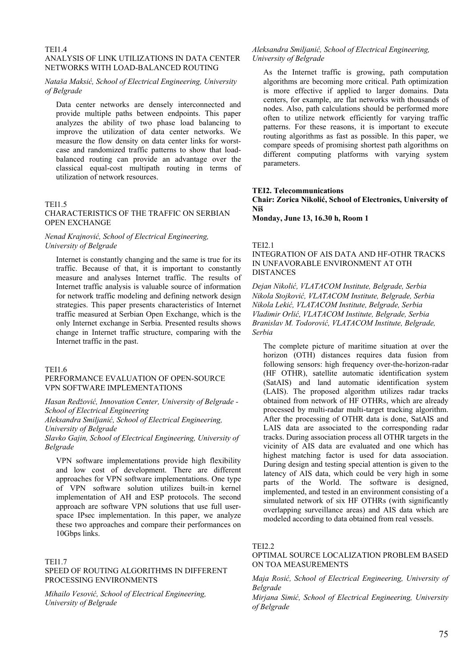## TEI1.4

## ANALYSIS OF LINK UTILIZATIONS IN DATA CENTER NETWORKS WITH LOAD-BALANCED ROUTING

## *Nataša Maksić, School of Electrical Engineering, University of Belgrade*

Data center networks are densely interconnected and provide multiple paths between endpoints. This paper analyzes the ability of two phase load balancing to improve the utilization of data center networks. We measure the flow density on data center links for worstcase and randomized traffic patterns to show that loadbalanced routing can provide an advantage over the classical equal-cost multipath routing in terms of utilization of network resources.

#### TEI1.5 CHARACTERISTICS OF THE TRAFFIC ON SERBIAN OPEN EXCHANGE

## *Nenad Krajnović, School of Electrical Engineering, University of Belgrade*

Internet is constantly changing and the same is true for its traffic. Because of that, it is important to constantly measure and analyses Internet traffic. The results of Internet traffic analysis is valuable source of information for network traffic modeling and defining network design strategies. This paper presents characteristics of Internet traffic measured at Serbian Open Exchange, which is the only Internet exchange in Serbia. Presented results shows change in Internet traffic structure, comparing with the Internet traffic in the past.

#### TEI1.6

## PERFORMANCE EVALUATION OF OPEN-SOURCE VPN SOFTWARE IMPLEMENTATIONS

*Hasan Redžović, Innovation Center, University of Belgrade - School of Electrical Engineering* 

*Aleksandra Smiljanić, School of Electrical Engineering, University of Belgrade* 

*Slavko Gajin, School of Electrical Engineering, University of Belgrade* 

VPN software implementations provide high flexibility and low cost of development. There are different approaches for VPN software implementations. One type of VPN software solution utilizes built-in kernel implementation of AH and ESP protocols. The second approach are software VPN solutions that use full userspace IPsec implementation. In this paper, we analyze these two approaches and compare their performances on 10Gbps links.

#### TEI1.7

## SPEED OF ROUTING ALGORITHMS IN DIFFERENT PROCESSING ENVIRONMENTS

*Mihailo Vesović, School of Electrical Engineering, University of Belgrade* 

## *Aleksandra Smiljanić, School of Electrical Engineering, University of Belgrade*

As the Internet traffic is growing, path computation algorithms are becoming more critical. Path optimization is more effective if applied to larger domains. Data centers, for example, are flat networks with thousands of nodes. Also, path calculations should be performed more often to utilize network efficiently for varying traffic patterns. For these reasons, it is important to execute routing algorithms as fast as possible. In this paper, we compare speeds of promising shortest path algorithms on different computing platforms with varying system parameters.

#### **TEI2. Telecommunications**

**Chair: Zorica Nikolić, School of Electronics, University of Niš**

**Monday, June 13, 16.30 h, Room 1**

#### TEI2.1

## INTEGRATION OF AIS DATA AND HF-OTHR TRACKS IN UNFAVORABLE ENVIRONMENT AT OTH DISTANCES

*Dejan Nikolić, VLATACOM Institute, Belgrade, Serbia Nikola Stojković, VLATACOM Institute, Belgrade, Serbia Nikola Lekić, VLATACOM Institute, Belgrade, Serbia Vladimir Orlić, VLATACOM Institute, Belgrade, Serbia Branislav M. Todorović, VLATACOM Institute, Belgrade, Serbia* 

The complete picture of maritime situation at over the horizon (OTH) distances requires data fusion from following sensors: high frequency over-the-horizon-radar (HF OTHR), satellite automatic identification system (SatAIS) and land automatic identification system (LAIS). The proposed algorithm utilizes radar tracks obtained from network of HF OTHRs, which are already processed by multi-radar multi-target tracking algorithm. After the processing of OTHR data is done, SatAIS and LAIS data are associated to the corresponding radar tracks. During association process all OTHR targets in the vicinity of AIS data are evaluated and one which has highest matching factor is used for data association. During design and testing special attention is given to the latency of AIS data, which could be very high in some parts of the World. The software is designed, implemented, and tested in an environment consisting of a simulated network of six HF OTHRs (with significantly overlapping surveillance areas) and AIS data which are modeled according to data obtained from real vessels.

#### TEI2.2

## OPTIMAL SOURCE LOCALIZATION PROBLEM BASED ON TOA MEASUREMENTS

*Maja Rosić, School of Electrical Engineering, University of Belgrade*

*Mirjana Simić, School of Electrical Engineering, University of Belgrade*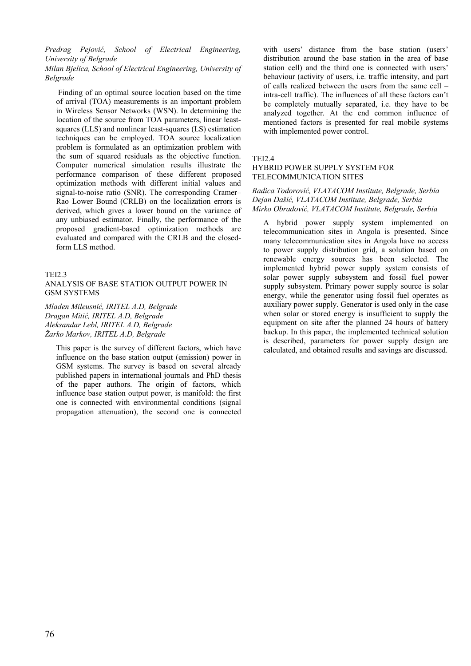*Predrag Pejović, School of Electrical Engineering, University of Belgrade*

*Milan Bjelica, School of Electrical Engineering, University of Belgrade*

 Finding of an optimal source location based on the time of arrival (TOA) measurements is an important problem in Wireless Sensor Networks (WSN). In determining the location of the source from TOA parameters, linear leastsquares (LLS) and nonlinear least-squares (LS) estimation techniques can be employed. TOA source localization problem is formulated as an optimization problem with the sum of squared residuals as the objective function. Computer numerical simulation results illustrate the performance comparison of these different proposed optimization methods with different initial values and signal-to-noise ratio (SNR). The corresponding Cramer– Rao Lower Bound (CRLB) on the localization errors is derived, which gives a lower bound on the variance of any unbiased estimator. Finally, the performance of the proposed gradient-based optimization methods are evaluated and compared with the CRLB and the closedform LLS method.

## TEI2.3

## ANALYSIS OF BASE STATION OUTPUT POWER IN GSM SYSTEMS

*Mladen Mileusnić, IRITEL A.D, Belgrade Dragan Mitić, IRITEL A.D, Belgrade Aleksandar Lebl, IRITEL A.D, Belgrade Žarko Markov, IRITEL A.D, Belgrade* 

This paper is the survey of different factors, which have influence on the base station output (emission) power in GSM systems. The survey is based on several already published papers in international journals and PhD thesis of the paper authors. The origin of factors, which influence base station output power, is manifold: the first one is connected with environmental conditions (signal propagation attenuation), the second one is connected with users' distance from the base station (users' distribution around the base station in the area of base station cell) and the third one is connected with users' behaviour (activity of users, i.e. traffic intensity, and part of calls realized between the users from the same cell – intra-cell traffic). The influences of all these factors can't be completely mutually separated, i.e. they have to be analyzed together. At the end common influence of mentioned factors is presented for real mobile systems with implemented power control.

## TFI<sub>2</sub>4

## HYBRID POWER SUPPLY SYSTEM FOR TELECOMMUNICATION SITES

## *Radica Todorović, VLATACOM Institute, Belgrade, Serbia Dejan Dašić, VLATACOM Institute, Belgrade, Serbia Mirko Obradović, VLATACOM Institute, Belgrade, Serbia*

A hybrid power supply system implemented on telecommunication sites in Angola is presented. Since many telecommunication sites in Angola have no access to power supply distribution grid, a solution based on renewable energy sources has been selected. The implemented hybrid power supply system consists of solar power supply subsystem and fossil fuel power supply subsystem. Primary power supply source is solar energy, while the generator using fossil fuel operates as auxiliary power supply. Generator is used only in the case when solar or stored energy is insufficient to supply the equipment on site after the planned 24 hours of battery backup. In this paper, the implemented technical solution is described, parameters for power supply design are calculated, and obtained results and savings are discussed.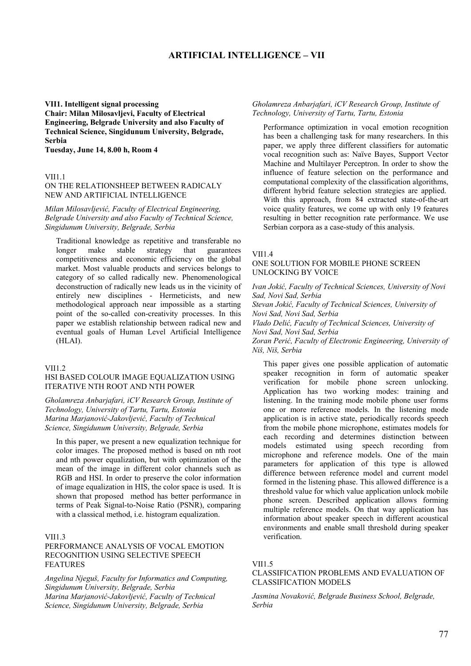# **ARTIFICIAL INTELLIGENCE – VII**

## **VII1. Intelligent signal processing Chair: Milan Milosavljevi, Faculty of Electrical Engineering, Belgrade University and also Faculty of Technical Science, Singidunum University, Belgrade, Serbia**

**Tuesday, June 14, 8.00 h, Room 4**

#### VII1.1

#### ON THE RELATIONSHEEP BETWEEN RADICALY NEW AND ARTIFICIAL INTELLIGENCE

*Milan Milosavljević, Faculty of Electrical Engineering, Belgrade University and also Faculty of Technical Science, Singidunum University, Belgrade, Serbia*

Traditional knowledge as repetitive and transferable no longer make stable strategy that guarantees competitiveness and economic efficiency on the global market. Most valuable products and services belongs to category of so called radically new. Phenomenological deconstruction of radically new leads us in the vicinity of entirely new disciplines - Hermeticists, and new methodological approach near impossible as a starting point of the so-called con-creativity processes. In this paper we establish relationship between radical new and eventual goals of Human Level Artificial Intelligence (HLAI).

#### **VII1.2**

## HSI BASED COLOUR IMAGE EQUALIZATION USING ITERATIVE NTH ROOT AND NTH POWER

*Gholamreza Anbarjafari, iCV Research Group, Institute of Technology, University of Tartu, Tartu, Estonia Marina Marjanović-Jakovljević, Faculty of Technical Science, Singidunum University, Belgrade, Serbia* 

In this paper, we present a new equalization technique for color images. The proposed method is based on nth root and nth power equalization, but with optimization of the mean of the image in different color channels such as RGB and HSI. In order to preserve the color information of image equalization in HIS, the color space is used. It is shown that proposed method has better performance in terms of Peak Signal-to-Noise Ratio (PSNR), comparing with a classical method, i.e. histogram equalization.

#### VII1.3

## PERFORMANCE ANALYSIS OF VOCAL EMOTION RECOGNITION USING SELECTIVE SPEECH FEATURES

*Angelina Njeguš, Faculty for Informatics and Computing, Singidunum University, Belgrade, Serbia Marina Marjanović-Jakovljević, Faculty of Technical Science, Singidunum University, Belgrade, Serbia*

#### *Gholamreza Anbarjafari, iCV Research Group, Institute of Technology, University of Tartu, Tartu, Estonia*

Performance optimization in vocal emotion recognition has been a challenging task for many researchers. In this paper, we apply three different classifiers for automatic vocal recognition such as: Naïve Bayes, Support Vector Machine and Multilayer Perceptron. In order to show the influence of feature selection on the performance and computational complexity of the classification algorithms, different hybrid feature selection strategies are applied. With this approach, from 84 extracted state-of-the-art voice quality features, we come up with only 19 features resulting in better recognition rate performance. We use Serbian corpora as a case-study of this analysis.

#### VII1.4

## ONE SOLUTION FOR MOBILE PHONE SCREEN UNLOCKING BY VOICE

*Ivan Jokić, Faculty of Technical Sciences, University of Novi Sad, Novi Sad, Serbia*

*Stevan Jokić, Faculty of Technical Sciences, University of Novi Sad, Novi Sad, Serbia*

*Vlado Delić, Faculty of Technical Sciences, University of Novi Sad, Novi Sad, Serbia*

*Zoran Perić, Faculty of Electronic Engineering, University of Niš, Niš, Serbia*

This paper gives one possible application of automatic speaker recognition in form of automatic speaker verification for mobile phone screen unlocking. Application has two working modes: training and listening. In the training mode mobile phone user forms one or more reference models. In the listening mode application is in active state, periodically records speech from the mobile phone microphone, estimates models for each recording and determines distinction between models estimated using speech recording from microphone and reference models. One of the main parameters for application of this type is allowed difference between reference model and current model formed in the listening phase. This allowed difference is a threshold value for which value application unlock mobile phone screen. Described application allows forming multiple reference models. On that way application has information about speaker speech in different acoustical environments and enable small threshold during speaker verification.

#### VII1.5

## CLASSIFICATION PROBLEMS AND EVALUATION OF CLASSIFICATION MODELS

*Jasmina Novaković, Belgrade Business School, Belgrade, Serbia*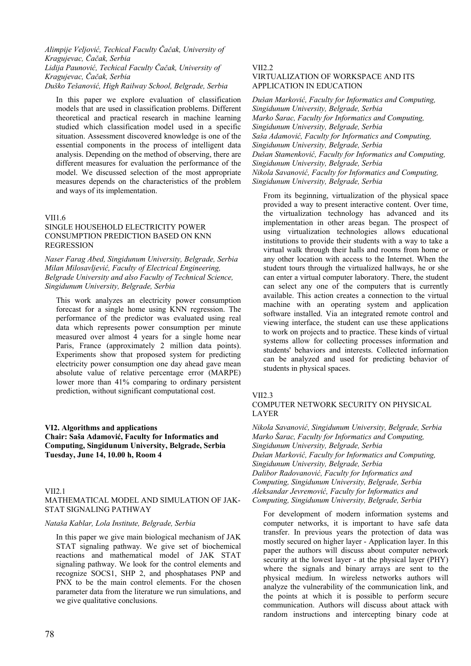*Alimpije Veljović, Techical Faculty Čačak, University of Kragujevac, Čačak, Serbia Lidija Paunović, Techical Faculty Čačak, University of Kragujevac, Čačak, Serbia Duško Tešanović, High Railway School, Belgrade, Serbia*

In this paper we explore evaluation of classification models that are used in classification problems. Different theoretical and practical research in machine learning studied which classification model used in a specific situation. Assessment discovered knowledge is one of the essential components in the process of intelligent data analysis. Depending on the method of observing, there are different measures for evaluation the performance of the model. We discussed selection of the most appropriate measures depends on the characteristics of the problem and ways of its implementation.

#### VII1.6

## SINGLE HOUSEHOLD ELECTRICITY POWER CONSUMPTION PREDICTION BASED ON KNN REGRESSION

*Naser Farag Abed, Singidunum University, Belgrade, Serbia Milan Milosavljević, Faculty of Electrical Engineering, Belgrade University and also Faculty of Technical Science, Singidunum University, Belgrade, Serbia*

This work analyzes an electricity power consumption forecast for a single home using KNN regression. The performance of the predictor was evaluated using real data which represents power consumption per minute measured over almost 4 years for a single home near Paris, France (approximately 2 million data points). Experiments show that proposed system for predicting electricity power consumption one day ahead gave mean absolute value of relative percentage error (MARPE) lower more than 41% comparing to ordinary persistent prediction, without significant computational cost.

## **VI2. Algorithms and applications**

**Chair: Saša Adamović, Faculty for Informatics and Computing, Singidunum University, Belgrade, Serbia Tuesday, June 14, 10.00 h, Room 4**

#### $VII21$ MATHEMATICAL MODEL AND SIMULATION OF JAK-STAT SIGNALING PATHWAY

#### *Nataša Kablar, Lola Institute, Belgrade, Serbia*

In this paper we give main biological mechanism of JAK STAT signaling pathway. We give set of biochemical reactions and mathematical model of JAK STAT signaling pathway. We look for the control elements and recognize SOCS1, SHP 2, and phosphatases PNP and PNX to be the main control elements. For the chosen parameter data from the literature we run simulations, and we give qualitative conclusions.

# VII<sub>2</sub>.2

## VIRTUALIZATION OF WORKSPACE AND ITS APPLICATION IN EDUCATION

*Dušan Marković, Faculty for Informatics and Computing, Singidunum University, Belgrade, Serbia Marko Šarac, Faculty for Informatics and Computing, Singidunum University, Belgrade, Serbia Saša Adamović, Faculty for Informatics and Computing, Singidunum University, Belgrade, Serbia Dušan Stamenković, Faculty for Informatics and Computing, Singidunum University, Belgrade, Serbia Nikola Savanović, Faculty for Informatics and Computing, Singidunum University, Belgrade, Serbia*

From its beginning, virtualization of the physical space provided a way to present interactive content. Over time, the virtualization technology has advanced and its implementation in other areas began. The prospect of using virtualization technologies allows educational institutions to provide their students with a way to take a virtual walk through their halls and rooms from home or any other location with access to the Internet. When the student tours through the virtualized hallways, he or she can enter a virtual computer laboratory. There, the student can select any one of the computers that is currently available. This action creates a connection to the virtual machine with an operating system and application software installed. Via an integrated remote control and viewing interface, the student can use these applications to work on projects and to practice. These kinds of virtual systems allow for collecting processes information and students' behaviors and interests. Collected information can be analyzed and used for predicting behavior of students in physical spaces.

#### VII2.3

## COMPUTER NETWORK SECURITY ON PHYSICAL LAYER

*Nikola Savanović, Singidunum University, Belgrade, Serbia Marko Šarac, Faculty for Informatics and Computing, Singidunum University, Belgrade, Serbia Dušan Marković, Faculty for Informatics and Computing, Singidunum University, Belgrade, Serbia Dalibor Radovanović, Faculty for Informatics and Computing, Singidunum University, Belgrade, Serbia Aleksandar Jevremović, Faculty for Informatics and Computing, Singidunum University, Belgrade, Serbia*

For development of modern information systems and computer networks, it is important to have safe data transfer. In previous years the protection of data was mostly secured on higher layer - Application layer. In this paper the authors will discuss about computer network security at the lowest layer - at the physical layer (PHY) where the signals and binary arrays are sent to the physical medium. In wireless networks authors will analyze the vulnerability of the communication link, and the points at which it is possible to perform secure communication. Authors will discuss about attack with random instructions and intercepting binary code at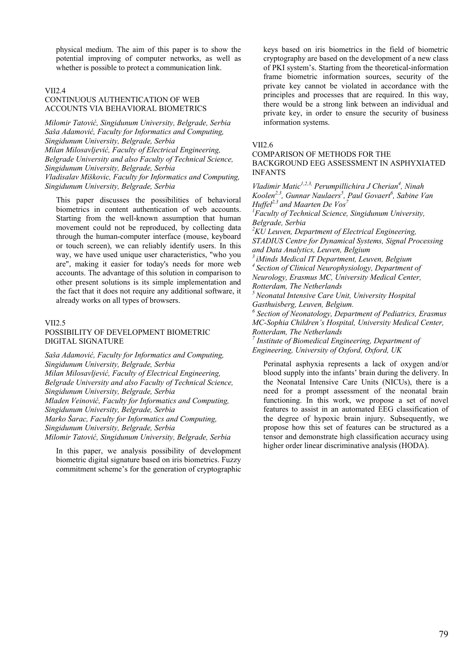physical medium. The aim of this paper is to show the potential improving of computer networks, as well as whether is possible to protect a communication link.

#### VII2.4

## CONTINUOUS AUTHENTICATION OF WEB ACCOUNTS VIA BEHAVIORAL BIOMETRICS

*Milomir Tatović, Singidunum University, Belgrade, Serbia Saša Adamović, Faculty for Informatics and Computing, Singidunum University, Belgrade, Serbia Milan Milosavljević, Faculty of Electrical Engineering, Belgrade University and also Faculty of Technical Science, Singidunum University, Belgrade, Serbia Vladisalav Miškovic, Faculty for Informatics and Computing, Singidunum University, Belgrade, Serbia*

This paper discusses the possibilities of behavioral biometrics in content authentication of web accounts. Starting from the well-known assumption that human movement could not be reproduced, by collecting data through the human-computer interface (mouse, keyboard or touch screen), we can reliably identify users. In this way, we have used unique user characteristics, "who you are", making it easier for today's needs for more web accounts. The advantage of this solution in comparison to other present solutions is its simple implementation and the fact that it does not require any additional software, it already works on all types of browsers.

#### VII2.5

## POSSIBILITY OF DEVELOPMENT BIOMETRIC DIGITAL SIGNATURE

*Saša Adamović, Faculty for Informatics and Computing, Singidunum University, Belgrade, Serbia Milan Milosavljević, Faculty of Electrical Engineering, Belgrade University and also Faculty of Technical Science, Singidunum University, Belgrade, Serbia Mladen Veinović, Faculty for Informatics and Computing, Singidunum University, Belgrade, Serbia Marko Šarac, Faculty for Informatics and Computing, Singidunum University, Belgrade, Serbia Milomir Tatović, Singidunum University, Belgrade, Serbia*

In this paper, we analysis possibility of development biometric digital signature based on iris biometrics. Fuzzy commitment scheme's for the generation of cryptographic keys based on iris biometrics in the field of biometric cryptography are based on the development of a new class of PKI system's. Starting from the theoretical-information frame biometric information sources, security of the private key cannot be violated in accordance with the principles and processes that are required. In this way, there would be a strong link between an individual and private key, in order to ensure the security of business information systems.

#### VII2.6

## COMPARISON OF METHODS FOR THE BACKGROUND EEG ASSESSMENT IN ASPHYXIATED INFANTS

*Vladimir Matic<sup>1,2,3,</sup> Perumpillichira J Cherian<sup>4</sup>*, Ninah Koolen<sup>2,3</sup>, Gunnar Naulaers<sup>5</sup>, Paul Govaert<sup>6</sup>, Sabine Van *Huffel<sup>2,3</sup> and Maarten De Vos<sup>7</sup> 1 Faculty of Technical Science, Singidunum University, Belgrade, Serbia 2 KU Leuven, Department of Electrical Engineering, STADIUS Centre for Dynamical Systems, Signal Processing and Data Analytics, Leuven, Belgium 3 iMinds Medical IT Department, Leuven, Belgium 4 Section of Clinical Neurophysiology, Department of Neurology, Erasmus MC, University Medical Center, Rotterdam, The Netherlands 5 Neonatal Intensive Care Unit, University Hospital Gasthuisberg, Leuven, Belgium. 6 Section of Neonatology, Department of Pediatrics, Erasmus MC-Sophia Children's Hospital, University Medical Center, Rotterdam, The Netherlands 7 Institute of Biomedical Engineering, Department of Engineering, University of Oxford, Oxford, UK* 

Perinatal asphyxia represents a lack of oxygen and/or blood supply into the infants' brain during the delivery. In the Neonatal Intensive Care Units (NICUs), there is a need for a prompt assessment of the neonatal brain functioning. In this work, we propose a set of novel features to assist in an automated EEG classification of the degree of hypoxic brain injury. Subsequently, we propose how this set of features can be structured as a tensor and demonstrate high classification accuracy using higher order linear discriminative analysis (HODA).